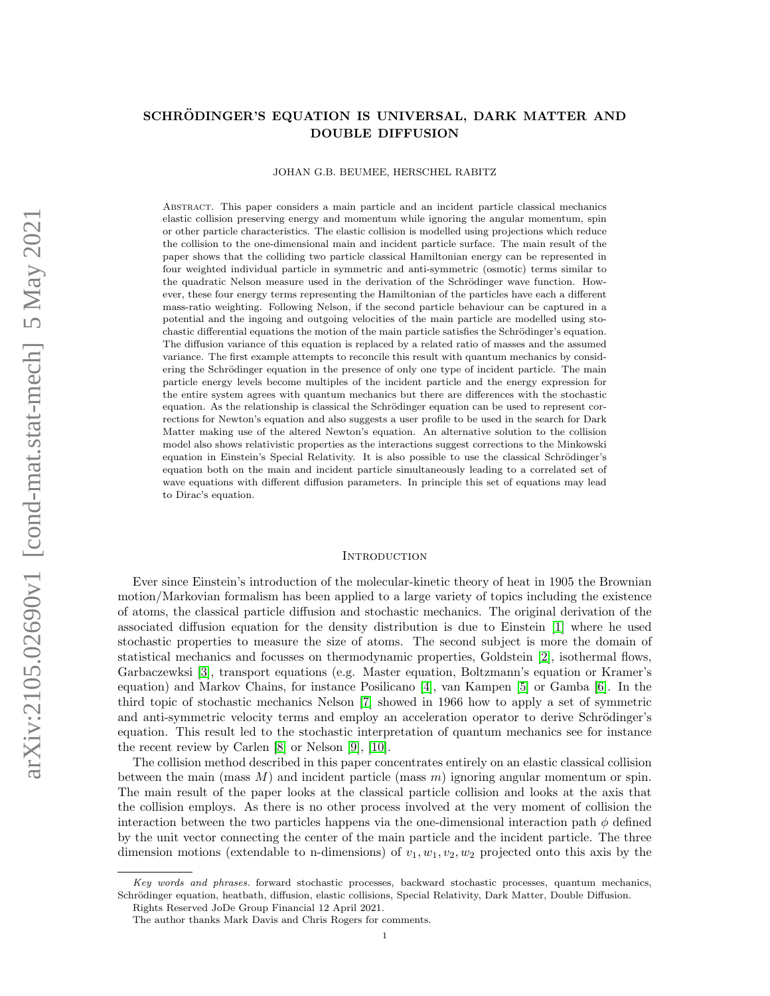# SCHRÖDINGER'S EQUATION IS UNIVERSAL, DARK MATTER AND DOUBLE DIFFUSION

JOHAN G.B. BEUMEE, HERSCHEL RABITZ

Abstract. This paper considers a main particle and an incident particle classical mechanics elastic collision preserving energy and momentum while ignoring the angular momentum, spin or other particle characteristics. The elastic collision is modelled using projections which reduce the collision to the one-dimensional main and incident particle surface. The main result of the paper shows that the colliding two particle classical Hamiltonian energy can be represented in four weighted individual particle in symmetric and anti-symmetric (osmotic) terms similar to the quadratic Nelson measure used in the derivation of the Schrödinger wave function. However, these four energy terms representing the Hamiltonian of the particles have each a different mass-ratio weighting. Following Nelson, if the second particle behaviour can be captured in a potential and the ingoing and outgoing velocities of the main particle are modelled using stochastic differential equations the motion of the main particle satisfies the Schrödinger's equation. The diffusion variance of this equation is replaced by a related ratio of masses and the assumed variance. The first example attempts to reconcile this result with quantum mechanics by considering the Schrödinger equation in the presence of only one type of incident particle. The main particle energy levels become multiples of the incident particle and the energy expression for the entire system agrees with quantum mechanics but there are differences with the stochastic equation. As the relationship is classical the Schrödinger equation can be used to represent corrections for Newton's equation and also suggests a user profile to be used in the search for Dark Matter making use of the altered Newton's equation. An alternative solution to the collision model also shows relativistic properties as the interactions suggest corrections to the Minkowski equation in Einstein's Special Relativity. It is also possible to use the classical Schrödinger's equation both on the main and incident particle simultaneously leading to a correlated set of wave equations with different diffusion parameters. In principle this set of equations may lead to Dirac's equation.

#### **INTRODUCTION**

Ever since Einstein's introduction of the molecular-kinetic theory of heat in 1905 the Brownian motion/Markovian formalism has been applied to a large variety of topics including the existence of atoms, the classical particle diffusion and stochastic mechanics. The original derivation of the associated diffusion equation for the density distribution is due to Einstein [\[1\]](#page-26-0) where he used stochastic properties to measure the size of atoms. The second subject is more the domain of statistical mechanics and focusses on thermodynamic properties, Goldstein [\[2\]](#page-26-1), isothermal flows, Garbaczewksi [\[3\]](#page-26-2), transport equations (e.g. Master equation, Boltzmann's equation or Kramer's equation) and Markov Chains, for instance Posilicano [\[4\]](#page-26-3), van Kampen [\[5\]](#page-26-4) or Gamba [\[6\]](#page-26-5). In the third topic of stochastic mechanics Nelson [\[7\]](#page-26-6) showed in 1966 how to apply a set of symmetric and anti-symmetric velocity terms and employ an acceleration operator to derive Schrödinger's equation. This result led to the stochastic interpretation of quantum mechanics see for instance the recent review by Carlen [\[8\]](#page-26-7) or Nelson [\[9\]](#page-26-8), [\[10\]](#page-26-9).

The collision method described in this paper concentrates entirely on an elastic classical collision between the main (mass  $M$ ) and incident particle (mass  $m$ ) ignoring angular momentum or spin. The main result of the paper looks at the classical particle collision and looks at the axis that the collision employs. As there is no other process involved at the very moment of collision the interaction between the two particles happens via the one-dimensional interaction path  $\phi$  defined by the unit vector connecting the center of the main particle and the incident particle. The three dimension motions (extendable to n-dimensions) of  $v_1, w_1, v_2, w_2$  projected onto this axis by the

Key words and phrases. forward stochastic processes, backward stochastic processes, quantum mechanics, Schrödinger equation, heatbath, diffusion, elastic collisions, Special Relativity, Dark Matter, Double Diffusion.

Rights Reserved JoDe Group Financial 12 April 2021.

The author thanks Mark Davis and Chris Rogers for comments.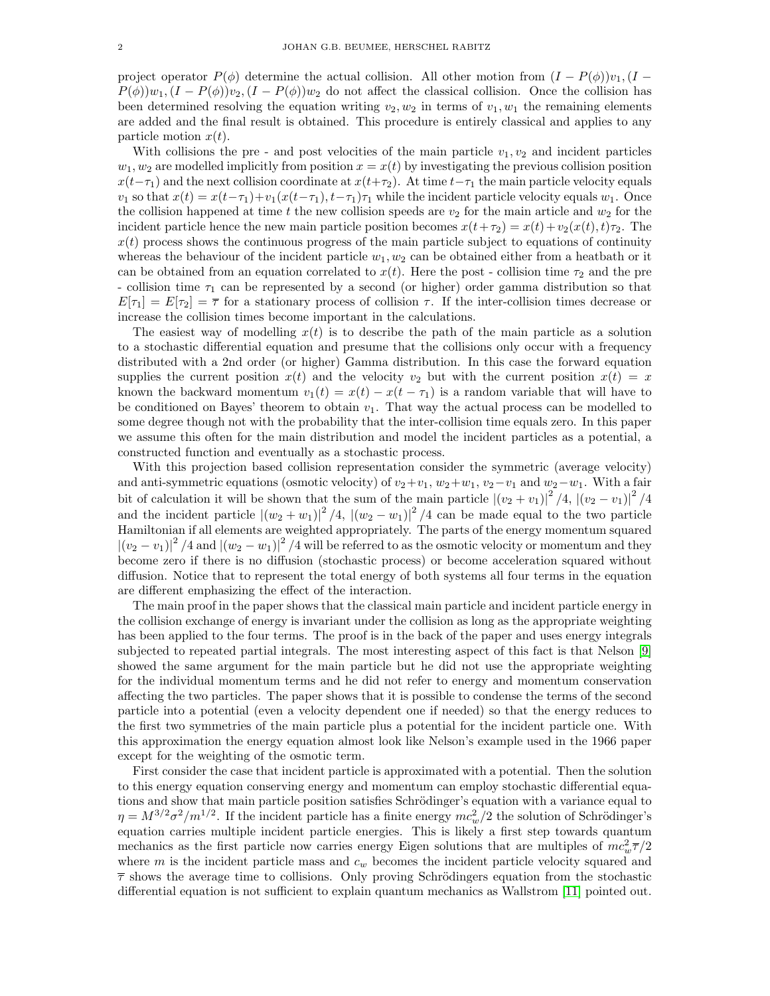project operator  $P(\phi)$  determine the actual collision. All other motion from  $(I - P(\phi))v_1$ ,  $(I - P(\phi))v_2$  $P(\phi)w_1,(I - P(\phi))w_2,(I - P(\phi))w_2$  do not affect the classical collision. Once the collision has been determined resolving the equation writing  $v_2, w_2$  in terms of  $v_1, w_1$  the remaining elements are added and the final result is obtained. This procedure is entirely classical and applies to any particle motion  $x(t)$ .

With collisions the pre- and post velocities of the main particle  $v_1, v_2$  and incident particles  $w_1, w_2$  are modelled implicitly from position  $x = x(t)$  by investigating the previous collision position  $x(t-\tau_1)$  and the next collision coordinate at  $x(t+\tau_2)$ . At time  $t-\tau_1$  the main particle velocity equals  $v_1$  so that  $x(t) = x(t-\tau_1)+v_1(x(t-\tau_1), t-\tau_1)\tau_1$  while the incident particle velocity equals  $w_1$ . Once the collision happened at time t the new collision speeds are  $v_2$  for the main article and  $w_2$  for the incident particle hence the new main particle position becomes  $x(t+\tau_2) = x(t) + v_2(x(t), t)\tau_2$ . The  $x(t)$  process shows the continuous progress of the main particle subject to equations of continuity whereas the behaviour of the incident particle  $w_1, w_2$  can be obtained either from a heatbath or it can be obtained from an equation correlated to  $x(t)$ . Here the post - collision time  $\tau_2$  and the pre - collision time  $\tau_1$  can be represented by a second (or higher) order gamma distribution so that  $E[\tau_1] = E[\tau_2] = \overline{\tau}$  for a stationary process of collision  $\tau$ . If the inter-collision times decrease or increase the collision times become important in the calculations.

The easiest way of modelling  $x(t)$  is to describe the path of the main particle as a solution to a stochastic differential equation and presume that the collisions only occur with a frequency distributed with a 2nd order (or higher) Gamma distribution. In this case the forward equation supplies the current position  $x(t)$  and the velocity  $v_2$  but with the current position  $x(t) = x$ known the backward momentum  $v_1(t) = x(t) - x(t - \tau_1)$  is a random variable that will have to be conditioned on Bayes' theorem to obtain  $v_1$ . That way the actual process can be modelled to some degree though not with the probability that the inter-collision time equals zero. In this paper we assume this often for the main distribution and model the incident particles as a potential, a constructed function and eventually as a stochastic process.

With this projection based collision representation consider the symmetric (average velocity) and anti-symmetric equations (osmotic velocity) of  $v_2+v_1$ ,  $w_2+w_1$ ,  $v_2-v_1$  and  $w_2-w_1$ . With a fair bit of calculation it will be shown that the sum of the main particle  $|(v_2 + v_1)|^2 / 4$ ,  $|(v_2 - v_1)|^2 / 4$ and the incident particle  $|(w_2 + w_1)|^2 / 4$ ,  $|(w_2 - w_1)|^2 / 4$  can be made equal to the two particle Hamiltonian if all elements are weighted appropriately. The parts of the energy momentum squared  $|(v_2 - v_1)|^2 / 4$  and  $|(w_2 - w_1)|^2 / 4$  will be referred to as the osmotic velocity or momentum and they become zero if there is no diffusion (stochastic process) or become acceleration squared without diffusion. Notice that to represent the total energy of both systems all four terms in the equation are different emphasizing the effect of the interaction.

The main proof in the paper shows that the classical main particle and incident particle energy in the collision exchange of energy is invariant under the collision as long as the appropriate weighting has been applied to the four terms. The proof is in the back of the paper and uses energy integrals subjected to repeated partial integrals. The most interesting aspect of this fact is that Nelson [\[9\]](#page-26-8) showed the same argument for the main particle but he did not use the appropriate weighting for the individual momentum terms and he did not refer to energy and momentum conservation affecting the two particles. The paper shows that it is possible to condense the terms of the second particle into a potential (even a velocity dependent one if needed) so that the energy reduces to the first two symmetries of the main particle plus a potential for the incident particle one. With this approximation the energy equation almost look like Nelson's example used in the 1966 paper except for the weighting of the osmotic term.

First consider the case that incident particle is approximated with a potential. Then the solution to this energy equation conserving energy and momentum can employ stochastic differential equations and show that main particle position satisfies Schrödinger's equation with a variance equal to  $\eta = M^{3/2} \sigma^2 / m^{1/2}$ . If the incident particle has a finite energy  $mc_w^2/2$  the solution of Schrödinger's equation carries multiple incident particle energies. This is likely a first step towards quantum mechanics as the first particle now carries energy Eigen solutions that are multiples of  $mc_w^2\overline{\tau}/2$ where m is the incident particle mass and  $c_w$  becomes the incident particle velocity squared and  $\bar{\tau}$  shows the average time to collisions. Only proving Schrödingers equation from the stochastic differential equation is not sufficient to explain quantum mechanics as Wallstrom [\[11\]](#page-26-10) pointed out.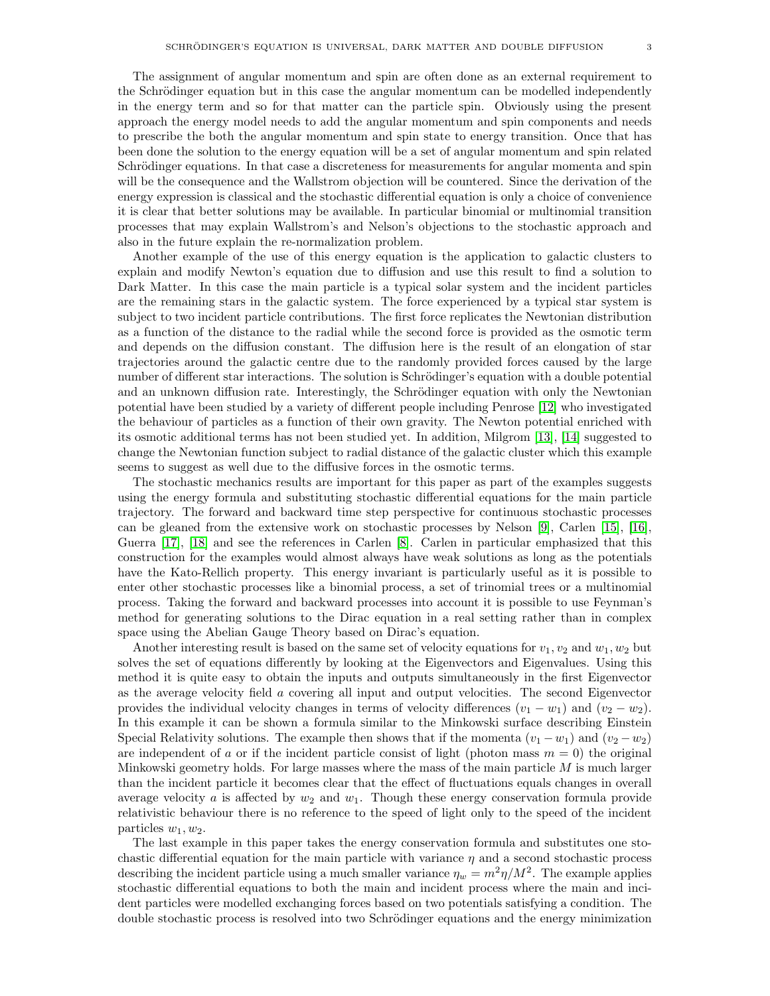The assignment of angular momentum and spin are often done as an external requirement to the Schrödinger equation but in this case the angular momentum can be modelled independently in the energy term and so for that matter can the particle spin. Obviously using the present approach the energy model needs to add the angular momentum and spin components and needs to prescribe the both the angular momentum and spin state to energy transition. Once that has been done the solution to the energy equation will be a set of angular momentum and spin related Schrödinger equations. In that case a discreteness for measurements for angular momenta and spin will be the consequence and the Wallstrom objection will be countered. Since the derivation of the energy expression is classical and the stochastic differential equation is only a choice of convenience it is clear that better solutions may be available. In particular binomial or multinomial transition processes that may explain Wallstrom's and Nelson's objections to the stochastic approach and also in the future explain the re-normalization problem.

Another example of the use of this energy equation is the application to galactic clusters to explain and modify Newton's equation due to diffusion and use this result to find a solution to Dark Matter. In this case the main particle is a typical solar system and the incident particles are the remaining stars in the galactic system. The force experienced by a typical star system is subject to two incident particle contributions. The first force replicates the Newtonian distribution as a function of the distance to the radial while the second force is provided as the osmotic term and depends on the diffusion constant. The diffusion here is the result of an elongation of star trajectories around the galactic centre due to the randomly provided forces caused by the large number of different star interactions. The solution is Schrödinger's equation with a double potential and an unknown diffusion rate. Interestingly, the Schrödinger equation with only the Newtonian potential have been studied by a variety of different people including Penrose [\[12\]](#page-26-11) who investigated the behaviour of particles as a function of their own gravity. The Newton potential enriched with its osmotic additional terms has not been studied yet. In addition, Milgrom [\[13\]](#page-26-12), [\[14\]](#page-26-13) suggested to change the Newtonian function subject to radial distance of the galactic cluster which this example seems to suggest as well due to the diffusive forces in the osmotic terms.

The stochastic mechanics results are important for this paper as part of the examples suggests using the energy formula and substituting stochastic differential equations for the main particle trajectory. The forward and backward time step perspective for continuous stochastic processes can be gleaned from the extensive work on stochastic processes by Nelson [\[9\]](#page-26-8), Carlen [\[15\]](#page-26-14), [\[16\]](#page-26-15), Guerra [\[17\]](#page-26-16), [\[18\]](#page-26-17) and see the references in Carlen [\[8\]](#page-26-7). Carlen in particular emphasized that this construction for the examples would almost always have weak solutions as long as the potentials have the Kato-Rellich property. This energy invariant is particularly useful as it is possible to enter other stochastic processes like a binomial process, a set of trinomial trees or a multinomial process. Taking the forward and backward processes into account it is possible to use Feynman's method for generating solutions to the Dirac equation in a real setting rather than in complex space using the Abelian Gauge Theory based on Dirac's equation.

Another interesting result is based on the same set of velocity equations for  $v_1, v_2$  and  $w_1, w_2$  but solves the set of equations differently by looking at the Eigenvectors and Eigenvalues. Using this method it is quite easy to obtain the inputs and outputs simultaneously in the first Eigenvector as the average velocity field a covering all input and output velocities. The second Eigenvector provides the individual velocity changes in terms of velocity differences  $(v_1 - w_1)$  and  $(v_2 - w_2)$ . In this example it can be shown a formula similar to the Minkowski surface describing Einstein Special Relativity solutions. The example then shows that if the momenta  $(v_1 - w_1)$  and  $(v_2 - w_2)$ are independent of a or if the incident particle consist of light (photon mass  $m = 0$ ) the original Minkowski geometry holds. For large masses where the mass of the main particle  $M$  is much larger than the incident particle it becomes clear that the effect of fluctuations equals changes in overall average velocity a is affected by  $w_2$  and  $w_1$ . Though these energy conservation formula provide relativistic behaviour there is no reference to the speed of light only to the speed of the incident particles  $w_1, w_2$ .

The last example in this paper takes the energy conservation formula and substitutes one stochastic differential equation for the main particle with variance  $\eta$  and a second stochastic process describing the incident particle using a much smaller variance  $\eta_w = m^2 \eta / M^2$ . The example applies stochastic differential equations to both the main and incident process where the main and incident particles were modelled exchanging forces based on two potentials satisfying a condition. The double stochastic process is resolved into two Schrödinger equations and the energy minimization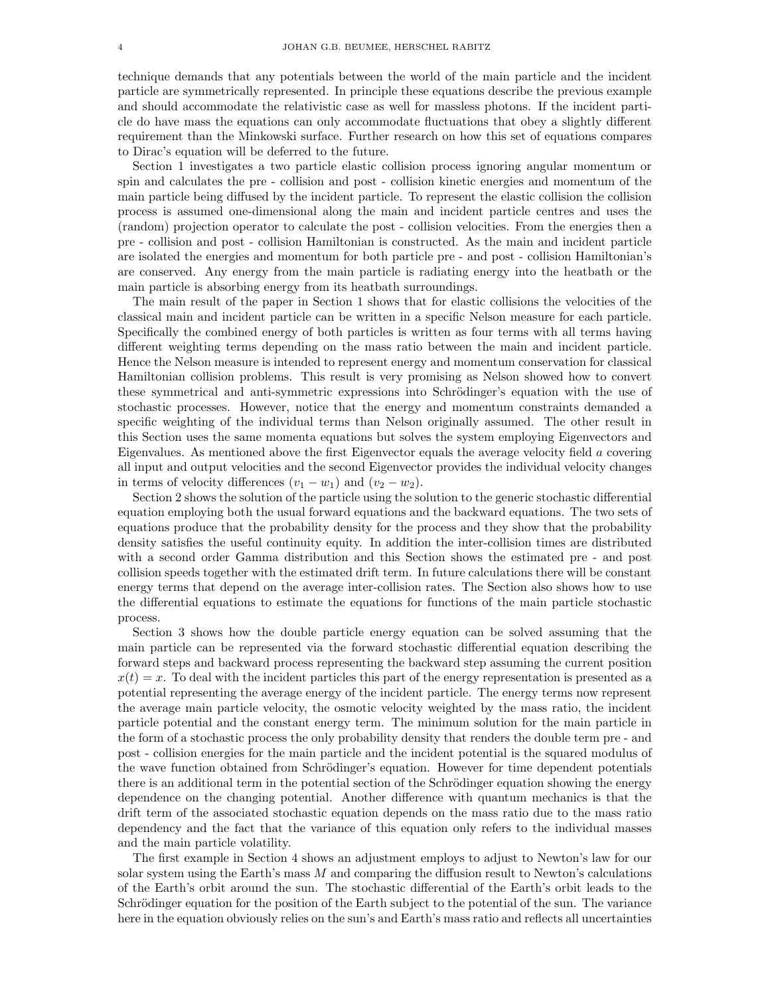technique demands that any potentials between the world of the main particle and the incident particle are symmetrically represented. In principle these equations describe the previous example and should accommodate the relativistic case as well for massless photons. If the incident particle do have mass the equations can only accommodate fluctuations that obey a slightly different requirement than the Minkowski surface. Further research on how this set of equations compares to Dirac's equation will be deferred to the future.

Section 1 investigates a two particle elastic collision process ignoring angular momentum or spin and calculates the pre - collision and post - collision kinetic energies and momentum of the main particle being diffused by the incident particle. To represent the elastic collision the collision process is assumed one-dimensional along the main and incident particle centres and uses the (random) projection operator to calculate the post - collision velocities. From the energies then a pre - collision and post - collision Hamiltonian is constructed. As the main and incident particle are isolated the energies and momentum for both particle pre - and post - collision Hamiltonian's are conserved. Any energy from the main particle is radiating energy into the heatbath or the main particle is absorbing energy from its heatbath surroundings.

The main result of the paper in Section 1 shows that for elastic collisions the velocities of the classical main and incident particle can be written in a specific Nelson measure for each particle. Specifically the combined energy of both particles is written as four terms with all terms having different weighting terms depending on the mass ratio between the main and incident particle. Hence the Nelson measure is intended to represent energy and momentum conservation for classical Hamiltonian collision problems. This result is very promising as Nelson showed how to convert these symmetrical and anti-symmetric expressions into Schrödinger's equation with the use of stochastic processes. However, notice that the energy and momentum constraints demanded a specific weighting of the individual terms than Nelson originally assumed. The other result in this Section uses the same momenta equations but solves the system employing Eigenvectors and Eigenvalues. As mentioned above the first Eigenvector equals the average velocity field a covering all input and output velocities and the second Eigenvector provides the individual velocity changes in terms of velocity differences  $(v_1 - w_1)$  and  $(v_2 - w_2)$ .

Section 2 shows the solution of the particle using the solution to the generic stochastic differential equation employing both the usual forward equations and the backward equations. The two sets of equations produce that the probability density for the process and they show that the probability density satisfies the useful continuity equity. In addition the inter-collision times are distributed with a second order Gamma distribution and this Section shows the estimated pre - and post collision speeds together with the estimated drift term. In future calculations there will be constant energy terms that depend on the average inter-collision rates. The Section also shows how to use the differential equations to estimate the equations for functions of the main particle stochastic process.

Section 3 shows how the double particle energy equation can be solved assuming that the main particle can be represented via the forward stochastic differential equation describing the forward steps and backward process representing the backward step assuming the current position  $x(t) = x$ . To deal with the incident particles this part of the energy representation is presented as a potential representing the average energy of the incident particle. The energy terms now represent the average main particle velocity, the osmotic velocity weighted by the mass ratio, the incident particle potential and the constant energy term. The minimum solution for the main particle in the form of a stochastic process the only probability density that renders the double term pre - and post - collision energies for the main particle and the incident potential is the squared modulus of the wave function obtained from Schrödinger's equation. However for time dependent potentials there is an additional term in the potential section of the Schrödinger equation showing the energy dependence on the changing potential. Another difference with quantum mechanics is that the drift term of the associated stochastic equation depends on the mass ratio due to the mass ratio dependency and the fact that the variance of this equation only refers to the individual masses and the main particle volatility.

The first example in Section 4 shows an adjustment employs to adjust to Newton's law for our solar system using the Earth's mass M and comparing the diffusion result to Newton's calculations of the Earth's orbit around the sun. The stochastic differential of the Earth's orbit leads to the Schrödinger equation for the position of the Earth subject to the potential of the sun. The variance here in the equation obviously relies on the sun's and Earth's mass ratio and reflects all uncertainties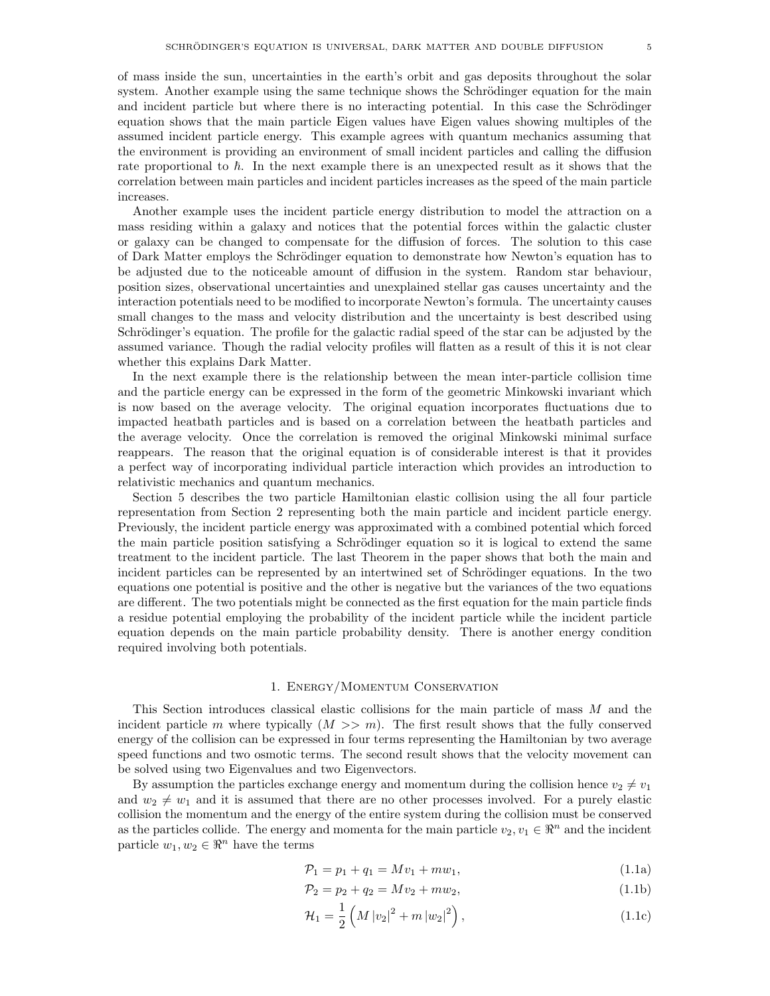of mass inside the sun, uncertainties in the earth's orbit and gas deposits throughout the solar system. Another example using the same technique shows the Schrödinger equation for the main and incident particle but where there is no interacting potential. In this case the Schrödinger equation shows that the main particle Eigen values have Eigen values showing multiples of the assumed incident particle energy. This example agrees with quantum mechanics assuming that the environment is providing an environment of small incident particles and calling the diffusion rate proportional to  $\hbar$ . In the next example there is an unexpected result as it shows that the correlation between main particles and incident particles increases as the speed of the main particle increases.

Another example uses the incident particle energy distribution to model the attraction on a mass residing within a galaxy and notices that the potential forces within the galactic cluster or galaxy can be changed to compensate for the diffusion of forces. The solution to this case of Dark Matter employs the Schrödinger equation to demonstrate how Newton's equation has to be adjusted due to the noticeable amount of diffusion in the system. Random star behaviour, position sizes, observational uncertainties and unexplained stellar gas causes uncertainty and the interaction potentials need to be modified to incorporate Newton's formula. The uncertainty causes small changes to the mass and velocity distribution and the uncertainty is best described using Schrödinger's equation. The profile for the galactic radial speed of the star can be adjusted by the assumed variance. Though the radial velocity profiles will flatten as a result of this it is not clear whether this explains Dark Matter.

In the next example there is the relationship between the mean inter-particle collision time and the particle energy can be expressed in the form of the geometric Minkowski invariant which is now based on the average velocity. The original equation incorporates fluctuations due to impacted heatbath particles and is based on a correlation between the heatbath particles and the average velocity. Once the correlation is removed the original Minkowski minimal surface reappears. The reason that the original equation is of considerable interest is that it provides a perfect way of incorporating individual particle interaction which provides an introduction to relativistic mechanics and quantum mechanics.

Section 5 describes the two particle Hamiltonian elastic collision using the all four particle representation from Section 2 representing both the main particle and incident particle energy. Previously, the incident particle energy was approximated with a combined potential which forced the main particle position satisfying a Schrödinger equation so it is logical to extend the same treatment to the incident particle. The last Theorem in the paper shows that both the main and incident particles can be represented by an intertwined set of Schrödinger equations. In the two equations one potential is positive and the other is negative but the variances of the two equations are different. The two potentials might be connected as the first equation for the main particle finds a residue potential employing the probability of the incident particle while the incident particle equation depends on the main particle probability density. There is another energy condition required involving both potentials.

#### 1. Energy/Momentum Conservation

This Section introduces classical elastic collisions for the main particle of mass M and the incident particle m where typically  $(M \gg m)$ . The first result shows that the fully conserved energy of the collision can be expressed in four terms representing the Hamiltonian by two average speed functions and two osmotic terms. The second result shows that the velocity movement can be solved using two Eigenvalues and two Eigenvectors.

By assumption the particles exchange energy and momentum during the collision hence  $v_2 \neq v_1$ and  $w_2 \neq w_1$  and it is assumed that there are no other processes involved. For a purely elastic collision the momentum and the energy of the entire system during the collision must be conserved as the particles collide. The energy and momenta for the main particle  $v_2, v_1 \in \mathbb{R}^n$  and the incident particle  $w_1, w_2 \in \mathbb{R}^n$  have the terms

<span id="page-4-1"></span><span id="page-4-0"></span>
$$
\mathcal{P}_1 = p_1 + q_1 = Mv_1 + mw_1,\tag{1.1a}
$$

<span id="page-4-3"></span><span id="page-4-2"></span>
$$
\mathcal{P}_2 = p_2 + q_2 = Mv_2 + mw_2, \tag{1.1b}
$$

$$
\mathcal{H}_1 = \frac{1}{2} \left( M \left| v_2 \right|^2 + m \left| w_2 \right|^2 \right),\tag{1.1c}
$$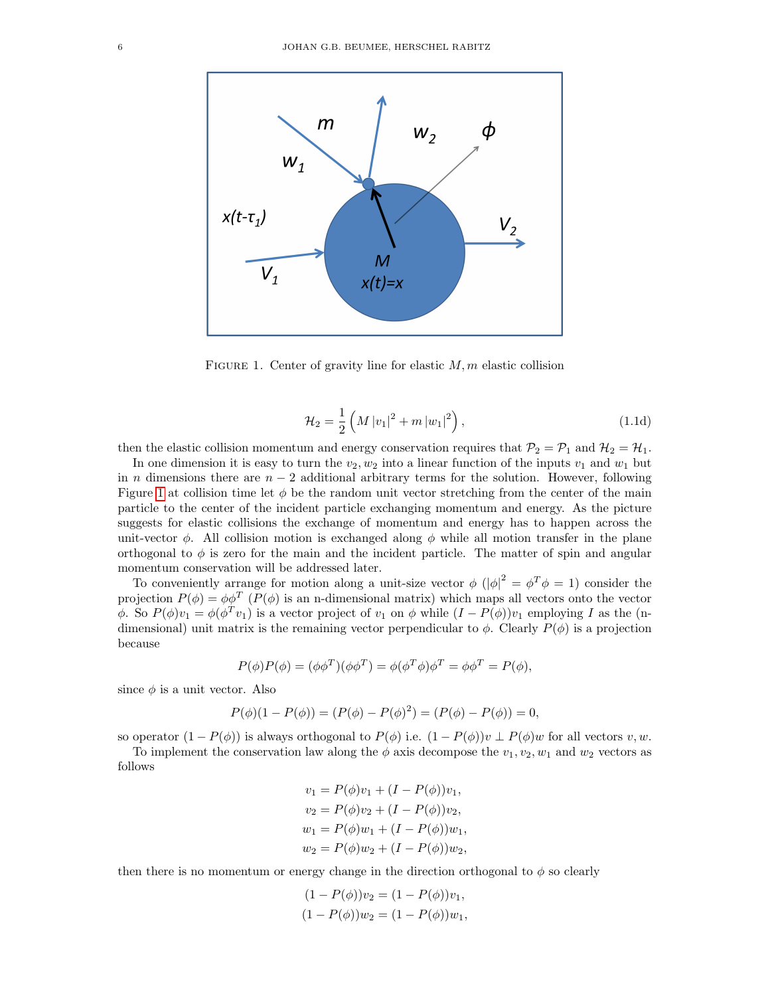

FIGURE 1. Center of gravity line for elastic  $M, m$  elastic collision

<span id="page-5-1"></span><span id="page-5-0"></span>
$$
\mathcal{H}_2 = \frac{1}{2} \left( M |v_1|^2 + m |w_1|^2 \right),\tag{1.1d}
$$

then the elastic collision momentum and energy conservation requires that  $P_2 = P_1$  and  $H_2 = H_1$ .

In one dimension it is easy to turn the  $v_2, w_2$  into a linear function of the inputs  $v_1$  and  $w_1$  but in n dimensions there are  $n-2$  additional arbitrary terms for the solution. However, following Figure [1](#page-5-0) at collision time let  $\phi$  be the random unit vector stretching from the center of the main particle to the center of the incident particle exchanging momentum and energy. As the picture suggests for elastic collisions the exchange of momentum and energy has to happen across the unit-vector  $\phi$ . All collision motion is exchanged along  $\phi$  while all motion transfer in the plane orthogonal to  $\phi$  is zero for the main and the incident particle. The matter of spin and angular momentum conservation will be addressed later.

To conveniently arrange for motion along a unit-size vector  $\phi$   $(|\phi|^2 = \phi^T \phi = 1)$  consider the projection  $P(\phi) = \phi \phi^T (P(\phi)$  is an n-dimensional matrix) which maps all vectors onto the vector φ. So  $P(\phi)v_1 = \phi(\phi^T v_1)$  is a vector project of  $v_1$  on  $\phi$  while  $(I - P(\phi))v_1$  employing I as the (ndimensional) unit matrix is the remaining vector perpendicular to  $\phi$ . Clearly  $P(\phi)$  is a projection because

$$
P(\phi)P(\phi) = (\phi\phi^T)(\phi\phi^T) = \phi(\phi^T\phi)\phi^T = \phi\phi^T = P(\phi),
$$

since  $\phi$  is a unit vector. Also

$$
P(\phi)(1 - P(\phi)) = (P(\phi) - P(\phi)^{2}) = (P(\phi) - P(\phi)) = 0,
$$

so operator  $(1 - P(\phi))$  is always orthogonal to  $P(\phi)$  i.e.  $(1 - P(\phi))v \perp P(\phi)w$  for all vectors v, w.

To implement the conservation law along the  $\phi$  axis decompose the  $v_1, v_2, w_1$  and  $w_2$  vectors as follows

$$
v_1 = P(\phi)v_1 + (I - P(\phi))v_1,
$$
  
\n
$$
v_2 = P(\phi)v_2 + (I - P(\phi))v_2,
$$
  
\n
$$
w_1 = P(\phi)w_1 + (I - P(\phi))w_1,
$$
  
\n
$$
w_2 = P(\phi)w_2 + (I - P(\phi))w_2,
$$

then there is no momentum or energy change in the direction orthogonal to  $\phi$  so clearly

$$
(1 - P(\phi))v_2 = (1 - P(\phi))v_1,
$$
  

$$
(1 - P(\phi))w_2 = (1 - P(\phi))w_1,
$$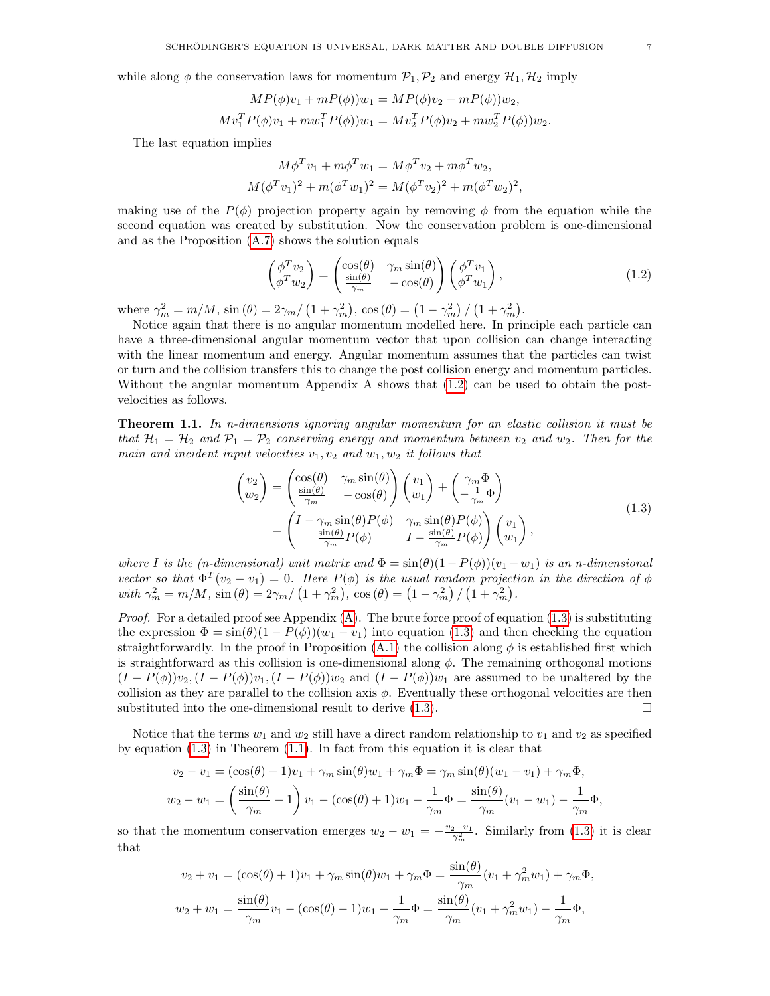while along  $\phi$  the conservation laws for momentum  $\mathcal{P}_1, \mathcal{P}_2$  and energy  $\mathcal{H}_1, \mathcal{H}_2$  imply

$$
MP(\phi)v_1 + mP(\phi))w_1 = MP(\phi)v_2 + mP(\phi))w_2,
$$
  
\n
$$
Mv_1^T P(\phi)v_1 + m w_1^T P(\phi))w_1 = Mv_2^T P(\phi)v_2 + m w_2^T P(\phi))w_2.
$$

The last equation implies

$$
M\phi^T v_1 + m\phi^T w_1 = M\phi^T v_2 + m\phi^T w_2,
$$
  

$$
M(\phi^T v_1)^2 + m(\phi^T w_1)^2 = M(\phi^T v_2)^2 + m(\phi^T w_2)^2,
$$

making use of the  $P(\phi)$  projection property again by removing  $\phi$  from the equation while the second equation was created by substitution. Now the conservation problem is one-dimensional and as the Proposition [\(A.7\)](#page-28-0) shows the solution equals

<span id="page-6-0"></span>
$$
\begin{pmatrix}\n\phi^T v_2 \\
\phi^T w_2\n\end{pmatrix} = \begin{pmatrix}\n\cos(\theta) & \gamma_m \sin(\theta) \\
\frac{\sin(\theta)}{\gamma_m} & -\cos(\theta)\n\end{pmatrix} \begin{pmatrix}\n\phi^T v_1 \\
\phi^T w_1\n\end{pmatrix},
$$
\n(1.2)

where  $\gamma_m^2 = m/M$ ,  $\sin(\theta) = 2\gamma_m / (1 + \gamma_m^2)$ ,  $\cos(\theta) = (1 - \gamma_m^2) / (1 + \gamma_m^2)$ .

Notice again that there is no angular momentum modelled here. In principle each particle can have a three-dimensional angular momentum vector that upon collision can change interacting with the linear momentum and energy. Angular momentum assumes that the particles can twist or turn and the collision transfers this to change the post collision energy and momentum particles. Without the angular momentum Appendix A shows that [\(1.2\)](#page-6-0) can be used to obtain the postvelocities as follows.

<span id="page-6-2"></span>**Theorem 1.1.** In n-dimensions ignoring angular momentum for an elastic collision it must be that  $\mathcal{H}_1 = \mathcal{H}_2$  and  $\mathcal{P}_1 = \mathcal{P}_2$  conserving energy and momentum between  $v_2$  and  $w_2$ . Then for the main and incident input velocities  $v_1, v_2$  and  $w_1, w_2$  it follows that

<span id="page-6-1"></span>
$$
\begin{pmatrix} v_2 \\ w_2 \end{pmatrix} = \begin{pmatrix} \cos(\theta) & \gamma_m \sin(\theta) \\ \frac{\sin(\theta)}{\gamma_m} & -\cos(\theta) \end{pmatrix} \begin{pmatrix} v_1 \\ w_1 \end{pmatrix} + \begin{pmatrix} \gamma_m \Phi \\ -\frac{1}{\gamma_m} \Phi \end{pmatrix}
$$

$$
= \begin{pmatrix} I - \gamma_m \sin(\theta) P(\phi) & \gamma_m \sin(\theta) P(\phi) \\ \frac{\sin(\theta)}{\gamma_m} P(\phi) & I - \frac{\sin(\theta)}{\gamma_m} P(\phi) \end{pmatrix} \begin{pmatrix} v_1 \\ w_1 \end{pmatrix},
$$
(1.3)

where I is the (n-dimensional) unit matrix and  $\Phi = \sin(\theta)(1-P(\phi))(v_1-w_1)$  is an n-dimensional vector so that  $\Phi^T(v_2 - v_1) = 0$ . Here  $P(\phi)$  is the usual random projection in the direction of  $\phi$ with  $\gamma_m^2 = m/M$ ,  $\sin (\theta) = 2\gamma_m / (1 + \gamma_m^2)$ ,  $\cos (\theta) = (1 - \gamma_m^2) / (1 + \gamma_m^2)$ .

*Proof.* For a detailed proof see Appendix  $(A)$ . The brute force proof of equation  $(1.3)$  is substituting the expression  $\Phi = \sin(\theta)(1 - P(\phi))(w_1 - v_1)$  into equation [\(1.3\)](#page-6-1) and then checking the equation straightforwardly. In the proof in Proposition  $(A.1)$  the collision along  $\phi$  is established first which is straightforward as this collision is one-dimensional along  $\phi$ . The remaining orthogonal motions  $(I - P(\phi))v_2$ ,  $(I - P(\phi))v_1$ ,  $(I - P(\phi))w_2$  and  $(I - P(\phi))w_1$  are assumed to be unaltered by the collision as they are parallel to the collision axis  $\phi$ . Eventually these orthogonal velocities are then substituted into the one-dimensional result to derive  $(1.3)$ .

Notice that the terms  $w_1$  and  $w_2$  still have a direct random relationship to  $v_1$  and  $v_2$  as specified by equation  $(1.3)$  in Theorem  $(1.1)$ . In fact from this equation it is clear that

$$
v_2 - v_1 = (\cos(\theta) - 1)v_1 + \gamma_m \sin(\theta)w_1 + \gamma_m \Phi = \gamma_m \sin(\theta)(w_1 - v_1) + \gamma_m \Phi,
$$
  

$$
w_2 - w_1 = \left(\frac{\sin(\theta)}{\gamma_m} - 1\right)v_1 - (\cos(\theta) + 1)w_1 - \frac{1}{\gamma_m} \Phi = \frac{\sin(\theta)}{\gamma_m}(v_1 - w_1) - \frac{1}{\gamma_m} \Phi,
$$

so that the momentum conservation emerges  $w_2 - w_1 = -\frac{v_2 - v_1}{\gamma_m^2}$ . Similarly from [\(1.3\)](#page-6-1) it is clear that

$$
v_2 + v_1 = (\cos(\theta) + 1)v_1 + \gamma_m \sin(\theta)w_1 + \gamma_m \Phi = \frac{\sin(\theta)}{\gamma_m}(v_1 + \gamma_m^2 w_1) + \gamma_m \Phi,
$$
  

$$
w_2 + w_1 = \frac{\sin(\theta)}{\gamma_m}v_1 - (\cos(\theta) - 1)w_1 - \frac{1}{\gamma_m} \Phi = \frac{\sin(\theta)}{\gamma_m}(v_1 + \gamma_m^2 w_1) - \frac{1}{\gamma_m} \Phi,
$$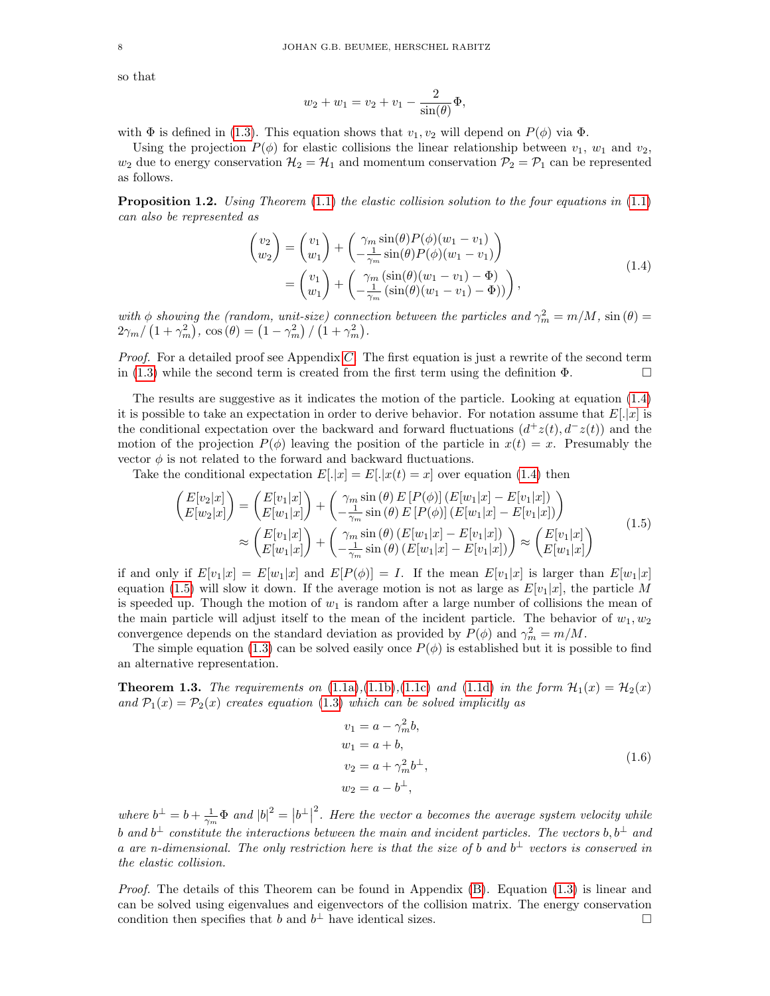so that

<span id="page-7-0"></span>
$$
w_2 + w_1 = v_2 + v_1 - \frac{2}{\sin(\theta)}\Phi,
$$

with  $\Phi$  is defined in [\(1.3\)](#page-6-1). This equation shows that  $v_1, v_2$  will depend on  $P(\phi)$  via  $\Phi$ .

Using the projection  $P(\phi)$  for elastic collisions the linear relationship between  $v_1, w_1$  and  $v_2$ ,  $w_2$  due to energy conservation  $\mathcal{H}_2 = \mathcal{H}_1$  and momentum conservation  $\mathcal{P}_2 = \mathcal{P}_1$  can be represented as follows.

<span id="page-7-4"></span>**Proposition 1.2.** Using Theorem  $(1.1)$  the elastic collision solution to the four equations in  $(1.1)$ can also be represented as

$$
\begin{aligned}\n\begin{pmatrix} v_2 \\ w_2 \end{pmatrix} &= \begin{pmatrix} v_1 \\ w_1 \end{pmatrix} + \begin{pmatrix} \gamma_m \sin(\theta) P(\phi)(w_1 - v_1) \\ -\frac{1}{\gamma_m} \sin(\theta) P(\phi)(w_1 - v_1) \end{pmatrix} \\
&= \begin{pmatrix} v_1 \\ w_1 \end{pmatrix} + \begin{pmatrix} \gamma_m (\sin(\theta)(w_1 - v_1) - \Phi) \\ -\frac{1}{\gamma_m} (\sin(\theta)(w_1 - v_1) - \Phi)) \end{pmatrix},\n\end{aligned} \tag{1.4}
$$

with  $\phi$  showing the (random, unit-size) connection between the particles and  $\gamma_m^2 = m/M$ ,  $\sin(\theta) =$  $2\gamma_m/\left(1+\gamma_m^2\right),\,\cos\left(\theta\right)=\left(1-\gamma_m^2\right)/\left(1+\gamma_m^2\right).$ 

*Proof.* For a detailed proof see Appendix  $C$ . The first equation is just a rewrite of the second term in [\(1.3\)](#page-6-1) while the second term is created from the first term using the definition  $\Phi$ .

The results are suggestive as it indicates the motion of the particle. Looking at equation [\(1.4\)](#page-7-0) it is possible to take an expectation in order to derive behavior. For notation assume that  $E[.x]$  is the conditional expectation over the backward and forward fluctuations  $(d^+z(t), d^-z(t))$  and the motion of the projection  $P(\phi)$  leaving the position of the particle in  $x(t) = x$ . Presumably the vector  $\phi$  is not related to the forward and backward fluctuations.

Take the conditional expectation  $E[.]x] = E[.]x(t) = x$  over equation [\(1.4\)](#page-7-0) then

$$
\begin{aligned}\n\left(\begin{aligned}\nE[v_2|x] \\
E[w_2|x]\n\end{aligned}\right) &= \left(\begin{aligned}\nE[v_1|x] \\
E[w_1|x]\n\end{aligned}\right) + \left(\begin{aligned}\n\gamma_m \sin(\theta) E[P(\phi)] (E[w_1|x] - E[v_1|x]) \\
\frac{1}{\gamma_m} \sin(\theta) E[P(\phi)] (E[w_1|x] - E[v_1|x])\n\end{aligned}\right) \\
&\approx \left(\begin{aligned}\nE[v_1|x] \\
E[w_1|x]\n\end{aligned}\right) + \left(\begin{aligned}\n\gamma_m \sin(\theta) (E[w_1|x] - E[v_1|x]) \\
\frac{1}{\gamma_m} \sin(\theta) (E[w_1|x] - E[v_1|x])\n\end{aligned}\right) \approx \left(\begin{aligned}\nE[v_1|x] \\
E[w_1|x]\n\end{aligned}\right)\n\end{aligned} \tag{1.5}
$$

if and only if  $E[v_1|x] = E[w_1|x]$  and  $E[P(\phi)] = I$ . If the mean  $E[v_1|x]$  is larger than  $E[w_1|x]$ equation [\(1.5\)](#page-7-1) will slow it down. If the average motion is not as large as  $E[v_1|x]$ , the particle M is speeded up. Though the motion of  $w_1$  is random after a large number of collisions the mean of the main particle will adjust itself to the mean of the incident particle. The behavior of  $w_1, w_2$ convergence depends on the standard deviation as provided by  $P(\phi)$  and  $\gamma_m^2 = m/M$ .

The simple equation [\(1.3\)](#page-6-1) can be solved easily once  $P(\phi)$  is established but it is possible to find an alternative representation.

<span id="page-7-3"></span>**Theorem 1.3.** The requirements on  $(1.1a), (1.1b), (1.1c)$  $(1.1a), (1.1b), (1.1c)$  $(1.1a), (1.1b), (1.1c)$  $(1.1a), (1.1b), (1.1c)$  $(1.1a), (1.1b), (1.1c)$  and  $(1.1d)$  in the form  $\mathcal{H}_1(x) = \mathcal{H}_2(x)$ and  $\mathcal{P}_1(x) = \mathcal{P}_2(x)$  creates equation [\(1.3\)](#page-6-1) which can be solved implicitly as

<span id="page-7-2"></span><span id="page-7-1"></span>
$$
v_1 = a - \gamma_m^2 b,
$$
  
\n
$$
w_1 = a + b,
$$
  
\n
$$
v_2 = a + \gamma_m^2 b^{\perp},
$$
  
\n
$$
w_2 = a - b^{\perp},
$$
  
\n(1.6)

where  $b^{\perp} = b + \frac{1}{\gamma_m} \Phi$  and  $|b|^2 = |b^{\perp}|$  $\mu^2$ . Here the vector a becomes the average system velocity while b and  $b^{\perp}$  constitute the interactions between the main and incident particles. The vectors  $b, b^{\perp}$  and a are n-dimensional. The only restriction here is that the size of b and  $b^{\perp}$  vectors is conserved in the elastic collision.

*Proof.* The details of this Theorem can be found in Appendix  $(B)$ . Equation  $(1.3)$  is linear and can be solved using eigenvalues and eigenvectors of the collision matrix. The energy conservation condition then specifies that b and  $b^{\perp}$  have identical sizes.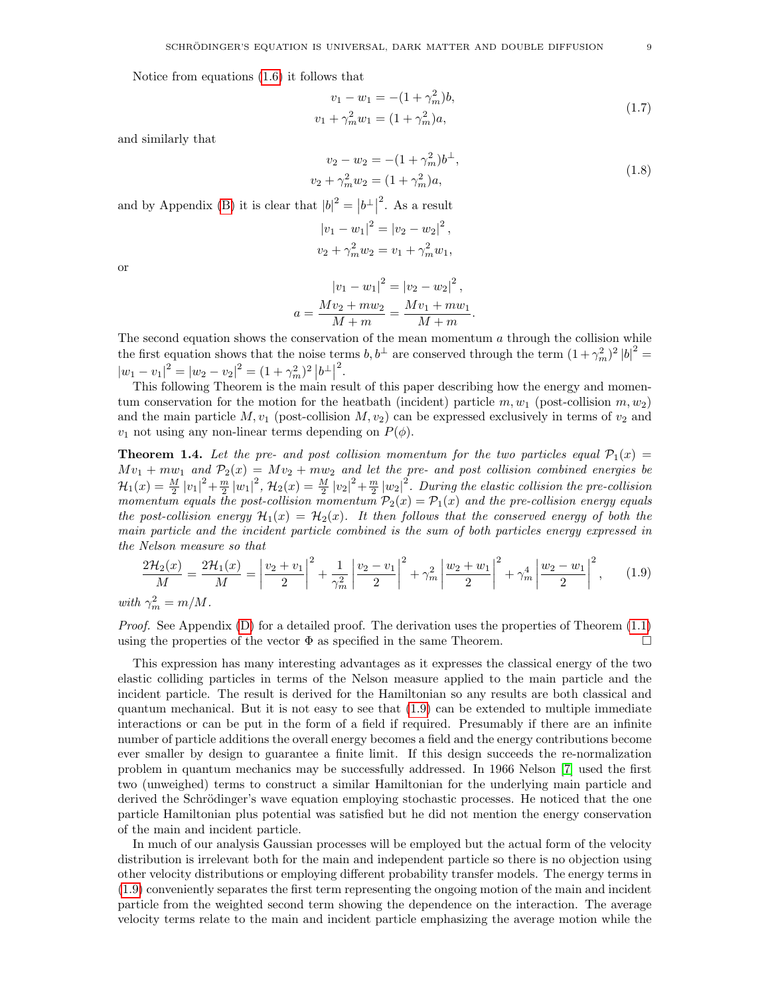Notice from equations [\(1.6\)](#page-7-2) it follows that

$$
v_1 - w_1 = -(1 + \gamma_m^2)b,
$$
  
\n
$$
v_1 + \gamma_m^2 w_1 = (1 + \gamma_m^2)a,
$$
\n(1.7)

and similarly that

$$
v_2 - w_2 = -(1 + \gamma_m^2)b^{\perp},
$$
  
\n
$$
v_2 + \gamma_m^2 w_2 = (1 + \gamma_m^2)a,
$$
  
\nand by Appendix (B) it is clear that  $|b|^2 = |b^{\perp}|^2$ . As a result  
\n
$$
|v_1 - w_1|^2 = |v_2 - w_2|^2,
$$
  
\n
$$
v_2 + \gamma_m^2 w_2 = v_1 + \gamma_m^2 w_1,
$$
  
\nor  
\n
$$
|v_1 - w_1|^2 = |v_2 - w_2|^2,
$$
  
\n
$$
a = \frac{Mv_2 + mw_2}{M + m} = \frac{Mv_1 + mw_1}{M + m}.
$$
  
\n(1.8)

or

The second equation shows the conservation of the mean momentum a through the collision while  
the first equation shows that the noise terms 
$$
b, b^{\perp}
$$
 are conserved through the term  $(1 + \gamma_m^2)^2 |b|^2 =$   
 $|w_1 - v_1|^2 = |w_2 - v_2|^2 = (1 + \gamma_m^2)^2 |b^{\perp}|^2$ .  
This following Theorem is the main result of this paper describing how the energy and momen-

tum conservation for the motion for the heatbath (incident) particle  $m, w_1$  (post-collision  $m, w_2$ ) and the main particle  $M, v_1$  (post-collision  $M, v_2$ ) can be expressed exclusively in terms of  $v_2$  and  $v_1$  not using any non-linear terms depending on  $P(\phi)$ .

<span id="page-8-1"></span>**Theorem 1.4.** Let the pre- and post collision momentum for the two particles equal  $\mathcal{P}_1(x)$  =  $Mv_1 + mw_1$  and  $\mathcal{P}_2(x) = Mv_2 + mw_2$  and let the pre- and post collision combined energies be  $\mathcal{H}_1(x)=\frac{M}{2}|v_1|^2+\frac{m}{2}|w_1|^2$ ,  $\mathcal{H}_2(x)=\frac{M}{2}|v_2|^2+\frac{m}{2}|w_2|^2$ . During the elastic collision the pre-collision momentum equals the post-collision momentum  $\mathcal{P}_2(x) = \mathcal{P}_1(x)$  and the pre-collision energy equals the post-collision energy  $\mathcal{H}_1(x) = \mathcal{H}_2(x)$ . It then follows that the conserved energy of both the main particle and the incident particle combined is the sum of both particles energy expressed in the Nelson measure so that

<span id="page-8-0"></span>
$$
\frac{2\mathcal{H}_2(x)}{M} = \frac{2\mathcal{H}_1(x)}{M} = \left| \frac{v_2 + v_1}{2} \right|^2 + \frac{1}{\gamma_m^2} \left| \frac{v_2 - v_1}{2} \right|^2 + \gamma_m^2 \left| \frac{w_2 + w_1}{2} \right|^2 + \gamma_m^4 \left| \frac{w_2 - w_1}{2} \right|^2, \tag{1.9}
$$

with  $\gamma_m^2 = m/M$ .

*Proof.* See Appendix  $(D)$  for a detailed proof. The derivation uses the properties of Theorem  $(1.1)$ using the properties of the vector  $\Phi$  as specified in the same Theorem.

This expression has many interesting advantages as it expresses the classical energy of the two elastic colliding particles in terms of the Nelson measure applied to the main particle and the incident particle. The result is derived for the Hamiltonian so any results are both classical and quantum mechanical. But it is not easy to see that [\(1.9\)](#page-8-0) can be extended to multiple immediate interactions or can be put in the form of a field if required. Presumably if there are an infinite number of particle additions the overall energy becomes a field and the energy contributions become ever smaller by design to guarantee a finite limit. If this design succeeds the re-normalization problem in quantum mechanics may be successfully addressed. In 1966 Nelson [\[7\]](#page-26-6) used the first two (unweighed) terms to construct a similar Hamiltonian for the underlying main particle and derived the Schrödinger's wave equation employing stochastic processes. He noticed that the one particle Hamiltonian plus potential was satisfied but he did not mention the energy conservation of the main and incident particle.

In much of our analysis Gaussian processes will be employed but the actual form of the velocity distribution is irrelevant both for the main and independent particle so there is no objection using other velocity distributions or employing different probability transfer models. The energy terms in [\(1.9\)](#page-8-0) conveniently separates the first term representing the ongoing motion of the main and incident particle from the weighted second term showing the dependence on the interaction. The average velocity terms relate to the main and incident particle emphasizing the average motion while the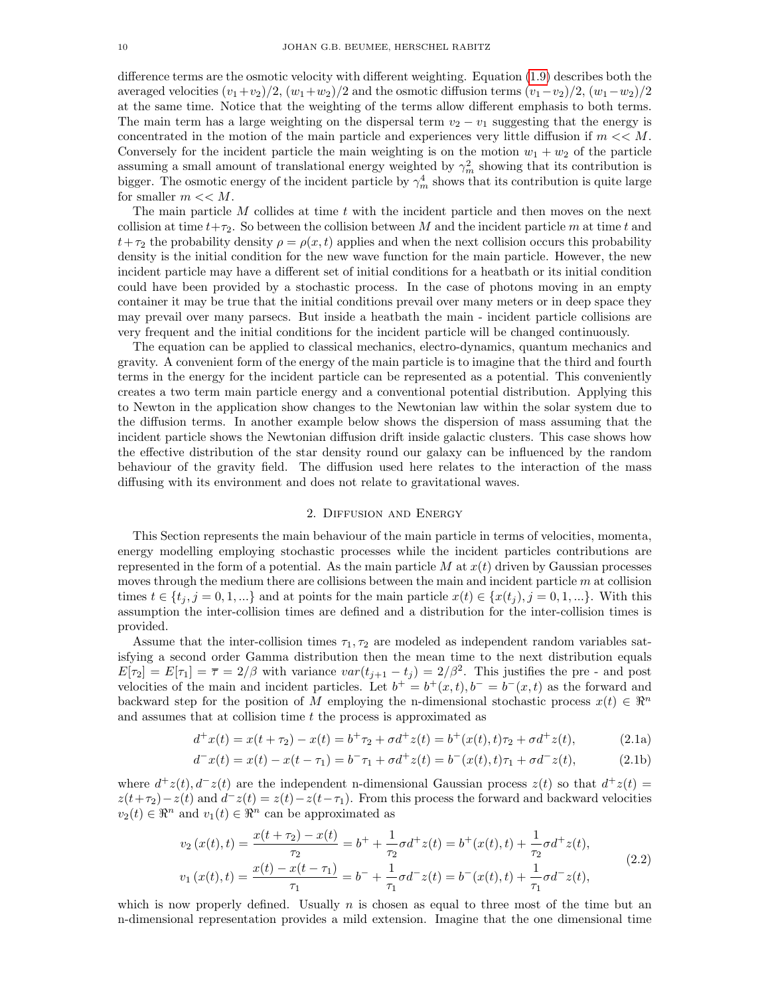difference terms are the osmotic velocity with different weighting. Equation [\(1.9\)](#page-8-0) describes both the averaged velocities  $(v_1+v_2)/2$ ,  $(w_1+w_2)/2$  and the osmotic diffusion terms  $(v_1-v_2)/2$ ,  $(w_1-w_2)/2$ at the same time. Notice that the weighting of the terms allow different emphasis to both terms. The main term has a large weighting on the dispersal term  $v_2 - v_1$  suggesting that the energy is concentrated in the motion of the main particle and experiences very little diffusion if  $m \ll M$ . Conversely for the incident particle the main weighting is on the motion  $w_1 + w_2$  of the particle assuming a small amount of translational energy weighted by  $\gamma_m^2$  showing that its contribution is bigger. The osmotic energy of the incident particle by  $\gamma_m^4$  shows that its contribution is quite large for smaller  $m \ll M$ .

The main particle M collides at time t with the incident particle and then moves on the next collision at time  $t+\tau_2$ . So between the collision between M and the incident particle m at time t and  $t+\tau_2$  the probability density  $\rho = \rho(x, t)$  applies and when the next collision occurs this probability density is the initial condition for the new wave function for the main particle. However, the new incident particle may have a different set of initial conditions for a heatbath or its initial condition could have been provided by a stochastic process. In the case of photons moving in an empty container it may be true that the initial conditions prevail over many meters or in deep space they may prevail over many parsecs. But inside a heatbath the main - incident particle collisions are very frequent and the initial conditions for the incident particle will be changed continuously.

The equation can be applied to classical mechanics, electro-dynamics, quantum mechanics and gravity. A convenient form of the energy of the main particle is to imagine that the third and fourth terms in the energy for the incident particle can be represented as a potential. This conveniently creates a two term main particle energy and a conventional potential distribution. Applying this to Newton in the application show changes to the Newtonian law within the solar system due to the diffusion terms. In another example below shows the dispersion of mass assuming that the incident particle shows the Newtonian diffusion drift inside galactic clusters. This case shows how the effective distribution of the star density round our galaxy can be influenced by the random behaviour of the gravity field. The diffusion used here relates to the interaction of the mass diffusing with its environment and does not relate to gravitational waves.

#### <span id="page-9-1"></span><span id="page-9-0"></span>2. Diffusion and Energy

This Section represents the main behaviour of the main particle in terms of velocities, momenta, energy modelling employing stochastic processes while the incident particles contributions are represented in the form of a potential. As the main particle M at  $x(t)$  driven by Gaussian processes moves through the medium there are collisions between the main and incident particle  $m$  at collision times  $t \in \{t_j, j = 0, 1, ...\}$  and at points for the main particle  $x(t) \in \{x(t_j), j = 0, 1, ...\}$ . With this assumption the inter-collision times are defined and a distribution for the inter-collision times is provided.

Assume that the inter-collision times  $\tau_1, \tau_2$  are modeled as independent random variables satisfying a second order Gamma distribution then the mean time to the next distribution equals  $E[\tau_2] = E[\tau_1] = \overline{\tau} = 2/\beta$  with variance  $var(t_{j+1} - t_j) = 2/\beta^2$ . This justifies the pre- and post velocities of the main and incident particles. Let  $b^+ = b^+(x,t)$ ,  $b^- = b^-(x,t)$  as the forward and backward step for the position of M employing the n-dimensional stochastic process  $x(t) \in \mathbb{R}^n$ and assumes that at collision time t the process is approximated as

$$
d^+x(t) = x(t + \tau_2) - x(t) = b^+\tau_2 + \sigma d^+z(t) = b^+(x(t), t)\tau_2 + \sigma d^+z(t),
$$
\n(2.1a)

<span id="page-9-2"></span>
$$
d^-x(t) = x(t) - x(t - \tau_1) = b^- \tau_1 + \sigma d^+ z(t) = b^-(x(t), t)\tau_1 + \sigma d^- z(t), \tag{2.1b}
$$

where  $d^+z(t)$ ,  $d^-z(t)$  are the independent n-dimensional Gaussian process  $z(t)$  so that  $d^+z(t)$  $z(t+\tau_2) - z(t)$  and  $d^-z(t) = z(t) - z(t-\tau_1)$ . From this process the forward and backward velocities  $v_2(t) \in \mathbb{R}^n$  and  $v_1(t) \in \mathbb{R}^n$  can be approximated as

$$
v_2(x(t),t) = \frac{x(t+\tau_2) - x(t)}{\tau_2} = b^+ + \frac{1}{\tau_2}\sigma d^+ z(t) = b^+(x(t),t) + \frac{1}{\tau_2}\sigma d^+ z(t),
$$
  
\n
$$
v_1(x(t),t) = \frac{x(t) - x(t-\tau_1)}{\tau_1} = b^- + \frac{1}{\tau_1}\sigma d^- z(t) = b^-(x(t),t) + \frac{1}{\tau_1}\sigma d^- z(t),
$$
\n(2.2)

which is now properly defined. Usually  $n$  is chosen as equal to three most of the time but an n-dimensional representation provides a mild extension. Imagine that the one dimensional time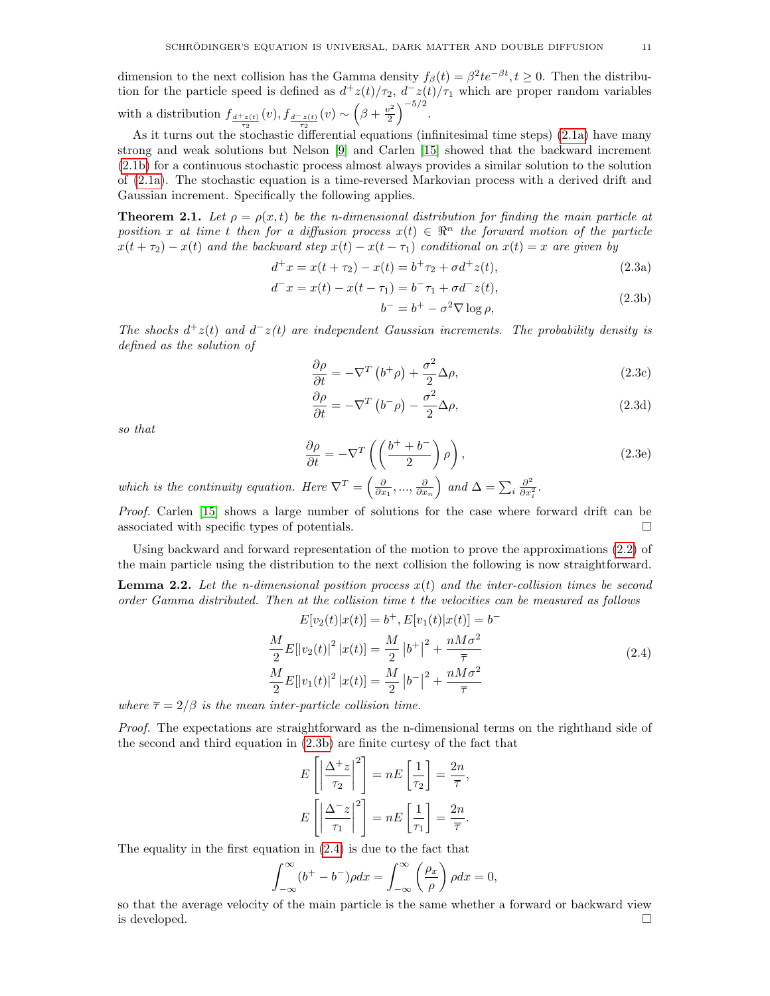dimension to the next collision has the Gamma density  $f_\beta(t) = \beta^2 t e^{-\beta t}, t \ge 0$ . Then the distribution for the particle speed is defined as  $d^{\dagger}z(t)/\tau_2$ ,  $d^-z(t)/\tau_1$  which are proper random variables

with a distribution  $f_{\frac{d^+z(t)}{\tau_2}}(v)$ ,  $f_{\frac{d^-z(t)}{\tau_2}}(v) \sim \left(\beta + \frac{v^2}{2}\right)$  $\frac{1}{2}$  $\bigg)^{-5/2}$ .

As it turns out the stochastic differential equations (infinitesimal time steps) [\(2.1a\)](#page-9-0) have many strong and weak solutions but Nelson [\[9\]](#page-26-8) and Carlen [\[15\]](#page-26-14) showed that the backward increment [\(2.1b\)](#page-9-1) for a continuous stochastic process almost always provides a similar solution to the solution of [\(2.1a\)](#page-9-0). The stochastic equation is a time-reversed Markovian process with a derived drift and Gaussian increment. Specifically the following applies.

<span id="page-10-3"></span>**Theorem 2.1.** Let  $\rho = \rho(x, t)$  be the n-dimensional distribution for finding the main particle at position x at time t then for a diffusion process  $x(t) \in \mathbb{R}^n$  the forward motion of the particle  $x(t + \tau_2) - x(t)$  and the backward step  $x(t) - x(t - \tau_1)$  conditional on  $x(t) = x$  are given by

$$
d^+x = x(t + \tau_2) - x(t) = b^+\tau_2 + \sigma d^+z(t),
$$
\n(2.3a)

$$
d^{-}x = x(t) - x(t - \tau_1) = b^{-} \tau_1 + \sigma d^{-}z(t),
$$
  
\n
$$
b^{-} = b^{+} - \sigma^{2} \nabla \log \rho,
$$
\n(2.3b)

The shocks  $d^+z(t)$  and  $d^-z(t)$  are independent Gaussian increments. The probability density is defined as the solution of

<span id="page-10-5"></span><span id="page-10-4"></span><span id="page-10-0"></span>
$$
\frac{\partial \rho}{\partial t} = -\nabla^T \left( b^+ \rho \right) + \frac{\sigma^2}{2} \Delta \rho, \tag{2.3c}
$$

<span id="page-10-6"></span><span id="page-10-2"></span>
$$
\frac{\partial \rho}{\partial t} = -\nabla^T (b^- \rho) - \frac{\sigma^2}{2} \Delta \rho,
$$
\n(2.3d)

so that

$$
\frac{\partial \rho}{\partial t} = -\nabla^T \left( \left( \frac{b^+ + b^-}{2} \right) \rho \right),\tag{2.3e}
$$

which is the continuity equation. Here  $\nabla^T = \left(\frac{\partial}{\partial x_1}, \dots, \frac{\partial}{\partial x_n}\right)$  and  $\Delta = \sum_i \frac{\partial^2}{\partial x_i^2}$  $\frac{\partial^2}{\partial x_i^2}$ .

Proof. Carlen [\[15\]](#page-26-14) shows a large number of solutions for the case where forward drift can be associated with specific types of potentials.  $\Box$ 

Using backward and forward representation of the motion to prove the approximations [\(2.2\)](#page-9-2) of the main particle using the distribution to the next collision the following is now straightforward.

**Lemma 2.2.** Let the *n*-dimensional position process  $x(t)$  and the inter-collision times be second order Gamma distributed. Then at the collision time t the velocities can be measured as follows

$$
E[v_2(t)|x(t)] = b^+, E[v_1(t)|x(t)] = b^-
$$
  

$$
\frac{M}{2}E[|v_2(t)|^2 |x(t)] = \frac{M}{2} |b^+|^2 + \frac{nM\sigma^2}{\overline{\tau}}
$$
  

$$
\frac{M}{2}E[|v_1(t)|^2 |x(t)] = \frac{M}{2} |b^-|^2 + \frac{nM\sigma^2}{\overline{\tau}}
$$
 (2.4)

where  $\bar{\tau} = 2/\beta$  is the mean inter-particle collision time.

Proof. The expectations are straightforward as the n-dimensional terms on the righthand side of the second and third equation in [\(2.3b\)](#page-10-0) are finite curtesy of the fact that

<span id="page-10-1"></span>
$$
E\left[\left|\frac{\Delta^+ z}{\tau_2}\right|^2\right] = nE\left[\frac{1}{\tau_2}\right] = \frac{2n}{\overline{\tau}},
$$

$$
E\left[\left|\frac{\Delta^- z}{\tau_1}\right|^2\right] = nE\left[\frac{1}{\tau_1}\right] = \frac{2n}{\overline{\tau}}.
$$

The equality in the first equation in [\(2.4\)](#page-10-1) is due to the fact that

$$
\int_{-\infty}^{\infty} (b^+ - b^-) \rho dx = \int_{-\infty}^{\infty} \left(\frac{\rho_x}{\rho}\right) \rho dx = 0,
$$

so that the average velocity of the main particle is the same whether a forward or backward view is developed.  $\square$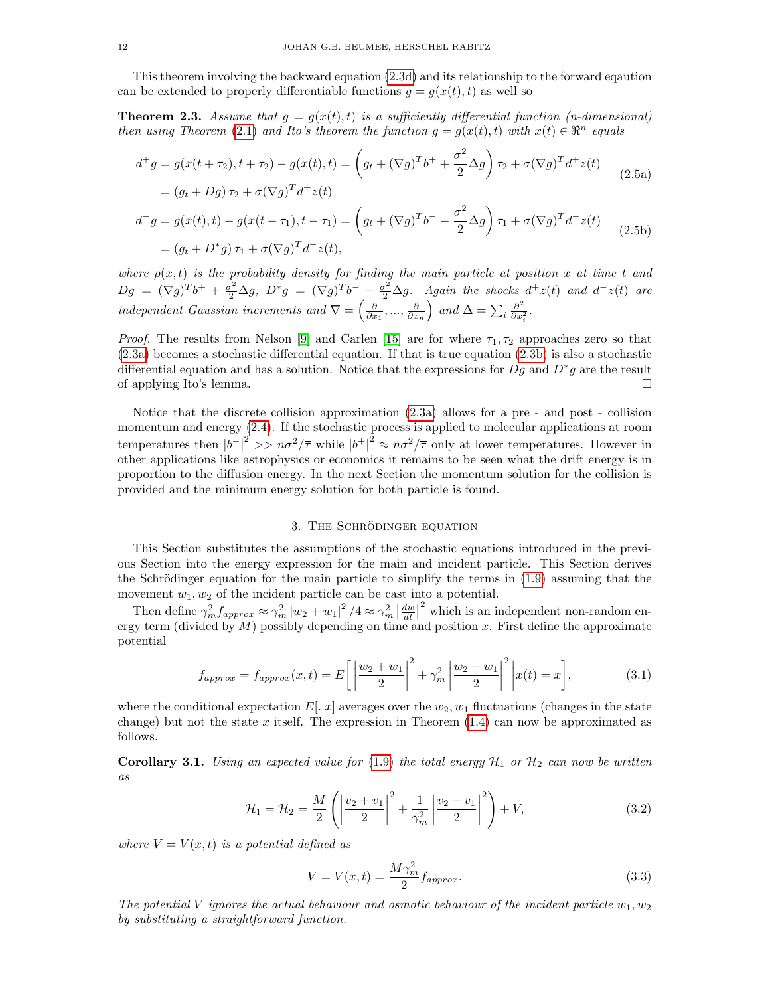This theorem involving the backward equation [\(2.3d\)](#page-10-2) and its relationship to the forward eqaution can be extended to properly differentiable functions  $q = q(x(t), t)$  as well so

**Theorem 2.3.** Assume that  $g = g(x(t), t)$  is a sufficiently differential function (*n*-dimensional) then using Theorem [\(2.1\)](#page-10-3) and Ito's theorem the function  $g = g(x(t), t)$  with  $x(t) \in \mathbb{R}^n$  equals

$$
d^+g = g(x(t + \tau_2), t + \tau_2) - g(x(t), t) = \left(g_t + (\nabla g)^T b^+ + \frac{\sigma^2}{2} \Delta g\right) \tau_2 + \sigma (\nabla g)^T d^+ z(t)
$$
  
=  $(g_t + Dg) \tau_2 + \sigma (\nabla g)^T d^+ z(t)$  (2.5a)

$$
d^-g = g(x(t), t) - g(x(t - \tau_1), t - \tau_1) = \left(g_t + (\nabla g)^T b^- - \frac{\sigma^2}{2} \Delta g\right) \tau_1 + \sigma (\nabla g)^T d^- z(t)
$$
  
=  $(g_t + D^* g) \tau_1 + \sigma (\nabla g)^T d^- z(t),$  (2.5b)

where  $\rho(x, t)$  is the probability density for finding the main particle at position x at time t and  $Dg = (\nabla g)^T b^+ + \frac{\sigma^2}{2} \Delta g$ ,  $D^* g = (\nabla g)^T b^- - \frac{\sigma^2}{2} \Delta g$ . Again the shocks  $d^+ z(t)$  and  $d^- z(t)$  are independent Gaussian increments and  $\nabla = \left(\frac{\partial}{\partial x_1}, \dots, \frac{\partial}{\partial x_n}\right)$  and  $\Delta = \sum_i \frac{\partial^2}{\partial x_i^2}$  $\frac{\partial^2}{\partial x_i^2}$ .

*Proof.* The results from Nelson [\[9\]](#page-26-8) and Carlen [\[15\]](#page-26-14) are for where  $\tau_1, \tau_2$  approaches zero so that [\(2.3a\)](#page-10-4) becomes a stochastic differential equation. If that is true equation [\(2.3b\)](#page-10-0) is also a stochastic differential equation and has a solution. Notice that the expressions for  $Dg$  and  $D^*g$  are the result of applying Ito's lemma.

Notice that the discrete collision approximation [\(2.3a\)](#page-10-4) allows for a pre - and post - collision momentum and energy [\(2.4\)](#page-10-1). If the stochastic process is applied to molecular applications at room temperatures then  $|b^{-}|^2 >> n\sigma^2/\overline{\tau}$  while  $|b^{+}|^2 \approx n\sigma^2/\overline{\tau}$  only at lower temperatures. However in other applications like astrophysics or economics it remains to be seen what the drift energy is in proportion to the diffusion energy. In the next Section the momentum solution for the collision is provided and the minimum energy solution for both particle is found.

## <span id="page-11-2"></span>3. THE SCHRÖDINGER EQUATION

This Section substitutes the assumptions of the stochastic equations introduced in the previous Section into the energy expression for the main and incident particle. This Section derives the Schrödinger equation for the main particle to simplify the terms in  $(1.9)$  assuming that the movement  $w_1, w_2$  of the incident particle can be cast into a potential.

Then define  $\gamma_m^2 f_{approx} \approx \gamma_m^2 |w_2 + w_1|^2 / 4 \approx \gamma_m^2 \left| \frac{dw}{dt} \right|$ <sup>2</sup> which is an independent non-random energy term (divided by  $M$ ) possibly depending on time and position x. First define the approximate potential

$$
f_{approx} = f_{approx}(x, t) = E\left[\left|\frac{w_2 + w_1}{2}\right|^2 + \gamma_m^2 \left|\frac{w_2 - w_1}{2}\right|^2 \, \middle| x(t) = x\right],\tag{3.1}
$$

where the conditional expectation  $E[.]x]$  averages over the  $w_2, w_1$  fluctuations (changes in the state change) but not the state x itself. The expression in Theorem  $(1.4)$  can now be approximated as follows.

<span id="page-11-1"></span>**Corollary 3.1.** Using an expected value for [\(1.9\)](#page-8-0) the total energy  $\mathcal{H}_1$  or  $\mathcal{H}_2$  can now be written as

$$
\mathcal{H}_1 = \mathcal{H}_2 = \frac{M}{2} \left( \left| \frac{v_2 + v_1}{2} \right|^2 + \frac{1}{\gamma_m^2} \left| \frac{v_2 - v_1}{2} \right|^2 \right) + V,\tag{3.2}
$$

where  $V = V(x, t)$  is a potential defined as

<span id="page-11-0"></span>
$$
V = V(x, t) = \frac{M\gamma_m^2}{2} f_{approx}.
$$
\n(3.3)

The potential V ignores the actual behaviour and osmotic behaviour of the incident particle  $w_1, w_2$ by substituting a straightforward function.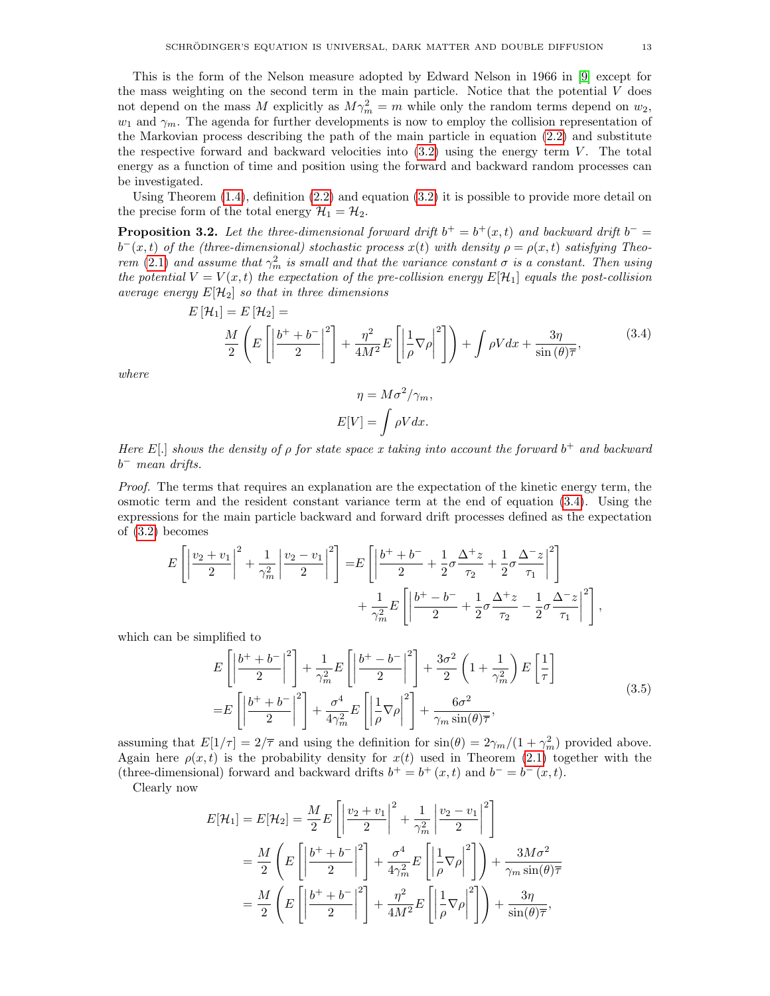This is the form of the Nelson measure adopted by Edward Nelson in 1966 in [\[9\]](#page-26-8) except for the mass weighting on the second term in the main particle. Notice that the potential  $V$  does not depend on the mass M explicitly as  $M\gamma_m^2 = m$  while only the random terms depend on  $w_2$ ,  $w_1$  and  $\gamma_m$ . The agenda for further developments is now to employ the collision representation of the Markovian process describing the path of the main particle in equation [\(2.2\)](#page-9-2) and substitute the respective forward and backward velocities into  $(3.2)$  using the energy term V. The total energy as a function of time and position using the forward and backward random processes can be investigated.

Using Theorem  $(1.4)$ , definition  $(2.2)$  and equation  $(3.2)$  it is possible to provide more detail on the precise form of the total energy  $\mathcal{H}_1 = \mathcal{H}_2$ .

<span id="page-12-1"></span>**Proposition 3.2.** Let the three-dimensional forward drift  $b^+ = b^+(x,t)$  and backward drift  $b^- =$  $b^-(x,t)$  of the (three-dimensional) stochastic process  $x(t)$  with density  $\rho = \rho(x,t)$  satisfying Theo-rem [\(2.1\)](#page-10-3) and assume that  $\gamma_m^2$  is small and that the variance constant  $\sigma$  is a constant. Then using the potential  $V = V(x, t)$  the expectation of the pre-collision energy  $E[\mathcal{H}_1]$  equals the post-collision average energy  $E[\mathcal{H}_2]$  so that in three dimensions

$$
E\left[\mathcal{H}_1\right] = E\left[\mathcal{H}_2\right] = \frac{M}{2}\left(E\left[\left|\frac{b^+ + b^-}{2}\right|^2\right] + \frac{\eta^2}{4M^2}E\left[\left|\frac{1}{\rho}\nabla\rho\right|^2\right]\right) + \int \rho V dx + \frac{3\eta}{\sin\left(\theta\right)}\overline{\tau},\tag{3.4}
$$

where

<span id="page-12-0"></span>
$$
\eta = M\sigma^2/\gamma_m,
$$
  

$$
E[V] = \int \rho V dx.
$$

Here E[.] shows the density of  $\rho$  for state space x taking into account the forward  $b^+$  and backward  $b^-$  mean drifts.

Proof. The terms that requires an explanation are the expectation of the kinetic energy term, the osmotic term and the resident constant variance term at the end of equation [\(3.4\)](#page-12-0). Using the expressions for the main particle backward and forward drift processes defined as the expectation of [\(3.2\)](#page-11-0) becomes

$$
E\left[\left|\frac{v_{2}+v_{1}}{2}\right|^{2}+\frac{1}{\gamma_{m}^{2}}\left|\frac{v_{2}-v_{1}}{2}\right|^{2}\right]=E\left[\left|\frac{b^{+}+b^{-}}{2}+\frac{1}{2}\sigma\frac{\Delta^{+}z}{\tau_{2}}+\frac{1}{2}\sigma\frac{\Delta^{-}z}{\tau_{1}}\right|^{2}\right] + \frac{1}{\gamma_{m}^{2}}E\left[\left|\frac{b^{+}-b^{-}}{2}+\frac{1}{2}\sigma\frac{\Delta^{+}z}{\tau_{2}}-\frac{1}{2}\sigma\frac{\Delta^{-}z}{\tau_{1}}\right|^{2}\right],
$$

which can be simplified to

$$
E\left[\left|\frac{b^{+}+b^{-}}{2}\right|^{2}\right]+\frac{1}{\gamma_{m}^{2}}E\left[\left|\frac{b^{+}-b^{-}}{2}\right|^{2}\right]+\frac{3\sigma^{2}}{2}\left(1+\frac{1}{\gamma_{m}^{2}}\right)E\left[\frac{1}{\tau}\right]
$$
  
=
$$
E\left[\left|\frac{b^{+}+b^{-}}{2}\right|^{2}\right]+\frac{\sigma^{4}}{4\gamma_{m}^{2}}E\left[\left|\frac{1}{\rho}\nabla\rho\right|^{2}\right]+\frac{6\sigma^{2}}{\gamma_{m}\sin(\theta)\overline{\tau}},
$$
(3.5)

assuming that  $E[1/\tau] = 2/\overline{\tau}$  and using the definition for  $\sin(\theta) = 2\gamma_m/(1 + \gamma_m^2)$  provided above. Again here  $\rho(x, t)$  is the probability density for  $x(t)$  used in Theorem [\(2.1\)](#page-10-3) together with the (three-dimensional) forward and backward drifts  $b^+ = b^+(x,t)$  and  $b^- = b^-(x,t)$ .

Clearly now

$$
E[\mathcal{H}_1] = E[\mathcal{H}_2] = \frac{M}{2} E\left[ \left| \frac{v_2 + v_1}{2} \right|^2 + \frac{1}{\gamma_m^2} \left| \frac{v_2 - v_1}{2} \right|^2 \right]
$$
  
=  $\frac{M}{2} \left( E\left[ \left| \frac{b^+ + b^-}{2} \right|^2 \right] + \frac{\sigma^4}{4\gamma_m^2} E\left[ \left| \frac{1}{\rho} \nabla \rho \right|^2 \right] \right) + \frac{3M\sigma^2}{\gamma_m \sin(\theta)\overline{\tau}}$   
=  $\frac{M}{2} \left( E\left[ \left| \frac{b^+ + b^-}{2} \right|^2 \right] + \frac{\eta^2}{4M^2} E\left[ \left| \frac{1}{\rho} \nabla \rho \right|^2 \right] \right) + \frac{3\eta}{\sin(\theta)\overline{\tau}},$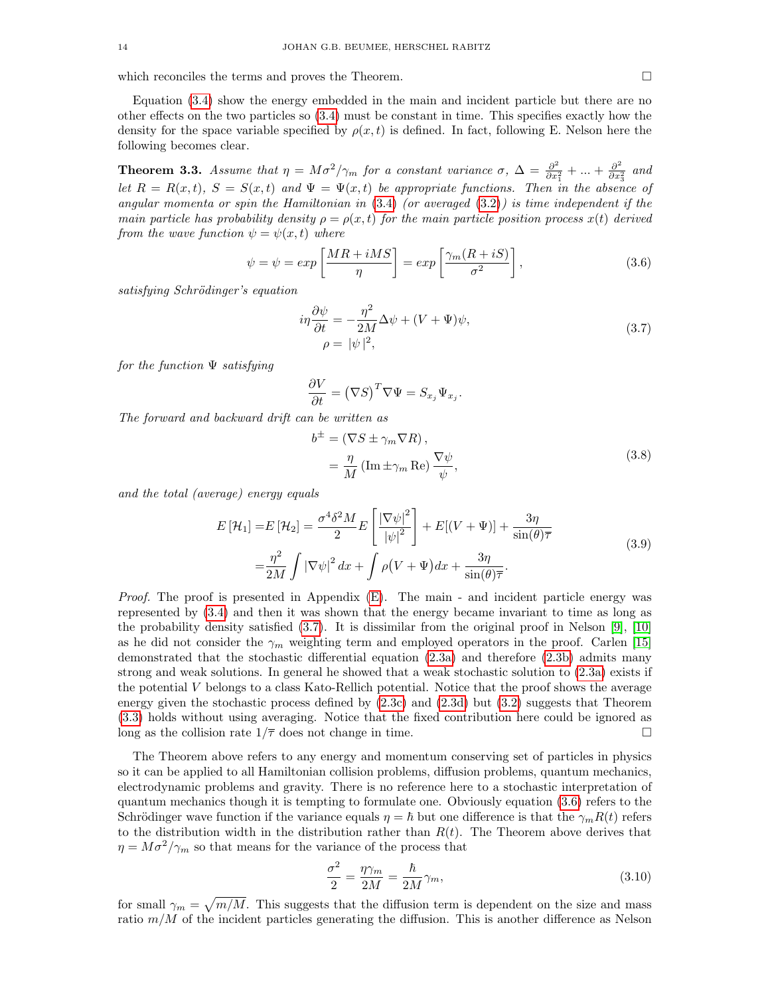which reconciles the terms and proves the Theorem.

Equation [\(3.4\)](#page-12-0) show the energy embedded in the main and incident particle but there are no other effects on the two particles so [\(3.4\)](#page-12-0) must be constant in time. This specifies exactly how the density for the space variable specified by  $\rho(x,t)$  is defined. In fact, following E. Nelson here the following becomes clear.

<span id="page-13-1"></span>**Theorem 3.3.** Assume that  $\eta = M\sigma^2/\gamma_m$  for a constant variance  $\sigma$ ,  $\Delta = \frac{\partial^2}{\partial x^2}$  $\frac{\partial^2}{\partial x_1^2} + \ldots + \frac{\partial^2}{\partial x_2^2}$  $\frac{\partial^2}{\partial x_3^2}$  and let  $R = R(x,t)$ ,  $S = S(x,t)$  and  $\Psi = \Psi(x,t)$  be appropriate functions. Then in the absence of angular momenta or spin the Hamiltonian in  $(3.4)$  (or averaged  $(3.2)$ ) is time independent if the main particle has probability density  $\rho = \rho(x, t)$  for the main particle position process  $x(t)$  derived from the wave function  $\psi = \psi(x, t)$  where

$$
\psi = \psi = \exp\left[\frac{MR + iMS}{\eta}\right] = \exp\left[\frac{\gamma_m(R + iS)}{\sigma^2}\right],\tag{3.6}
$$

satisfying Schrödinger's equation

$$
i\eta \frac{\partial \psi}{\partial t} = -\frac{\eta^2}{2M} \Delta \psi + (V + \Psi)\psi,
$$
  
\n
$$
\rho = |\psi|^2,
$$
\n(3.7)

<span id="page-13-4"></span><span id="page-13-3"></span><span id="page-13-2"></span><span id="page-13-0"></span>.

for the function  $\Psi$  satisfying

$$
\frac{\partial V}{\partial t} = (\nabla S)^T \nabla \Psi = S_{x_j} \Psi_{x_j}
$$

The forward and backward drift can be written as

$$
b^{\pm} = (\nabla S \pm \gamma_m \nabla R),
$$
  
=  $\frac{\eta}{M} (\text{Im} \pm \gamma_m \text{Re}) \frac{\nabla \psi}{\psi},$  (3.8)

and the total (average) energy equals

$$
E\left[\mathcal{H}_1\right] = E\left[\mathcal{H}_2\right] = \frac{\sigma^4 \delta^2 M}{2} E\left[\frac{|\nabla \psi|^2}{|\psi|^2}\right] + E\left[(V + \Psi)\right] + \frac{3\eta}{\sin(\theta)\overline{\tau}}
$$
  

$$
= \frac{\eta^2}{2M} \int |\nabla \psi|^2 dx + \int \rho (V + \Psi) dx + \frac{3\eta}{\sin(\theta)\overline{\tau}}.
$$
 (3.9)

*Proof.* The proof is presented in Appendix  $(E)$ . The main - and incident particle energy was represented by [\(3.4\)](#page-12-0) and then it was shown that the energy became invariant to time as long as the probability density satisfied [\(3.7\)](#page-13-0). It is dissimilar from the original proof in Nelson [\[9\]](#page-26-8), [\[10\]](#page-26-9) as he did not consider the  $\gamma_m$  weighting term and employed operators in the proof. Carlen [\[15\]](#page-26-14) demonstrated that the stochastic differential equation [\(2.3a\)](#page-10-4) and therefore [\(2.3b\)](#page-10-0) admits many strong and weak solutions. In general he showed that a weak stochastic solution to [\(2.3a\)](#page-10-4) exists if the potential V belongs to a class Kato-Rellich potential. Notice that the proof shows the average energy given the stochastic process defined by  $(2.3c)$  and  $(2.3d)$  but  $(3.2)$  suggests that Theorem [\(3.3\)](#page-13-1) holds without using averaging. Notice that the fixed contribution here could be ignored as long as the collision rate  $1/\overline{\tau}$  does not change in time.

The Theorem above refers to any energy and momentum conserving set of particles in physics so it can be applied to all Hamiltonian collision problems, diffusion problems, quantum mechanics, electrodynamic problems and gravity. There is no reference here to a stochastic interpretation of quantum mechanics though it is tempting to formulate one. Obviously equation [\(3.6\)](#page-13-2) refers to the Schrödinger wave function if the variance equals  $\eta = \hbar$  but one difference is that the  $\gamma_m R(t)$  refers to the distribution width in the distribution rather than  $R(t)$ . The Theorem above derives that  $\eta = M\sigma^2/\gamma_m$  so that means for the variance of the process that

$$
\frac{\sigma^2}{2} = \frac{\eta \gamma_m}{2M} = \frac{\hbar}{2M} \gamma_m, \tag{3.10}
$$

for small  $\gamma_m = \sqrt{m/M}$ . This suggests that the diffusion term is dependent on the size and mass ratio  $m/M$  of the incident particles generating the diffusion. This is another difference as Nelson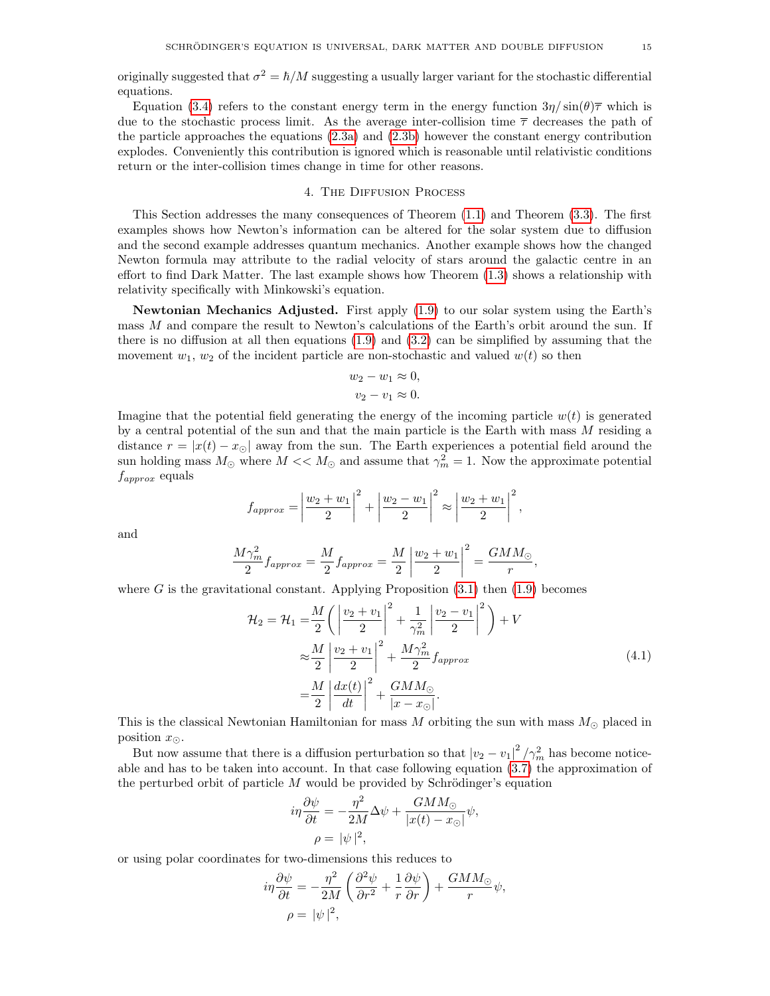originally suggested that  $\sigma^2 = \hbar/M$  suggesting a usually larger variant for the stochastic differential equations.

Equation [\(3.4\)](#page-12-0) refers to the constant energy term in the energy function  $3\eta/\sin(\theta)\bar{\tau}$  which is due to the stochastic process limit. As the average inter-collision time  $\bar{\tau}$  decreases the path of the particle approaches the equations [\(2.3a\)](#page-10-4) and [\(2.3b\)](#page-10-0) however the constant energy contribution explodes. Conveniently this contribution is ignored which is reasonable until relativistic conditions return or the inter-collision times change in time for other reasons.

### 4. The Diffusion Process

This Section addresses the many consequences of Theorem [\(1.1\)](#page-6-2) and Theorem [\(3.3\)](#page-13-1). The first examples shows how Newton's information can be altered for the solar system due to diffusion and the second example addresses quantum mechanics. Another example shows how the changed Newton formula may attribute to the radial velocity of stars around the galactic centre in an effort to find Dark Matter. The last example shows how Theorem [\(1.3\)](#page-7-3) shows a relationship with relativity specifically with Minkowski's equation.

Newtonian Mechanics Adjusted. First apply [\(1.9\)](#page-8-0) to our solar system using the Earth's mass M and compare the result to Newton's calculations of the Earth's orbit around the sun. If there is no diffusion at all then equations  $(1.9)$  and  $(3.2)$  can be simplified by assuming that the movement  $w_1, w_2$  of the incident particle are non-stochastic and valued  $w(t)$  so then

$$
w_2 - w_1 \approx 0,
$$
  

$$
v_2 - v_1 \approx 0.
$$

Imagine that the potential field generating the energy of the incoming particle  $w(t)$  is generated by a central potential of the sun and that the main particle is the Earth with mass M residing a distance  $r = |x(t) - x_{\odot}|$  away from the sun. The Earth experiences a potential field around the sun holding mass  $M_{\odot}$  where  $M << M_{\odot}$  and assume that  $\gamma_m^2 = 1$ . Now the approximate potential  $f_{approx}$  equals

$$
f_{approx} = \left| \frac{w_2 + w_1}{2} \right|^2 + \left| \frac{w_2 - w_1}{2} \right|^2 \approx \left| \frac{w_2 + w_1}{2} \right|^2,
$$

and

$$
\frac{M\gamma_m^2}{2}f_{approx} = \frac{M}{2}f_{approx} = \frac{M}{2}\left|\frac{w_2 + w_1}{2}\right|^2 = \frac{GMM_{\odot}}{r}
$$

where  $G$  is the gravitational constant. Applying Proposition  $(3.1)$  then  $(1.9)$  becomes

$$
\mathcal{H}_2 = \mathcal{H}_1 = \frac{M}{2} \left( \left| \frac{v_2 + v_1}{2} \right|^2 + \frac{1}{\gamma_m^2} \left| \frac{v_2 - v_1}{2} \right|^2 \right) + V
$$
  
\n
$$
\approx \frac{M}{2} \left| \frac{v_2 + v_1}{2} \right|^2 + \frac{M\gamma_m^2}{2} f_{approx}
$$
  
\n
$$
= \frac{M}{2} \left| \frac{dx(t)}{dt} \right|^2 + \frac{GMM_{\odot}}{|x - x_{\odot}|}. \tag{4.1}
$$

<span id="page-14-0"></span>,

This is the classical Newtonian Hamiltonian for mass  $M$  orbiting the sun with mass  $M_{\odot}$  placed in position  $x_{\odot}$ .

But now assume that there is a diffusion perturbation so that  $|v_2 - v_1|^2 / \gamma_m^2$  has become noticeable and has to be taken into account. In that case following equation [\(3.7\)](#page-13-0) the approximation of the perturbed orbit of particle  $M$  would be provided by Schrödinger's equation

$$
i\eta \frac{\partial \psi}{\partial t} = -\frac{\eta^2}{2M} \Delta \psi + \frac{GMM_{\odot}}{|x(t) - x_{\odot}|} \psi,
$$
  

$$
\rho = |\psi|^2,
$$

or using polar coordinates for two-dimensions this reduces to

$$
i\eta \frac{\partial \psi}{\partial t} = -\frac{\eta^2}{2M} \left( \frac{\partial^2 \psi}{\partial r^2} + \frac{1}{r} \frac{\partial \psi}{\partial r} \right) + \frac{GMM_{\odot}}{r} \psi,
$$
  

$$
\rho = |\psi|^2,
$$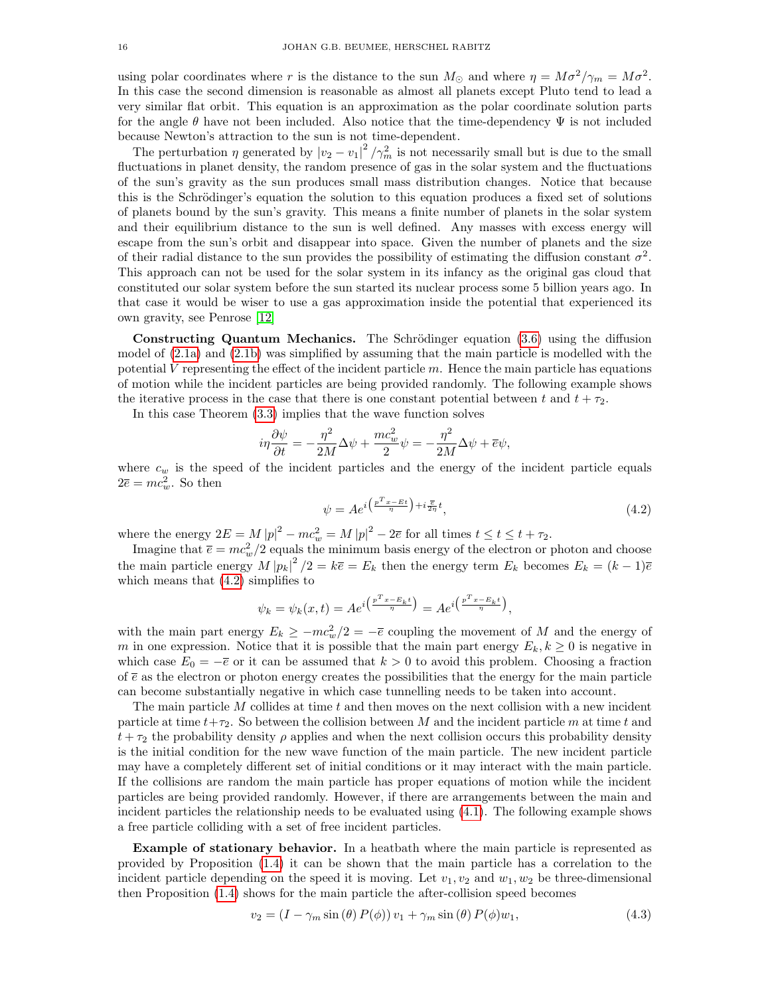using polar coordinates where r is the distance to the sun  $M_{\odot}$  and where  $\eta = M\sigma^2/\gamma_m = M\sigma^2$ . In this case the second dimension is reasonable as almost all planets except Pluto tend to lead a very similar flat orbit. This equation is an approximation as the polar coordinate solution parts for the angle  $\theta$  have not been included. Also notice that the time-dependency  $\Psi$  is not included because Newton's attraction to the sun is not time-dependent.

The perturbation  $\eta$  generated by  $|v_2 - v_1|^2 / \gamma_m^2$  is not necessarily small but is due to the small fluctuations in planet density, the random presence of gas in the solar system and the fluctuations of the sun's gravity as the sun produces small mass distribution changes. Notice that because this is the Schrödinger's equation the solution to this equation produces a fixed set of solutions of planets bound by the sun's gravity. This means a finite number of planets in the solar system and their equilibrium distance to the sun is well defined. Any masses with excess energy will escape from the sun's orbit and disappear into space. Given the number of planets and the size of their radial distance to the sun provides the possibility of estimating the diffusion constant  $\sigma^2$ . This approach can not be used for the solar system in its infancy as the original gas cloud that constituted our solar system before the sun started its nuclear process some 5 billion years ago. In that case it would be wiser to use a gas approximation inside the potential that experienced its own gravity, see Penrose [\[12\]](#page-26-11)

Constructing Quantum Mechanics. The Schrödinger equation  $(3.6)$  using the diffusion model of [\(2.1a\)](#page-9-0) and [\(2.1b\)](#page-9-1) was simplified by assuming that the main particle is modelled with the potential V representing the effect of the incident particle  $m$ . Hence the main particle has equations of motion while the incident particles are being provided randomly. The following example shows the iterative process in the case that there is one constant potential between t and  $t + \tau_2$ .

In this case Theorem [\(3.3\)](#page-13-1) implies that the wave function solves

$$
i\eta \frac{\partial \psi}{\partial t} = -\frac{\eta^2}{2M} \Delta \psi + \frac{mc_w^2}{2} \psi = -\frac{\eta^2}{2M} \Delta \psi + \overline{e} \psi,
$$

where  $c_w$  is the speed of the incident particles and the energy of the incident particle equals  $2\overline{e} = mc_w^2$ . So then

<span id="page-15-0"></span>
$$
\psi = Ae^{i\left(\frac{p^T x - Et}{\eta}\right) + i\frac{\overline{e}}{2\eta}t},\tag{4.2}
$$

where the energy  $2E = M |p|^2 - mc_w^2 = M |p|^2 - 2\overline{e}$  for all times  $t \le t \le t + \tau_2$ .

Imagine that  $\bar{e} = mc_w^2/2$  equals the minimum basis energy of the electron or photon and choose the main particle energy  $M |p_k|^2 / 2 = k \bar{e} = E_k$  then the energy term  $E_k$  becomes  $E_k = (k-1)\bar{e}$ which means that  $(4.2)$  simplifies to

$$
\psi_k = \psi_k(x, t) = Ae^{i\left(\frac{p^T x - E_k t}{\eta}\right)} = Ae^{i\left(\frac{p^T x - E_k t}{\eta}\right)},
$$

with the main part energy  $E_k \ge -mc_w^2/2 = -\overline{e}$  coupling the movement of M and the energy of m in one expression. Notice that it is possible that the main part energy  $E_k, k \geq 0$  is negative in which case  $E_0 = -\overline{e}$  or it can be assumed that  $k > 0$  to avoid this problem. Choosing a fraction of  $\bar{e}$  as the electron or photon energy creates the possibilities that the energy for the main particle can become substantially negative in which case tunnelling needs to be taken into account.

The main particle  $M$  collides at time  $t$  and then moves on the next collision with a new incident particle at time  $t+\tau_2$ . So between the collision between M and the incident particle m at time t and  $t + \tau_2$  the probability density  $\rho$  applies and when the next collision occurs this probability density is the initial condition for the new wave function of the main particle. The new incident particle may have a completely different set of initial conditions or it may interact with the main particle. If the collisions are random the main particle has proper equations of motion while the incident particles are being provided randomly. However, if there are arrangements between the main and incident particles the relationship needs to be evaluated using [\(4.1\)](#page-14-0). The following example shows a free particle colliding with a set of free incident particles.

Example of stationary behavior. In a heatbath where the main particle is represented as provided by Proposition [\(1.4\)](#page-7-0) it can be shown that the main particle has a correlation to the incident particle depending on the speed it is moving. Let  $v_1, v_2$  and  $w_1, w_2$  be three-dimensional then Proposition [\(1.4\)](#page-7-0) shows for the main particle the after-collision speed becomes

<span id="page-15-1"></span>
$$
v_2 = (I - \gamma_m \sin(\theta) P(\phi)) v_1 + \gamma_m \sin(\theta) P(\phi) w_1, \qquad (4.3)
$$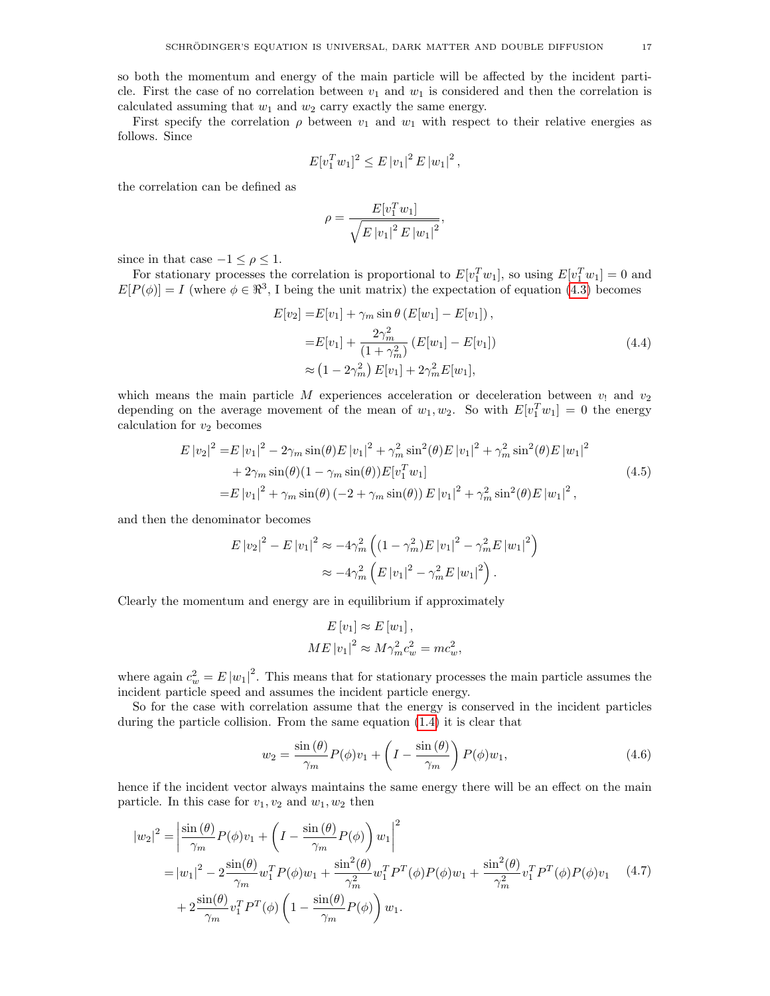First specify the correlation  $\rho$  between  $v_1$  and  $w_1$  with respect to their relative energies as follows. Since

$$
E[v_1^T w_1]^2 \leq E |v_1|^2 E |w_1|^2,
$$

the correlation can be defined as

$$
\rho = \frac{E[v_1^T w_1]}{\sqrt{E |v_1|^2 E |w_1|^2}},
$$

since in that case  $-1 \leq \rho \leq 1$ .

For stationary processes the correlation is proportional to  $E[v_1^Tw_1]$ , so using  $E[v_1^Tw_1] = 0$  and  $E[P(\phi)] = I$  (where  $\phi \in \mathbb{R}^3$ , I being the unit matrix) the expectation of equation [\(4.3\)](#page-15-1) becomes

$$
E[v_2] = E[v_1] + \gamma_m \sin \theta \left( E[w_1] - E[v_1] \right),
$$
  
\n
$$
= E[v_1] + \frac{2\gamma_m^2}{(1 + \gamma_m^2)} \left( E[w_1] - E[v_1] \right)
$$
  
\n
$$
\approx (1 - 2\gamma_m^2) E[v_1] + 2\gamma_m^2 E[w_1],
$$
\n(4.4)

which means the main particle M experiences acceleration or deceleration between  $v_1$  and  $v_2$ depending on the average movement of the mean of  $w_1, w_2$ . So with  $E[v_1^Tw_1] = 0$  the energy calculation for  $v_2$  becomes

$$
E |v_2|^2 = E |v_1|^2 - 2\gamma_m \sin(\theta) E |v_1|^2 + \gamma_m^2 \sin^2(\theta) E |v_1|^2 + \gamma_m^2 \sin^2(\theta) E |w_1|^2
$$
  
+ 2 $\gamma_m \sin(\theta)(1 - \gamma_m \sin(\theta)) E [v_1^T w_1]$   
=  $E |v_1|^2 + \gamma_m \sin(\theta) (-2 + \gamma_m \sin(\theta)) E |v_1|^2 + \gamma_m^2 \sin^2(\theta) E |w_1|^2,$  (4.5)

and then the denominator becomes

$$
E |v_2|^2 - E |v_1|^2 \approx -4\gamma_m^2 \left( (1 - \gamma_m^2) E |v_1|^2 - \gamma_m^2 E |w_1|^2 \right)
$$
  

$$
\approx -4\gamma_m^2 \left( E |v_1|^2 - \gamma_m^2 E |w_1|^2 \right).
$$

Clearly the momentum and energy are in equilibrium if approximately

$$
E[v_1] \approx E[w_1],
$$
  
 
$$
ME|v_1|^2 \approx M\gamma_m^2 c_w^2 = mc_w^2,
$$

where again  $c_w^2 = E |w_1|^2$ . This means that for stationary processes the main particle assumes the incident particle speed and assumes the incident particle energy.

So for the case with correlation assume that the energy is conserved in the incident particles during the particle collision. From the same equation [\(1.4\)](#page-7-0) it is clear that

$$
w_2 = \frac{\sin(\theta)}{\gamma_m} P(\phi) v_1 + \left( I - \frac{\sin(\theta)}{\gamma_m} \right) P(\phi) w_1,
$$
\n(4.6)

hence if the incident vector always maintains the same energy there will be an effect on the main particle. In this case for  $v_1, v_2$  and  $w_1, w_2$  then

$$
|w_2|^2 = \left| \frac{\sin(\theta)}{\gamma_m} P(\phi) v_1 + \left( I - \frac{\sin(\theta)}{\gamma_m} P(\phi) \right) w_1 \right|^2
$$
  
=  $|w_1|^2 - 2 \frac{\sin(\theta)}{\gamma_m} w_1^T P(\phi) w_1 + \frac{\sin^2(\theta)}{\gamma_m^2} w_1^T P^T(\phi) P(\phi) w_1 + \frac{\sin^2(\theta)}{\gamma_m^2} v_1^T P^T(\phi) P(\phi) v_1$  (4.7)  
+  $2 \frac{\sin(\theta)}{\gamma_m} v_1^T P^T(\phi) \left( 1 - \frac{\sin(\theta)}{\gamma_m} P(\phi) \right) w_1.$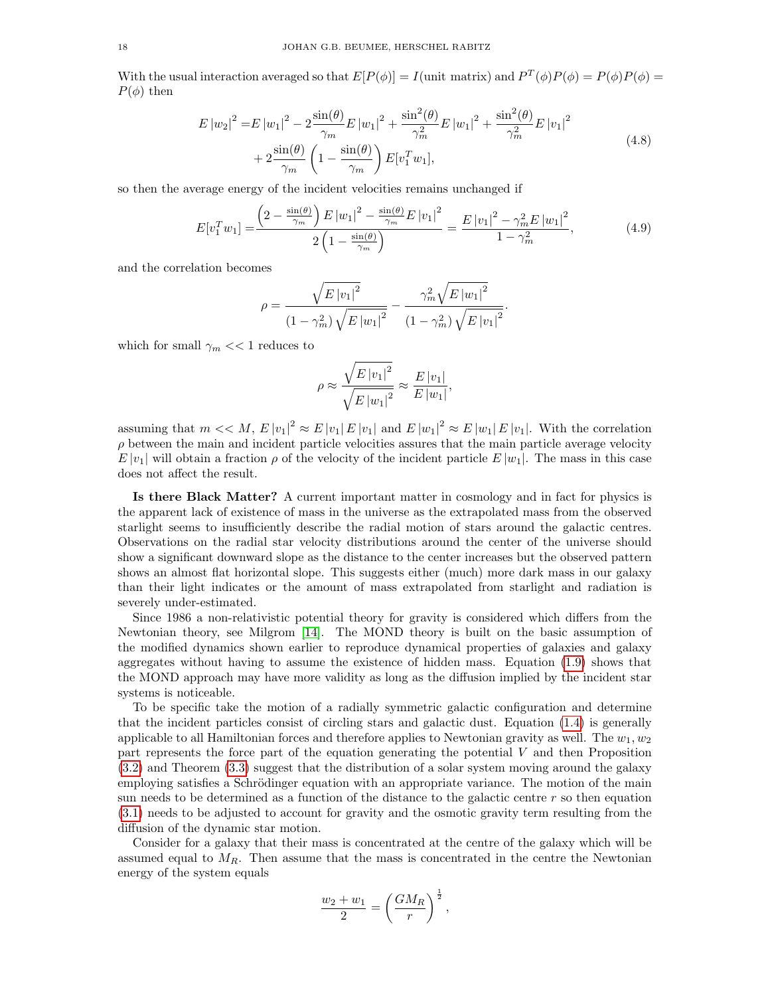With the usual interaction averaged so that  $E[P(\phi)] = I$  (unit matrix) and  $P^T(\phi)P(\phi) = P(\phi)P(\phi) =$  $P(\phi)$  then

$$
E |w_2|^2 = E |w_1|^2 - 2 \frac{\sin(\theta)}{\gamma_m} E |w_1|^2 + \frac{\sin^2(\theta)}{\gamma_m^2} E |w_1|^2 + \frac{\sin^2(\theta)}{\gamma_m^2} E |v_1|^2
$$
  
+ 
$$
2 \frac{\sin(\theta)}{\gamma_m} \left(1 - \frac{\sin(\theta)}{\gamma_m}\right) E[v_1^T w_1],
$$
 (4.8)

so then the average energy of the incident velocities remains unchanged if

$$
E[v_1^T w_1] = \frac{\left(2 - \frac{\sin(\theta)}{\gamma_m}\right)E|w_1|^2 - \frac{\sin(\theta)}{\gamma_m}E|v_1|^2}{2\left(1 - \frac{\sin(\theta)}{\gamma_m}\right)} = \frac{E|v_1|^2 - \gamma_m^2E|w_1|^2}{1 - \gamma_m^2},\tag{4.9}
$$

and the correlation becomes

$$
\rho = \frac{\sqrt{E|v_1|^2}}{(1 - \gamma_m^2)\sqrt{E|w_1|^2}} - \frac{\gamma_m^2 \sqrt{E|w_1|^2}}{(1 - \gamma_m^2)\sqrt{E|v_1|^2}}.
$$

which for small  $\gamma_m << 1$  reduces to

$$
\rho \approx \frac{\sqrt{E |v_1|^2}}{\sqrt{E |w_1|^2}} \approx \frac{E |v_1|}{E |w_1|},
$$

assuming that  $m \ll M$ ,  $E |v_1|^2 \approx E |v_1| E |v_1|$  and  $E |w_1|^2 \approx E |w_1| E |v_1|$ . With the correlation  $\rho$  between the main and incident particle velocities assures that the main particle average velocity  $E |v_1|$  will obtain a fraction  $\rho$  of the velocity of the incident particle  $E |w_1|$ . The mass in this case does not affect the result.

Is there Black Matter? A current important matter in cosmology and in fact for physics is the apparent lack of existence of mass in the universe as the extrapolated mass from the observed starlight seems to insufficiently describe the radial motion of stars around the galactic centres. Observations on the radial star velocity distributions around the center of the universe should show a significant downward slope as the distance to the center increases but the observed pattern shows an almost flat horizontal slope. This suggests either (much) more dark mass in our galaxy than their light indicates or the amount of mass extrapolated from starlight and radiation is severely under-estimated.

Since 1986 a non-relativistic potential theory for gravity is considered which differs from the Newtonian theory, see Milgrom [\[14\]](#page-26-13). The MOND theory is built on the basic assumption of the modified dynamics shown earlier to reproduce dynamical properties of galaxies and galaxy aggregates without having to assume the existence of hidden mass. Equation [\(1.9\)](#page-8-0) shows that the MOND approach may have more validity as long as the diffusion implied by the incident star systems is noticeable.

To be specific take the motion of a radially symmetric galactic configuration and determine that the incident particles consist of circling stars and galactic dust. Equation [\(1.4\)](#page-8-1) is generally applicable to all Hamiltonian forces and therefore applies to Newtonian gravity as well. The  $w_1, w_2$ part represents the force part of the equation generating the potential V and then Proposition [\(3.2\)](#page-12-1) and Theorem [\(3.3\)](#page-13-1) suggest that the distribution of a solar system moving around the galaxy employing satisfies a Schrödinger equation with an appropriate variance. The motion of the main sun needs to be determined as a function of the distance to the galactic centre  $r$  so then equation [\(3.1\)](#page-11-2) needs to be adjusted to account for gravity and the osmotic gravity term resulting from the diffusion of the dynamic star motion.

Consider for a galaxy that their mass is concentrated at the centre of the galaxy which will be assumed equal to  $M_R$ . Then assume that the mass is concentrated in the centre the Newtonian energy of the system equals

$$
\frac{w_2 + w_1}{2} = \left(\frac{GM_R}{r}\right)^{\frac{1}{2}},
$$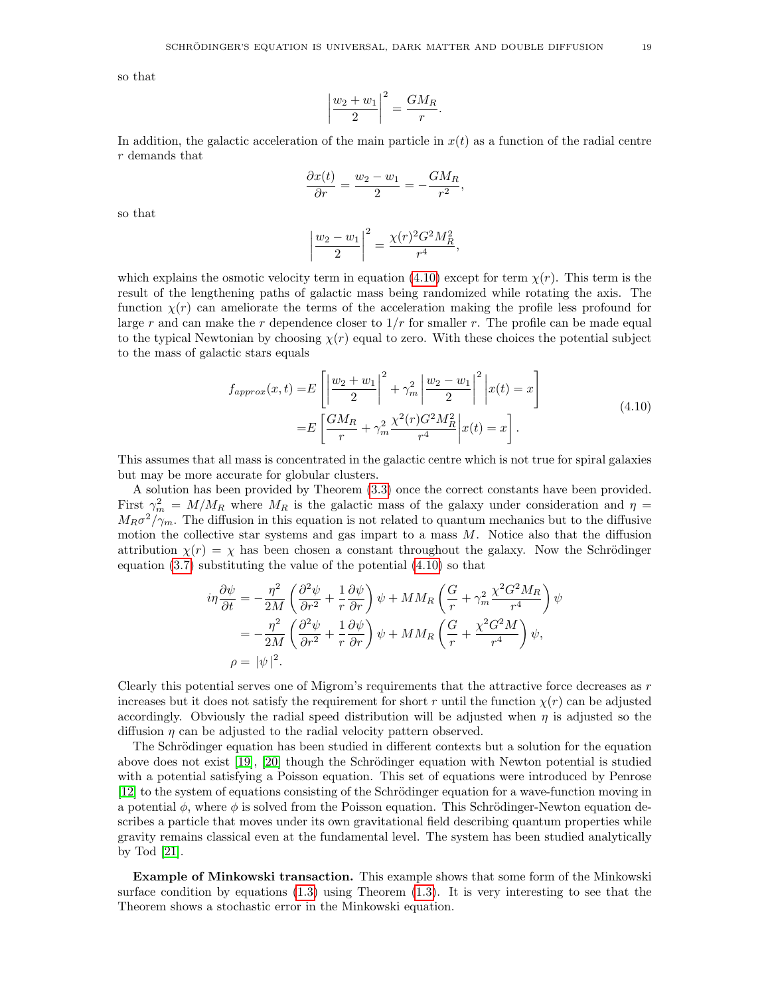so that

$$
\left|\frac{w_2 + w_1}{2}\right|^2 = \frac{GM_R}{r}.
$$

In addition, the galactic acceleration of the main particle in  $x(t)$  as a function of the radial centre r demands that

$$
\frac{\partial x(t)}{\partial r} = \frac{w_2 - w_1}{2} = -\frac{GM_R}{r^2},
$$

so that

<span id="page-18-0"></span>
$$
\left|\frac{w_2 - w_1}{2}\right|^2 = \frac{\chi(r)^2 G^2 M_R^2}{r^4},
$$

which explains the osmotic velocity term in equation [\(4.10\)](#page-18-0) except for term  $\chi(r)$ . This term is the result of the lengthening paths of galactic mass being randomized while rotating the axis. The function  $\chi(r)$  can ameliorate the terms of the acceleration making the profile less profound for large r and can make the r dependence closer to  $1/r$  for smaller r. The profile can be made equal to the typical Newtonian by choosing  $\chi(r)$  equal to zero. With these choices the potential subject to the mass of galactic stars equals

$$
f_{approx}(x,t) = E\left[\left|\frac{w_2 + w_1}{2}\right|^2 + \gamma_m^2 \left|\frac{w_2 - w_1}{2}\right|^2 \, \middle| x(t) = x\right]
$$
\n
$$
= E\left[\frac{GM_R}{r} + \gamma_m^2 \frac{\chi^2(r)G^2 M_R^2}{r^4} \, \middle| x(t) = x\right].
$$
\n(4.10)

This assumes that all mass is concentrated in the galactic centre which is not true for spiral galaxies but may be more accurate for globular clusters.

A solution has been provided by Theorem [\(3.3\)](#page-13-1) once the correct constants have been provided. First  $\gamma_m^2 = M/M_R$  where  $M_R$  is the galactic mass of the galaxy under consideration and  $\eta =$  $M_R \sigma^2 / \gamma_m$ . The diffusion in this equation is not related to quantum mechanics but to the diffusive motion the collective star systems and gas impart to a mass M. Notice also that the diffusion attribution  $\chi(r) = \chi$  has been chosen a constant throughout the galaxy. Now the Schrödinger equation [\(3.7\)](#page-13-0) substituting the value of the potential [\(4.10\)](#page-18-0) so that

$$
i\eta \frac{\partial \psi}{\partial t} = -\frac{\eta^2}{2M} \left( \frac{\partial^2 \psi}{\partial r^2} + \frac{1}{r} \frac{\partial \psi}{\partial r} \right) \psi + MM_R \left( \frac{G}{r} + \gamma_m^2 \frac{\chi^2 G^2 M_R}{r^4} \right) \psi
$$
  
= 
$$
-\frac{\eta^2}{2M} \left( \frac{\partial^2 \psi}{\partial r^2} + \frac{1}{r} \frac{\partial \psi}{\partial r} \right) \psi + MM_R \left( \frac{G}{r} + \frac{\chi^2 G^2 M}{r^4} \right) \psi,
$$
  

$$
\rho = |\psi|^2.
$$

Clearly this potential serves one of Migrom's requirements that the attractive force decreases as  $r$ increases but it does not satisfy the requirement for short r until the function  $\chi(r)$  can be adjusted accordingly. Obviously the radial speed distribution will be adjusted when  $\eta$  is adjusted so the diffusion  $\eta$  can be adjusted to the radial velocity pattern observed.

The Schrödinger equation has been studied in different contexts but a solution for the equation above does not exist [\[19\]](#page-26-19), [\[20\]](#page-26-20) though the Schrödinger equation with Newton potential is studied with a potential satisfying a Poisson equation. This set of equations were introduced by Penrose [\[12\]](#page-26-11) to the system of equations consisting of the Schrödinger equation for a wave-function moving in a potential  $\phi$ , where  $\phi$  is solved from the Poisson equation. This Schrödinger-Newton equation describes a particle that moves under its own gravitational field describing quantum properties while gravity remains classical even at the fundamental level. The system has been studied analytically by Tod [\[21\]](#page-26-21).

Example of Minkowski transaction. This example shows that some form of the Minkowski surface condition by equations [\(1.3\)](#page-6-1) using Theorem [\(1.3\)](#page-7-3). It is very interesting to see that the Theorem shows a stochastic error in the Minkowski equation.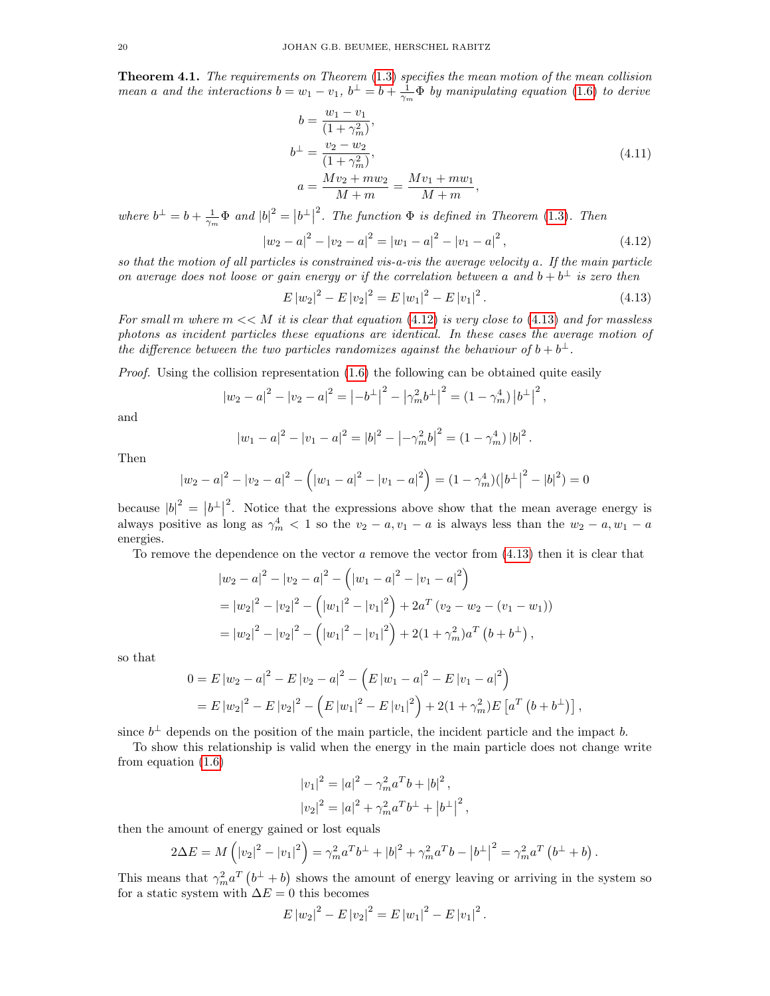Theorem 4.1. The requirements on Theorem [\(1.3\)](#page-7-3) specifies the mean motion of the mean collision mean a and the interactions  $b = w_1 - v_1$ ,  $b^{\perp} = b + \frac{1}{\gamma_m} \Phi$  by manipulating equation [\(1.6\)](#page-7-2) to derive

$$
b = \frac{w_1 - v_1}{(1 + \gamma_m^2)},
$$
  
\n
$$
b^{\perp} = \frac{v_2 - w_2}{(1 + \gamma_m^2)},
$$
  
\n
$$
a = \frac{Mv_2 + mw_2}{M + m} = \frac{Mv_1 + mw_1}{M + m},
$$
\n(4.11)

where  $b^{\perp} = b + \frac{1}{\gamma_m} \Phi$  and  $|b|^2 = |b^{\perp}|$ <sup>2</sup>. The function  $\Phi$  is defined in Theorem [\(1.3\)](#page-7-3). Then

$$
|w_2 - a|^2 - |v_2 - a|^2 = |w_1 - a|^2 - |v_1 - a|^2,
$$
\n(4.12)

so that the motion of all particles is constrained vis-a-vis the average velocity a. If the main particle on average does not loose or gain energy or if the correlation between a and  $b + b^{\perp}$  is zero then

$$
E |w_2|^2 - E |v_2|^2 = E |w_1|^2 - E |v_1|^2.
$$
\n(4.13)

<span id="page-19-1"></span><span id="page-19-0"></span>.

For small m where  $m \ll M$  it is clear that equation [\(4.12\)](#page-19-0) is very close to [\(4.13\)](#page-19-1) and for massless photons as incident particles these equations are identical. In these cases the average motion of the difference between the two particles randomizes against the behaviour of  $b + b^{\perp}$ .

*Proof.* Using the collision representation  $(1.6)$  the following can be obtained quite easily

$$
|w_2 - a|^2 - |v_2 - a|^2 = \left| -b^{\perp} \right|^2 - \left| \gamma_m^2 b^{\perp} \right|^2 = \left( 1 - \gamma_m^4 \right) \left| b^{\perp} \right|^2,
$$

and

$$
|w_1 - a|^2 - |v_1 - a|^2 = |b|^2 - \left| -\gamma_m^2 b \right|^2 = (1 - \gamma_m^4) |b|^2
$$

Then

$$
|w_2 - a|^2 - |v_2 - a|^2 - (|w_1 - a|^2 - |v_1 - a|^2) = (1 - \gamma_m^4)(|b^{\perp}|^2 - |b|^2) = 0
$$

because  $|b|^2 = |b^{\perp}|$ <sup>2</sup>. Notice that the expressions above show that the mean average energy is always positive as long as  $\gamma_m^4 < 1$  so the  $v_2 - a$ ,  $v_1 - a$  is always less than the  $w_2 - a$ ,  $w_1 - a$ energies.

To remove the dependence on the vector  $a$  remove the vector from  $(4.13)$  then it is clear that

$$
|w_2 - a|^2 - |v_2 - a|^2 - (|w_1 - a|^2 - |v_1 - a|^2)
$$
  
=  $|w_2|^2 - |v_2|^2 - (|w_1|^2 - |v_1|^2) + 2a^T (v_2 - w_2 - (v_1 - w_1))$   
=  $|w_2|^2 - |v_2|^2 - (|w_1|^2 - |v_1|^2) + 2(1 + \gamma_m^2) a^T (b + b^{\perp}),$ 

so that

$$
0 = E |w_2 - a|^2 - E |v_2 - a|^2 - (E |w_1 - a|^2 - E |v_1 - a|^2)
$$
  
=  $E |w_2|^2 - E |v_2|^2 - (E |w_1|^2 - E |v_1|^2) + 2(1 + \gamma_m^2) E [a^T (b + b^{\perp})],$ 

since  $b^{\perp}$  depends on the position of the main particle, the incident particle and the impact b.

To show this relationship is valid when the energy in the main particle does not change write from equation [\(1.6\)](#page-7-2)

$$
|v_1|^2 = |a|^2 - \gamma_m^2 a^T b + |b|^2,
$$
  

$$
|v_2|^2 = |a|^2 + \gamma_m^2 a^T b^\perp + |b^\perp|^2,
$$

then the amount of energy gained or lost equals

$$
2\Delta E = M\left(|v_2|^2 - |v_1|^2\right) = \gamma_m^2 a^T b^\perp + |b|^2 + \gamma_m^2 a^T b - |b^\perp|^2 = \gamma_m^2 a^T \left(b^\perp + b\right).
$$

This means that  $\gamma_m^2 a^T (b^{\perp} + b)$  shows the amount of energy leaving or arriving in the system so for a static system with  $\Delta E = 0$  this becomes

$$
E |w_2|^2 - E |v_2|^2 = E |w_1|^2 - E |v_1|^2.
$$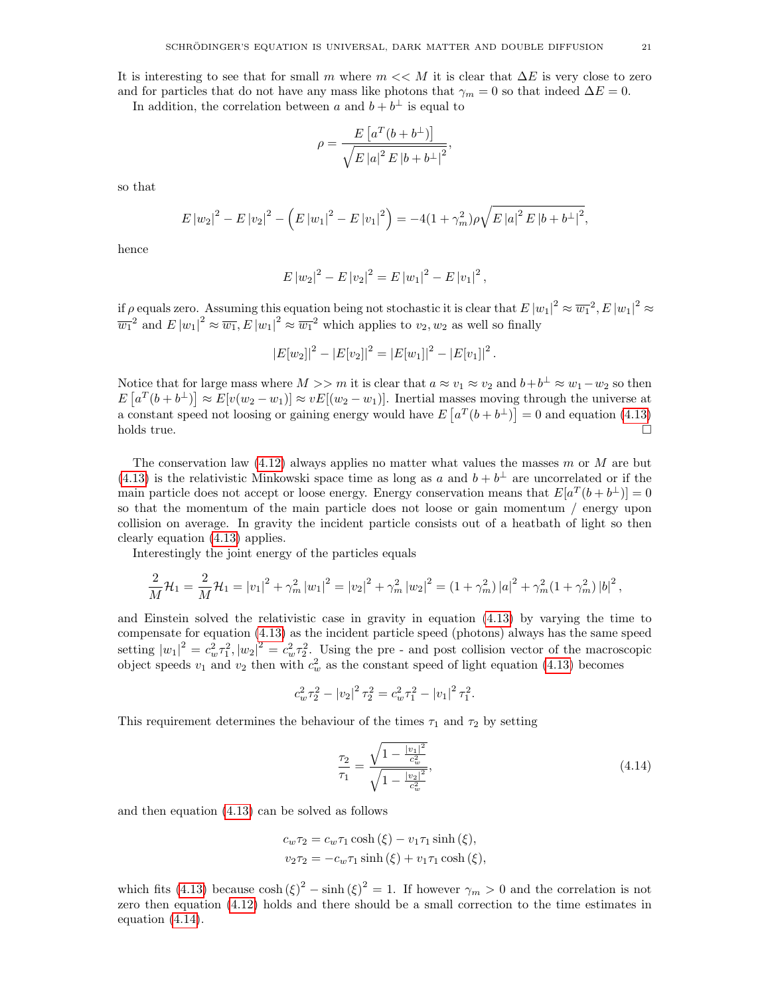It is interesting to see that for small m where  $m \ll M$  it is clear that  $\Delta E$  is very close to zero and for particles that do not have any mass like photons that  $\gamma_m = 0$  so that indeed  $\Delta E = 0$ .

In addition, the correlation between a and  $b + b^{\perp}$  is equal to

$$
\rho = \frac{E\left[a^T(b+b^\perp)\right]}{\sqrt{E\left|a\right|^2 E\left|b+b^\perp\right|^2}},
$$

so that

$$
E |w_2|^2 - E |v_2|^2 - \left(E |w_1|^2 - E |v_1|^2\right) = -4(1 + \gamma_m^2)\rho\sqrt{E |a|^2 E |b + b^{\perp}|^2},
$$

hence

$$
E |w_2|^2 - E |v_2|^2 = E |w_1|^2 - E |v_1|^2,
$$

if  $\rho$  equals zero. Assuming this equation being not stochastic it is clear that  $E |w_1|^2 \approx \overline{w_1}^2$ ,  $E |w_1|^2 \approx$  $\overline{w_1}^2$  and  $E |w_1|^2 \approx \overline{w_1} E |w_1|^2 \approx \overline{w_1}^2$  which applies to  $v_2, w_2$  as well so finally

$$
|E[w_2]|^2 - |E[v_2]|^2 = |E[w_1]|^2 - |E[v_1]|^2.
$$

Notice that for large mass where  $M >> m$  it is clear that  $a \approx v_1 \approx v_2$  and  $b+b^{\perp} \approx w_1-w_2$  so then  $E\left[a^T(b+b^{\perp})\right] \approx E[v(w_2-w_1)] \approx vE[(w_2-w_1)]$ . Inertial masses moving through the universe at a constant speed not loosing or gaining energy would have  $E[a^T(b+b^{\perp})] = 0$  and equation [\(4.13\)](#page-19-1)  $h$ olds true.

The conservation law  $(4.12)$  always applies no matter what values the masses m or M are but [\(4.13\)](#page-19-1) is the relativistic Minkowski space time as long as a and  $b + b^{\perp}$  are uncorrelated or if the main particle does not accept or loose energy. Energy conservation means that  $E[a^T(b+b^{\perp})]=0$ so that the momentum of the main particle does not loose or gain momentum / energy upon collision on average. In gravity the incident particle consists out of a heatbath of light so then clearly equation [\(4.13\)](#page-19-1) applies.

Interestingly the joint energy of the particles equals

$$
\frac{2}{M}\mathcal{H}_1 = \frac{2}{M}\mathcal{H}_1 = |v_1|^2 + \gamma_m^2 |w_1|^2 = |v_2|^2 + \gamma_m^2 |w_2|^2 = (1 + \gamma_m^2) |a|^2 + \gamma_m^2 (1 + \gamma_m^2) |b|^2,
$$

and Einstein solved the relativistic case in gravity in equation [\(4.13\)](#page-19-1) by varying the time to compensate for equation [\(4.13\)](#page-19-1) as the incident particle speed (photons) always has the same speed setting  $|w_1|^2 = c_w^2 \tau_1^2$ ,  $|w_2|^2 = c_w^2 \tau_2^2$ . Using the pre- and post collision vector of the macroscopic object speeds  $v_1$  and  $v_2$  then with  $c_w^2$  as the constant speed of light equation [\(4.13\)](#page-19-1) becomes

$$
c_w^2 \tau_2^2 - |v_2|^2 \tau_2^2 = c_w^2 \tau_1^2 - |v_1|^2 \tau_1^2.
$$

This requirement determines the behaviour of the times  $\tau_1$  and  $\tau_2$  by setting

<span id="page-20-0"></span>
$$
\frac{\tau_2}{\tau_1} = \frac{\sqrt{1 - \frac{|v_1|^2}{c_w^2}}}{\sqrt{1 - \frac{|v_2|^2}{c_w^2}}},\tag{4.14}
$$

and then equation [\(4.13\)](#page-19-1) can be solved as follows

$$
c_w \tau_2 = c_w \tau_1 \cosh(\xi) - v_1 \tau_1 \sinh(\xi),
$$
  

$$
v_2 \tau_2 = -c_w \tau_1 \sinh(\xi) + v_1 \tau_1 \cosh(\xi),
$$

which fits [\(4.13\)](#page-19-1) because  $\cosh(\xi)^2 - \sinh(\xi)^2 = 1$ . If however  $\gamma_m > 0$  and the correlation is not zero then equation [\(4.12\)](#page-19-0) holds and there should be a small correction to the time estimates in equation [\(4.14\)](#page-20-0).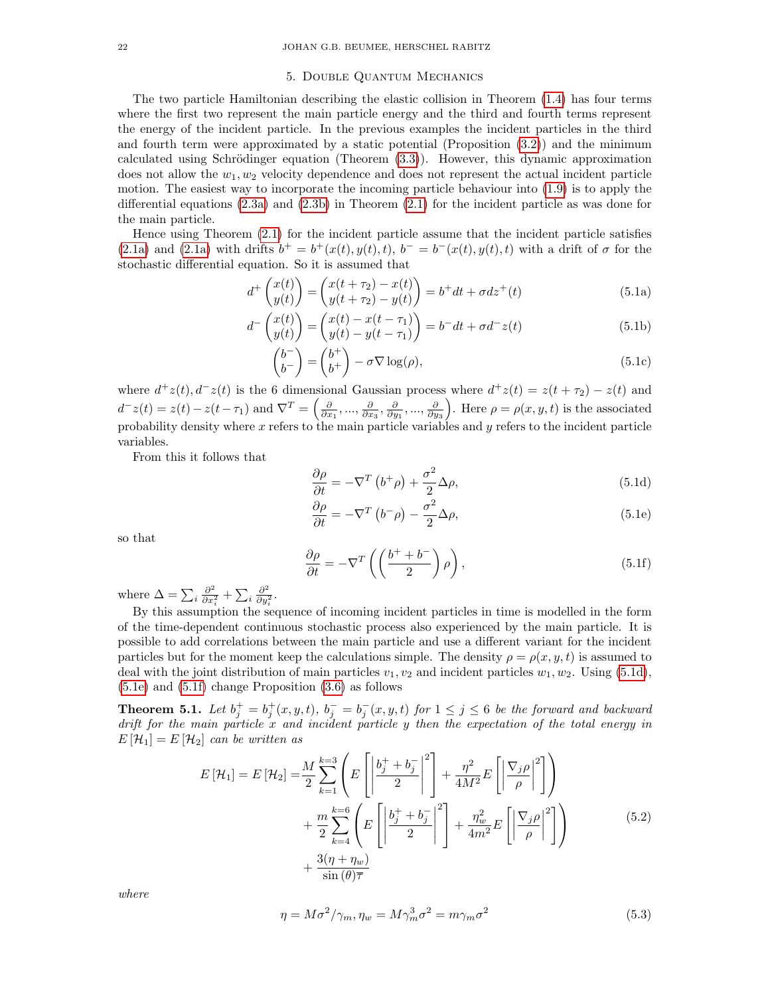### 5. Double Quantum Mechanics

The two particle Hamiltonian describing the elastic collision in Theorem [\(1.4\)](#page-8-1) has four terms where the first two represent the main particle energy and the third and fourth terms represent the energy of the incident particle. In the previous examples the incident particles in the third and fourth term were approximated by a static potential (Proposition [\(3.2\)](#page-12-1)) and the minimum calculated using Schrödinger equation (Theorem  $(3.3)$ ). However, this dynamic approximation does not allow the  $w_1, w_2$  velocity dependence and does not represent the actual incident particle motion. The easiest way to incorporate the incoming particle behaviour into [\(1.9\)](#page-8-0) is to apply the differential equations [\(2.3a\)](#page-10-4) and [\(2.3b\)](#page-10-0) in Theorem [\(2.1\)](#page-10-3) for the incident particle as was done for the main particle.

Hence using Theorem [\(2.1\)](#page-10-3) for the incident particle assume that the incident particle satisfies [\(2.1a\)](#page-9-0) and [\(2.1a\)](#page-9-0) with drifts  $b^+ = b^+(x(t), y(t), t)$ ,  $b^- = b^-(x(t), y(t), t)$  with a drift of  $\sigma$  for the stochastic differential equation. So it is assumed that

$$
d^+\begin{pmatrix} x(t) \\ y(t) \end{pmatrix} = \begin{pmatrix} x(t + \tau_2) - x(t) \\ y(t + \tau_2) - y(t) \end{pmatrix} = b^+ dt + \sigma dz^+(t)
$$
(5.1a)

$$
d^{-}\begin{pmatrix} x(t) \\ y(t) \end{pmatrix} = \begin{pmatrix} x(t) - x(t - \tau_1) \\ y(t) - y(t - \tau_1) \end{pmatrix} = b^{-}dt + \sigma d^{-}z(t)
$$
(5.1b)

<span id="page-21-5"></span>
$$
\begin{pmatrix} b^- \\ b^- \end{pmatrix} = \begin{pmatrix} b^+ \\ b^+ \end{pmatrix} - \sigma \nabla \log(\rho), \tag{5.1c}
$$

where  $d^+z(t)$ ,  $d^-z(t)$  is the 6 dimensional Gaussian process where  $d^+z(t) = z(t + \tau_2) - z(t)$  and  $d^-z(t) = z(t) - z(t-\tau_1)$  and  $\nabla^T = \left(\frac{\partial}{\partial x_1}, \dots, \frac{\partial}{\partial x_3}, \frac{\partial}{\partial y_1}, \dots, \frac{\partial}{\partial y_3}\right)$ . Here  $\rho = \rho(x, y, t)$  is the associated probability density where  $x$  refers to the main particle variables and  $y$  refers to the incident particle variables.

From this it follows that

<span id="page-21-6"></span><span id="page-21-0"></span>
$$
\frac{\partial \rho}{\partial t} = -\nabla^T \left( b^+ \rho \right) + \frac{\sigma^2}{2} \Delta \rho, \tag{5.1d}
$$

<span id="page-21-2"></span><span id="page-21-1"></span>
$$
\frac{\partial \rho}{\partial t} = -\nabla^T (b^- \rho) - \frac{\sigma^2}{2} \Delta \rho,
$$
\n(5.1e)

so that

$$
\frac{\partial \rho}{\partial t} = -\nabla^T \left( \left( \frac{b^+ + b^-}{2} \right) \rho \right),\tag{5.1f}
$$

where  $\Delta = \sum_i \frac{\partial^2}{\partial x_i^2}$  $\frac{\partial^2}{\partial x_i^2} + \sum_i \frac{\partial^2}{\partial y_i^2}$  $\frac{\partial^2}{\partial y_i^2}$ .

By this assumption the sequence of incoming incident particles in time is modelled in the form of the time-dependent continuous stochastic process also experienced by the main particle. It is possible to add correlations between the main particle and use a different variant for the incident particles but for the moment keep the calculations simple. The density  $\rho = \rho(x, y, t)$  is assumed to deal with the joint distribution of main particles  $v_1, v_2$  and incident particles  $w_1, w_2$ . Using [\(5.1d\)](#page-21-0), [\(5.1e\)](#page-21-1) and [\(5.1f\)](#page-21-2) change Proposition [\(3.6\)](#page-13-2) as follows

**Theorem 5.1.** Let  $b_j^+ = b_j^+(x, y, t)$ ,  $b_j^- = b_j^-(x, y, t)$  for  $1 \le j \le 6$  be the forward and backward drift for the main particle  $x$  and incident particle  $y$  then the expectation of the total energy in  $E[\mathcal{H}_1] = E[\mathcal{H}_2]$  can be written as

$$
E\left[\mathcal{H}_1\right] = E\left[\mathcal{H}_2\right] = \frac{M}{2} \sum_{k=1}^{k=3} \left( E\left[ \left| \frac{b_j^+ + b_j^-}{2} \right|^2 \right] + \frac{\eta^2}{4M^2} E\left[ \left| \frac{\nabla_j \rho}{\rho} \right|^2 \right] \right) + \frac{m}{2} \sum_{k=4}^{k=6} \left( E\left[ \left| \frac{b_j^+ + b_j^-}{2} \right|^2 \right] + \frac{\eta_w^2}{4m^2} E\left[ \left| \frac{\nabla_j \rho}{\rho} \right|^2 \right] \right) + \frac{3(\eta + \eta_w)}{\sin(\theta)\overline{\tau}}
$$
(5.2)

where

<span id="page-21-4"></span><span id="page-21-3"></span>
$$
\eta = M\sigma^2/\gamma_m, \eta_w = M\gamma_m^3 \sigma^2 = m\gamma_m \sigma^2 \tag{5.3}
$$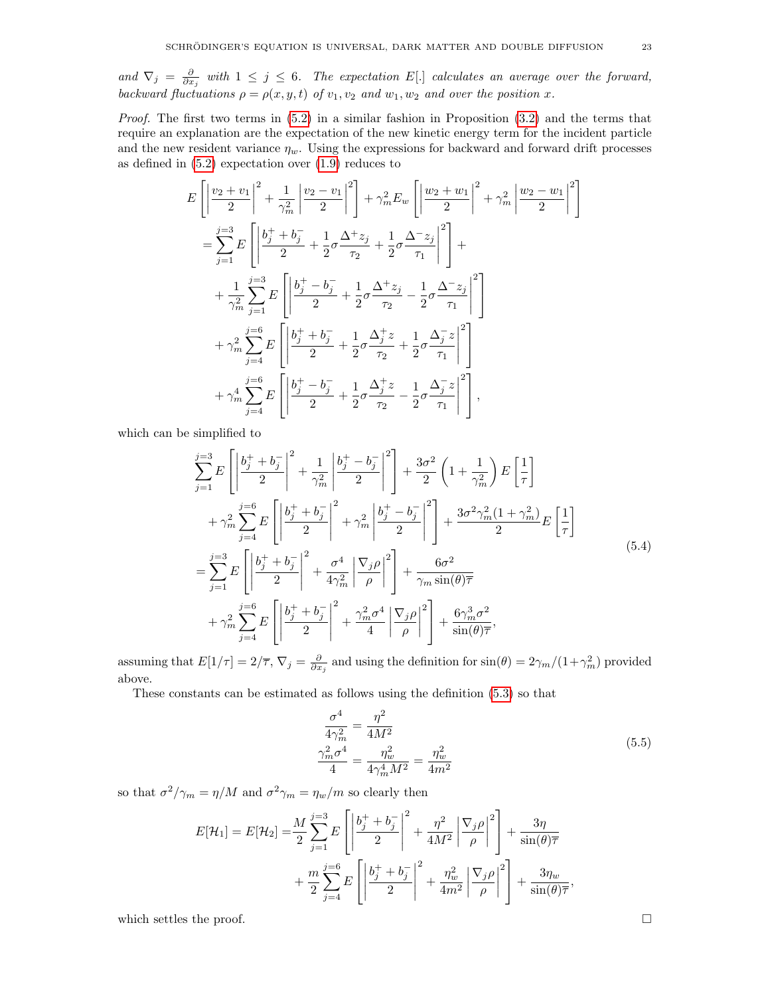and  $\nabla_j = \frac{\partial}{\partial x_j}$  with  $1 \leq j \leq 6$ . The expectation E[.] calculates an average over the forward, backward fluctuations  $\rho = \rho(x, y, t)$  of  $v_1, v_2$  and  $w_1, w_2$  and over the position x.

*Proof.* The first two terms in  $(5.2)$  in a similar fashion in Proposition  $(3.2)$  and the terms that require an explanation are the expectation of the new kinetic energy term for the incident particle and the new resident variance  $\eta_w$ . Using the expressions for backward and forward drift processes as defined in  $(5.2)$  expectation over  $(1.9)$  reduces to

$$
E\left[\left|\frac{v_{2}+v_{1}}{2}\right|^{2}+\frac{1}{\gamma_{m}^{2}}\left|\frac{v_{2}-v_{1}}{2}\right|^{2}\right]+\gamma_{m}^{2}E_{w}\left[\left|\frac{w_{2}+w_{1}}{2}\right|^{2}+\gamma_{m}^{2}\left|\frac{w_{2}-w_{1}}{2}\right|^{2}\right]
$$
  
\n
$$
=\sum_{j=1}^{j=3}E\left[\left|\frac{b_{j}^{+}+b_{j}^{-}}{2}+\frac{1}{2}\sigma\frac{\Delta^{+}z_{j}}{\tau_{2}}+\frac{1}{2}\sigma\frac{\Delta^{-}z_{j}}{\tau_{1}}\right|^{2}\right]+\n+ \frac{1}{\gamma_{m}^{2}}\sum_{j=1}^{j=3}E\left[\left|\frac{b_{j}^{+}-b_{j}^{-}}{2}+\frac{1}{2}\sigma\frac{\Delta^{+}z_{j}}{\tau_{2}}-\frac{1}{2}\sigma\frac{\Delta^{-}z_{j}}{\tau_{1}}\right|^{2}\right] +\n+ \gamma_{m}^{2}\sum_{j=4}^{j=6}E\left[\left|\frac{b_{j}^{+}+b_{j}^{-}}{2}+\frac{1}{2}\sigma\frac{\Delta_{j}^{+}z}{\tau_{2}}+\frac{1}{2}\sigma\frac{\Delta_{j}^{-}z}{\tau_{1}}\right|^{2}\right] +\n+ \gamma_{m}^{4}\sum_{j=4}^{j=6}E\left[\left|\frac{b_{j}^{+}-b_{j}^{-}}{2}+\frac{1}{2}\sigma\frac{\Delta_{j}^{+}z}{\tau_{2}}-\frac{1}{2}\sigma\frac{\Delta_{j}^{-}z}{\tau_{1}}\right|^{2}\right],
$$

which can be simplified to

$$
\sum_{j=1}^{j=3} E\left[ \left| \frac{b_j^+ + b_j^-}{2} \right|^2 + \frac{1}{\gamma_m^2} \left| \frac{b_j^+ - b_j^-}{2} \right|^2 \right] + \frac{3\sigma^2}{2} \left( 1 + \frac{1}{\gamma_m^2} \right) E\left[ \frac{1}{\tau} \right] \n+ \gamma_m^2 \sum_{j=4}^{j=6} E\left[ \left| \frac{b_j^+ + b_j^-}{2} \right|^2 + \gamma_m^2 \left| \frac{b_j^+ - b_j^-}{2} \right|^2 \right] + \frac{3\sigma^2 \gamma_m^2 (1 + \gamma_m^2)}{2} E\left[ \frac{1}{\tau} \right] \n= \sum_{j=1}^{j=3} E\left[ \left| \frac{b_j^+ + b_j^-}{2} \right|^2 + \frac{\sigma^4}{4\gamma_m^2} \left| \frac{\nabla_j \rho}{\rho} \right|^2 \right] + \frac{6\sigma^2}{\gamma_m \sin(\theta) \overline{\tau}} \n+ \gamma_m^2 \sum_{j=4}^{j=6} E\left[ \left| \frac{b_j^+ + b_j^-}{2} \right|^2 + \frac{\gamma_m^2 \sigma^4}{4} \left| \frac{\nabla_j \rho}{\rho} \right|^2 \right] + \frac{6\gamma_m^3 \sigma^2}{\sin(\theta) \overline{\tau}},
$$
\n(5.4)

assuming that  $E[1/\tau] = 2/\overline{\tau}$ ,  $\nabla_j = \frac{\partial}{\partial x_j}$  and using the definition for  $\sin(\theta) = 2\gamma_m/(1+\gamma_m^2)$  provided above.

These constants can be estimated as follows using the definition [\(5.3\)](#page-21-4) so that

<span id="page-22-0"></span>
$$
\frac{\sigma^4}{4\gamma_m^2} = \frac{\eta^2}{4M^2}
$$
  

$$
\frac{\gamma_m^2 \sigma^4}{4} = \frac{\eta_w^2}{4\gamma_m^4 M^2} = \frac{\eta_w^2}{4m^2}
$$
 (5.5)

so that  $\sigma^2/\gamma_m = \eta/M$  and  $\sigma^2\gamma_m = \eta_w/m$  so clearly then

$$
E[\mathcal{H}_1] = E[\mathcal{H}_2] = \frac{M}{2} \sum_{j=1}^{j=3} E\left[\left|\frac{b_j^+ + b_j^-}{2}\right|^2 + \frac{\eta^2}{4M^2} \left|\frac{\nabla_j \rho}{\rho}\right|^2\right] + \frac{3\eta}{\sin(\theta)\overline{\tau}} + \frac{m}{2} \sum_{j=4}^{j=6} E\left[\left|\frac{b_j^+ + b_j^-}{2}\right|^2 + \frac{\eta_w^2}{4m^2} \left|\frac{\nabla_j \rho}{\rho}\right|^2\right] + \frac{3\eta_w}{\sin(\theta)\overline{\tau}},
$$

which settles the proof.  $\Box$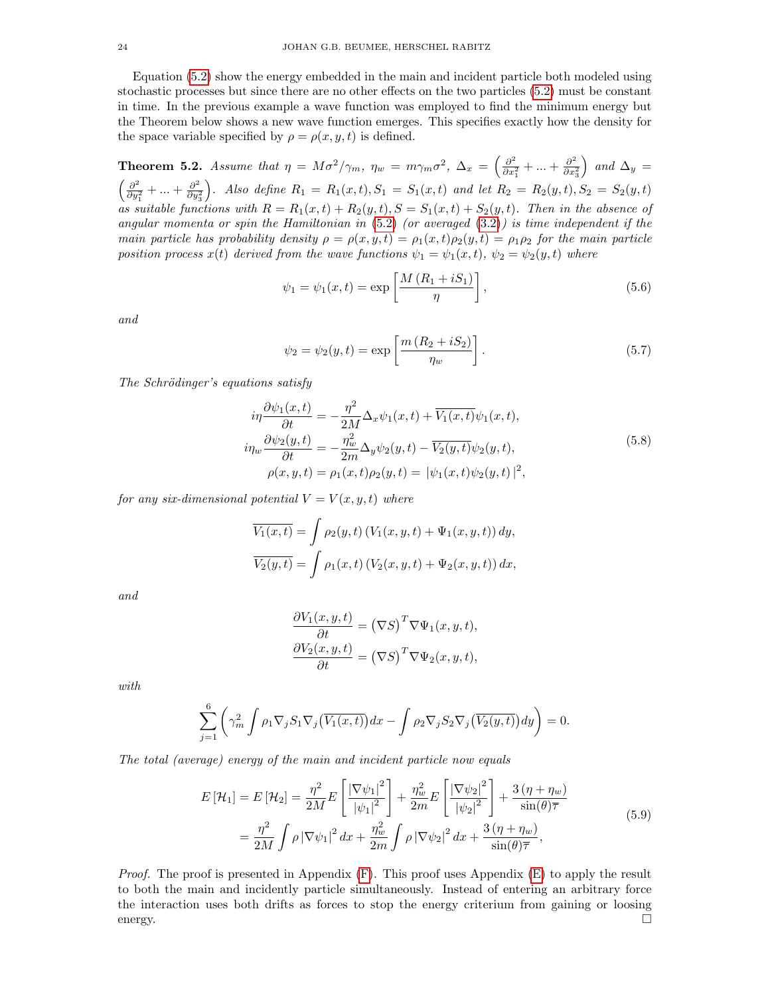Equation [\(5.2\)](#page-21-3) show the energy embedded in the main and incident particle both modeled using stochastic processes but since there are no other effects on the two particles [\(5.2\)](#page-21-3) must be constant in time. In the previous example a wave function was employed to find the minimum energy but the Theorem below shows a new wave function emerges. This specifies exactly how the density for the space variable specified by  $\rho = \rho(x, y, t)$  is defined.

<span id="page-23-0"></span>**Theorem 5.2.** Assume that  $\eta = M\sigma^2/\gamma_m$ ,  $\eta_w = m\gamma_m\sigma^2$ ,  $\Delta_x = \left(\frac{\partial^2}{\partial x^2}\right)^2$  $\frac{\partial^2}{\partial x_1^2} + \ldots + \frac{\partial^2}{\partial x_2^2}$  $\overline{\partial x_3^2}$ ) and  $\Delta_y =$  $\int$  ∂<sup>2</sup>  $\frac{\partial^2}{\partial y_1^2} + \ldots + \frac{\partial^2}{\partial y_i^2}$  $\overline{\partial y_3^2}$ ). Also define  $R_1 = R_1(x,t)$ ,  $S_1 = S_1(x,t)$  and let  $R_2 = R_2(y,t)$ ,  $S_2 = S_2(y,t)$ as suitable functions with  $R = R_1(x,t) + R_2(y,t)$ ,  $S = S_1(x,t) + S_2(y,t)$ . Then in the absence of angular momenta or spin the Hamiltonian in  $(5.2)$  (or averaged  $(3.2)$ ) is time independent if the main particle has probability density  $\rho = \rho(x, y, t) = \rho_1(x, t)\rho_2(y, t) = \rho_1\rho_2$  for the main particle position process  $x(t)$  derived from the wave functions  $\psi_1 = \psi_1(x,t)$ ,  $\psi_2 = \psi_2(y,t)$  where

$$
\psi_1 = \psi_1(x, t) = \exp\left[\frac{M\left(R_1 + iS_1\right)}{\eta}\right],\tag{5.6}
$$

and

$$
\psi_2 = \psi_2(y, t) = \exp\left[\frac{m\left(R_2 + iS_2\right)}{\eta_w}\right].
$$
\n(5.7)

The Schrödinger's equations satisfy

$$
i\eta \frac{\partial \psi_1(x,t)}{\partial t} = -\frac{\eta^2}{2M} \Delta_x \psi_1(x,t) + \overline{V_1(x,t)} \psi_1(x,t),
$$
  
\n
$$
i\eta_w \frac{\partial \psi_2(y,t)}{\partial t} = -\frac{\eta_w^2}{2m} \Delta_y \psi_2(y,t) - \overline{V_2(y,t)} \psi_2(y,t),
$$
  
\n
$$
\rho(x,y,t) = \rho_1(x,t)\rho_2(y,t) = |\psi_1(x,t)\psi_2(y,t)|^2,
$$
\n(5.8)

for any six-dimensional potential  $V = V(x, y, t)$  where

$$
\overline{V_1(x,t)} = \int \rho_2(y,t) \left( V_1(x,y,t) + \Psi_1(x,y,t) \right) dy,
$$
  

$$
\overline{V_2(y,t)} = \int \rho_1(x,t) \left( V_2(x,y,t) + \Psi_2(x,y,t) \right) dx,
$$

and

$$
\frac{\partial V_1(x, y, t)}{\partial t} = (\nabla S)^T \nabla \Psi_1(x, y, t), \n\frac{\partial V_2(x, y, t)}{\partial t} = (\nabla S)^T \nabla \Psi_2(x, y, t),
$$

with

$$
\sum_{j=1}^{6} \left( \gamma_m^2 \int \rho_1 \nabla_j S_1 \nabla_j \left( \overline{V_1(x,t)} \right) dx - \int \rho_2 \nabla_j S_2 \nabla_j \left( \overline{V_2(y,t)} \right) dy \right) = 0.
$$

The total (average) energy of the main and incident particle now equals

$$
E\left[\mathcal{H}_1\right] = E\left[\mathcal{H}_2\right] = \frac{\eta^2}{2M} E\left[\frac{\left|\nabla\psi_1\right|^2}{\left|\psi_1\right|^2}\right] + \frac{\eta_w^2}{2m} E\left[\frac{\left|\nabla\psi_2\right|^2}{\left|\psi_2\right|^2}\right] + \frac{3\left(\eta + \eta_w\right)}{\sin(\theta)\overline{\tau}}
$$
\n
$$
= \frac{\eta^2}{2M} \int \rho \left|\nabla\psi_1\right|^2 dx + \frac{\eta_w^2}{2m} \int \rho \left|\nabla\psi_2\right|^2 dx + \frac{3\left(\eta + \eta_w\right)}{\sin(\theta)\overline{\tau}},\tag{5.9}
$$

*Proof.* The proof is presented in Appendix  $(F)$ . This proof uses Appendix  $(E)$  to apply the result to both the main and incidently particle simultaneously. Instead of entering an arbitrary force the interaction uses both drifts as forces to stop the energy criterium from gaining or loosing energy.  $\Box$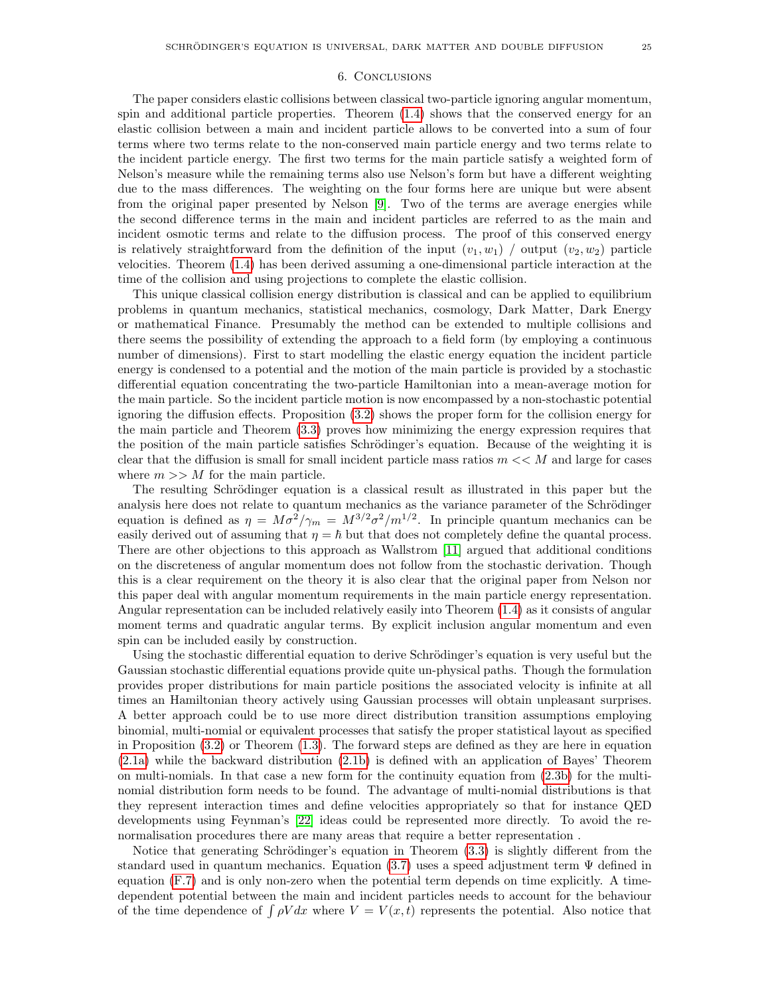## 6. Conclusions

The paper considers elastic collisions between classical two-particle ignoring angular momentum, spin and additional particle properties. Theorem [\(1.4\)](#page-8-1) shows that the conserved energy for an elastic collision between a main and incident particle allows to be converted into a sum of four terms where two terms relate to the non-conserved main particle energy and two terms relate to the incident particle energy. The first two terms for the main particle satisfy a weighted form of Nelson's measure while the remaining terms also use Nelson's form but have a different weighting due to the mass differences. The weighting on the four forms here are unique but were absent from the original paper presented by Nelson [\[9\]](#page-26-8). Two of the terms are average energies while the second difference terms in the main and incident particles are referred to as the main and incident osmotic terms and relate to the diffusion process. The proof of this conserved energy is relatively straightforward from the definition of the input  $(v_1, w_1)$  / output  $(v_2, w_2)$  particle velocities. Theorem [\(1.4\)](#page-8-1) has been derived assuming a one-dimensional particle interaction at the time of the collision and using projections to complete the elastic collision.

This unique classical collision energy distribution is classical and can be applied to equilibrium problems in quantum mechanics, statistical mechanics, cosmology, Dark Matter, Dark Energy or mathematical Finance. Presumably the method can be extended to multiple collisions and there seems the possibility of extending the approach to a field form (by employing a continuous number of dimensions). First to start modelling the elastic energy equation the incident particle energy is condensed to a potential and the motion of the main particle is provided by a stochastic differential equation concentrating the two-particle Hamiltonian into a mean-average motion for the main particle. So the incident particle motion is now encompassed by a non-stochastic potential ignoring the diffusion effects. Proposition [\(3.2\)](#page-12-1) shows the proper form for the collision energy for the main particle and Theorem [\(3.3\)](#page-13-1) proves how minimizing the energy expression requires that the position of the main particle satisfies Schrödinger's equation. Because of the weighting it is clear that the diffusion is small for small incident particle mass ratios  $m \ll M$  and large for cases where  $m >> M$  for the main particle.

The resulting Schrödinger equation is a classical result as illustrated in this paper but the analysis here does not relate to quantum mechanics as the variance parameter of the Schrödinger equation is defined as  $\eta = M\sigma^2/\gamma_m = M^{3/2}\sigma^2/m^{1/2}$ . In principle quantum mechanics can be easily derived out of assuming that  $\eta = \hbar$  but that does not completely define the quantal process. There are other objections to this approach as Wallstrom [\[11\]](#page-26-10) argued that additional conditions on the discreteness of angular momentum does not follow from the stochastic derivation. Though this is a clear requirement on the theory it is also clear that the original paper from Nelson nor this paper deal with angular momentum requirements in the main particle energy representation. Angular representation can be included relatively easily into Theorem [\(1.4\)](#page-8-1) as it consists of angular moment terms and quadratic angular terms. By explicit inclusion angular momentum and even spin can be included easily by construction.

Using the stochastic differential equation to derive Schrödinger's equation is very useful but the Gaussian stochastic differential equations provide quite un-physical paths. Though the formulation provides proper distributions for main particle positions the associated velocity is infinite at all times an Hamiltonian theory actively using Gaussian processes will obtain unpleasant surprises. A better approach could be to use more direct distribution transition assumptions employing binomial, multi-nomial or equivalent processes that satisfy the proper statistical layout as specified in Proposition [\(3.2\)](#page-12-1) or Theorem [\(1.3\)](#page-7-3). The forward steps are defined as they are here in equation [\(2.1a\)](#page-9-0) while the backward distribution [\(2.1b\)](#page-9-1) is defined with an application of Bayes' Theorem on multi-nomials. In that case a new form for the continuity equation from [\(2.3b\)](#page-10-0) for the multinomial distribution form needs to be found. The advantage of multi-nomial distributions is that they represent interaction times and define velocities appropriately so that for instance QED developments using Feynman's [\[22\]](#page-26-22) ideas could be represented more directly. To avoid the renormalisation procedures there are many areas that require a better representation .

Notice that generating Schrödinger's equation in Theorem  $(3.3)$  is slightly different from the standard used in quantum mechanics. Equation [\(3.7\)](#page-13-0) uses a speed adjustment term  $\Psi$  defined in equation [\(F.7\)](#page-39-0) and is only non-zero when the potential term depends on time explicitly. A timedependent potential between the main and incident particles needs to account for the behaviour of the time dependence of  $\int \rho V dx$  where  $V = V(x,t)$  represents the potential. Also notice that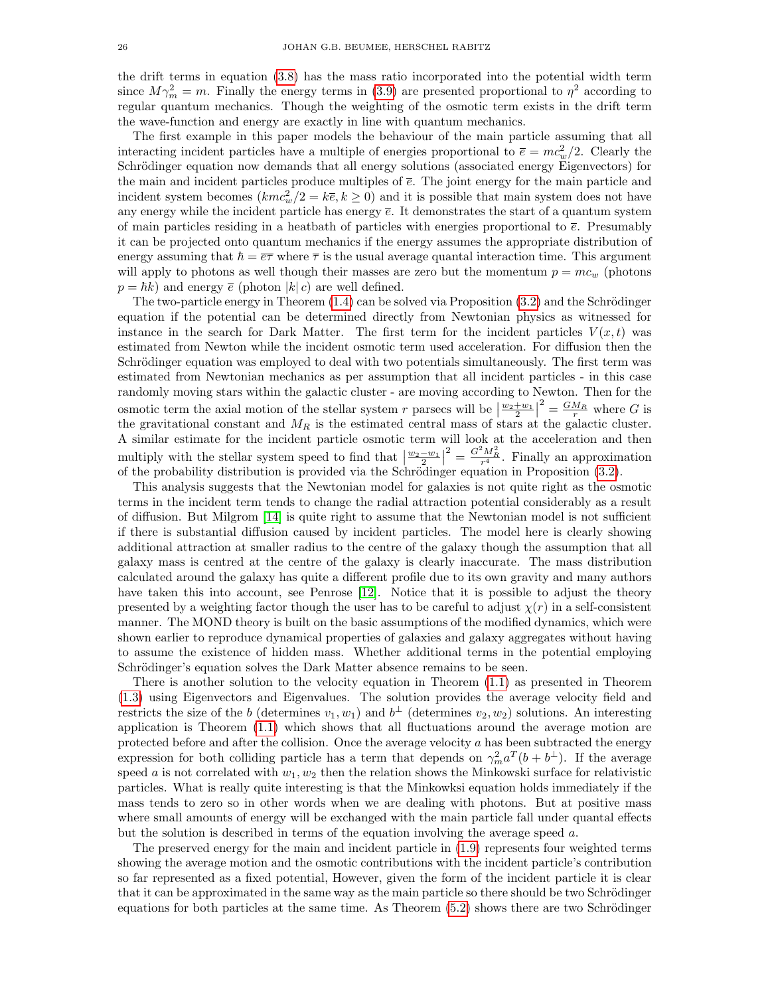the drift terms in equation [\(3.8\)](#page-13-3) has the mass ratio incorporated into the potential width term since  $M\gamma_m^2 = m$ . Finally the energy terms in [\(3.9\)](#page-13-4) are presented proportional to  $\eta^2$  according to regular quantum mechanics. Though the weighting of the osmotic term exists in the drift term the wave-function and energy are exactly in line with quantum mechanics.

The first example in this paper models the behaviour of the main particle assuming that all interacting incident particles have a multiple of energies proportional to  $\bar{e} = mc_w^2/2$ . Clearly the Schrödinger equation now demands that all energy solutions (associated energy Eigenvectors) for the main and incident particles produce multiples of  $\bar{e}$ . The joint energy for the main particle and incident system becomes  $(kmc_w^2/2 = k\bar{e}, k \ge 0)$  and it is possible that main system does not have any energy while the incident particle has energy  $\bar{e}$ . It demonstrates the start of a quantum system of main particles residing in a heatbath of particles with energies proportional to  $\bar{e}$ . Presumably it can be projected onto quantum mechanics if the energy assumes the appropriate distribution of energy assuming that  $\hbar = \overline{e\tau}$  where  $\overline{\tau}$  is the usual average quantal interaction time. This argument will apply to photons as well though their masses are zero but the momentum  $p = mc_w$  (photons  $p = \hbar k$ ) and energy  $\bar{e}$  (photon  $|k| c$ ) are well defined.

The two-particle energy in Theorem  $(1.4)$  can be solved via Proposition  $(3.2)$  and the Schrödinger equation if the potential can be determined directly from Newtonian physics as witnessed for instance in the search for Dark Matter. The first term for the incident particles  $V(x,t)$  was estimated from Newton while the incident osmotic term used acceleration. For diffusion then the Schrödinger equation was employed to deal with two potentials simultaneously. The first term was estimated from Newtonian mechanics as per assumption that all incident particles - in this case randomly moving stars within the galactic cluster - are moving according to Newton. Then for the osmotic term the axial motion of the stellar system r parsecs will be  $\left\lfloor \frac{w_2+w_1}{2} \right\rfloor$  $\frac{2}{r} = \frac{GM_R}{r}$  where G is the gravitational constant and  $M_R$  is the estimated central mass of stars at the galactic cluster. A similar estimate for the incident particle osmotic term will look at the acceleration and then multiply with the stellar system speed to find that  $\left|\frac{w_2-w_1}{w_2}\right|$  $\sigma^2 = \frac{G^2 M_R^2}{r^4}$ . Finally an approximation of the probability distribution is provided via the Schrödinger equation in Proposition [\(3.2\)](#page-12-1).

This analysis suggests that the Newtonian model for galaxies is not quite right as the osmotic terms in the incident term tends to change the radial attraction potential considerably as a result of diffusion. But Milgrom [\[14\]](#page-26-13) is quite right to assume that the Newtonian model is not sufficient if there is substantial diffusion caused by incident particles. The model here is clearly showing additional attraction at smaller radius to the centre of the galaxy though the assumption that all galaxy mass is centred at the centre of the galaxy is clearly inaccurate. The mass distribution calculated around the galaxy has quite a different profile due to its own gravity and many authors have taken this into account, see Penrose [\[12\]](#page-26-11). Notice that it is possible to adjust the theory presented by a weighting factor though the user has to be careful to adjust  $\chi(r)$  in a self-consistent manner. The MOND theory is built on the basic assumptions of the modified dynamics, which were shown earlier to reproduce dynamical properties of galaxies and galaxy aggregates without having to assume the existence of hidden mass. Whether additional terms in the potential employing Schrödinger's equation solves the Dark Matter absence remains to be seen.

There is another solution to the velocity equation in Theorem [\(1.1\)](#page-6-2) as presented in Theorem [\(1.3\)](#page-7-3) using Eigenvectors and Eigenvalues. The solution provides the average velocity field and restricts the size of the b (determines  $v_1, w_1$ ) and  $b<sup>\perp</sup>$  (determines  $v_2, w_2$ ) solutions. An interesting application is Theorem [\(1.1\)](#page-6-2) which shows that all fluctuations around the average motion are protected before and after the collision. Once the average velocity  $a$  has been subtracted the energy expression for both colliding particle has a term that depends on  $\gamma_m^2 a^T (b + b^{\perp})$ . If the average speed a is not correlated with  $w_1, w_2$  then the relation shows the Minkowski surface for relativistic particles. What is really quite interesting is that the Minkowksi equation holds immediately if the mass tends to zero so in other words when we are dealing with photons. But at positive mass where small amounts of energy will be exchanged with the main particle fall under quantal effects but the solution is described in terms of the equation involving the average speed  $a$ .

The preserved energy for the main and incident particle in [\(1.9\)](#page-8-0) represents four weighted terms showing the average motion and the osmotic contributions with the incident particle's contribution so far represented as a fixed potential, However, given the form of the incident particle it is clear that it can be approximated in the same way as the main particle so there should be two Schrödinger equations for both particles at the same time. As Theorem  $(5.2)$  shows there are two Schrödinger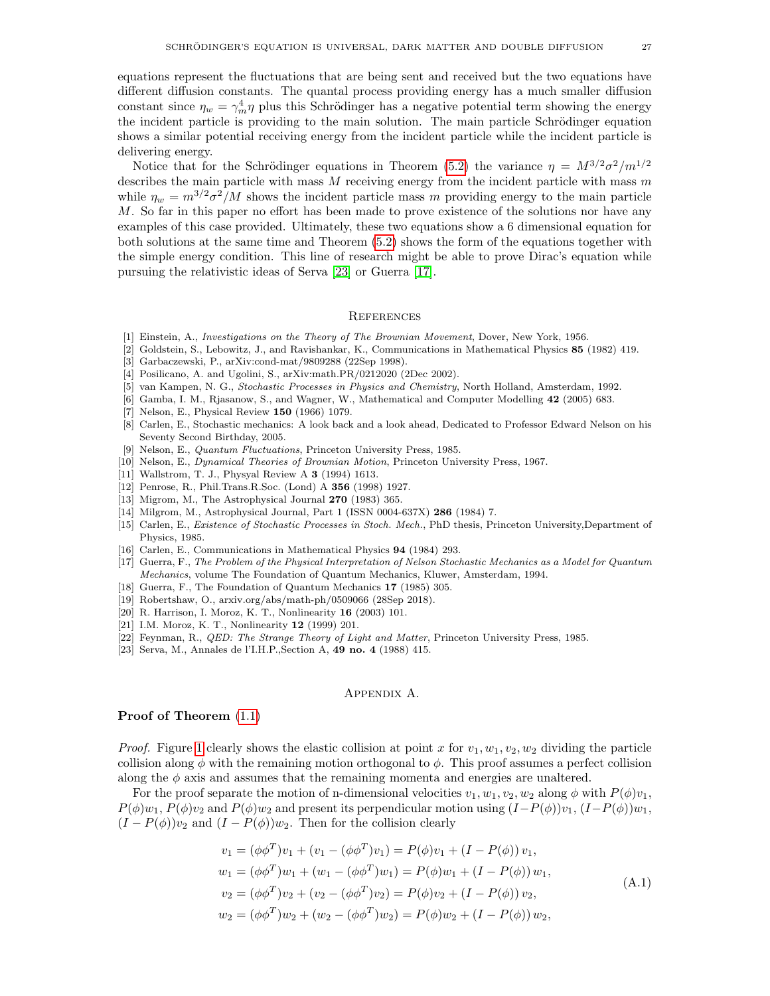equations represent the fluctuations that are being sent and received but the two equations have different diffusion constants. The quantal process providing energy has a much smaller diffusion constant since  $\eta_w = \gamma_m^4 \eta$  plus this Schrödinger has a negative potential term showing the energy the incident particle is providing to the main solution. The main particle Schrödinger equation shows a similar potential receiving energy from the incident particle while the incident particle is delivering energy.

Notice that for the Schrödinger equations in Theorem [\(5.2\)](#page-23-0) the variance  $\eta = M^{3/2} \sigma^2 / m^{1/2}$ describes the main particle with mass  $M$  receiving energy from the incident particle with mass  $m$ while  $\eta_w = m^{3/2} \sigma^2 / M$  shows the incident particle mass m providing energy to the main particle M. So far in this paper no effort has been made to prove existence of the solutions nor have any examples of this case provided. Ultimately, these two equations show a 6 dimensional equation for both solutions at the same time and Theorem [\(5.2\)](#page-23-0) shows the form of the equations together with the simple energy condition. This line of research might be able to prove Dirac's equation while pursuing the relativistic ideas of Serva [\[23\]](#page-26-23) or Guerra [\[17\]](#page-26-16).

## **REFERENCES**

- <span id="page-26-0"></span>[1] Einstein, A., Investigations on the Theory of The Brownian Movement, Dover, New York, 1956.
- <span id="page-26-1"></span>[2] Goldstein, S., Lebowitz, J., and Ravishankar, K., Communications in Mathematical Physics 85 (1982) 419.
- <span id="page-26-2"></span>[3] Garbaczewski, P., arXiv:cond-mat/9809288 (22Sep 1998).
- <span id="page-26-3"></span>[4] Posilicano, A. and Ugolini, S., arXiv:math.PR/0212020 (2Dec 2002).
- <span id="page-26-4"></span>[5] van Kampen, N. G., Stochastic Processes in Physics and Chemistry, North Holland, Amsterdam, 1992.
- <span id="page-26-5"></span>[6] Gamba, I. M., Rjasanow, S., and Wagner, W., Mathematical and Computer Modelling 42 (2005) 683.
- <span id="page-26-6"></span>[7] Nelson, E., Physical Review 150 (1966) 1079.
- <span id="page-26-7"></span>[8] Carlen, E., Stochastic mechanics: A look back and a look ahead, Dedicated to Professor Edward Nelson on his Seventy Second Birthday, 2005.
- <span id="page-26-8"></span>[9] Nelson, E., Quantum Fluctuations, Princeton University Press, 1985.
- <span id="page-26-9"></span>[10] Nelson, E., Dynamical Theories of Brownian Motion, Princeton University Press, 1967.
- <span id="page-26-10"></span>[11] Wallstrom, T. J., Physyal Review A 3 (1994) 1613.
- <span id="page-26-11"></span>[12] Penrose, R., Phil.Trans.R.Soc. (Lond) A 356 (1998) 1927.
- <span id="page-26-12"></span>[13] Migrom, M., The Astrophysical Journal 270 (1983) 365.
- <span id="page-26-13"></span>[14] Milgrom, M., Astrophysical Journal, Part 1 (ISSN 0004-637X) 286 (1984) 7.
- <span id="page-26-14"></span>[15] Carlen, E., Existence of Stochastic Processes in Stoch. Mech., PhD thesis, Princeton University,Department of Physics, 1985.
- <span id="page-26-15"></span>[16] Carlen, E., Communications in Mathematical Physics 94 (1984) 293.
- <span id="page-26-16"></span>[17] Guerra, F., The Problem of the Physical Interpretation of Nelson Stochastic Mechanics as a Model for Quantum Mechanics, volume The Foundation of Quantum Mechanics, Kluwer, Amsterdam, 1994.
- <span id="page-26-17"></span>[18] Guerra, F., The Foundation of Quantum Mechanics 17 (1985) 305.
- <span id="page-26-19"></span>[19] Robertshaw, O., arxiv.org/abs/math-ph/0509066 (28Sep 2018).
- <span id="page-26-20"></span>[20] R. Harrison, I. Moroz, K. T., Nonlinearity 16 (2003) 101.
- <span id="page-26-21"></span>[21] I.M. Moroz, K. T., Nonlinearity 12 (1999) 201.
- <span id="page-26-22"></span>[22] Feynman, R., *QED: The Strange Theory of Light and Matter*, Princeton University Press, 1985.
- <span id="page-26-23"></span>[23] Serva, M., Annales de l'I.H.P.,Section A, 49 no. 4 (1988) 415.

### <span id="page-26-24"></span>Appendix A.

#### <span id="page-26-18"></span>Proof of Theorem [\(1.1\)](#page-6-2)

*Proof.* Figure [1](#page-5-0) clearly shows the elastic collision at point x for  $v_1, w_1, v_2, w_2$  dividing the particle collision along  $\phi$  with the remaining motion orthogonal to  $\phi$ . This proof assumes a perfect collision along the  $\phi$  axis and assumes that the remaining momenta and energies are unaltered.

For the proof separate the motion of n-dimensional velocities  $v_1, w_1, v_2, w_2$  along  $\phi$  with  $P(\phi)v_1$ ,  $P(\phi)w_1, P(\phi)v_2$  and  $P(\phi)w_2$  and present its perpendicular motion using  $(I-P(\phi))v_1, (I-P(\phi))w_1$ ,  $(I - P(\phi))v_2$  and  $(I - P(\phi))w_2$ . Then for the collision clearly

$$
v_1 = (\phi \phi^T) v_1 + (v_1 - (\phi \phi^T) v_1) = P(\phi) v_1 + (I - P(\phi)) v_1,
$$
  
\n
$$
w_1 = (\phi \phi^T) w_1 + (w_1 - (\phi \phi^T) w_1) = P(\phi) w_1 + (I - P(\phi)) w_1,
$$
  
\n
$$
v_2 = (\phi \phi^T) v_2 + (v_2 - (\phi \phi^T) v_2) = P(\phi) v_2 + (I - P(\phi)) v_2,
$$
  
\n
$$
w_2 = (\phi \phi^T) w_2 + (w_2 - (\phi \phi^T) w_2) = P(\phi) w_2 + (I - P(\phi)) w_2,
$$
  
\n(A.1)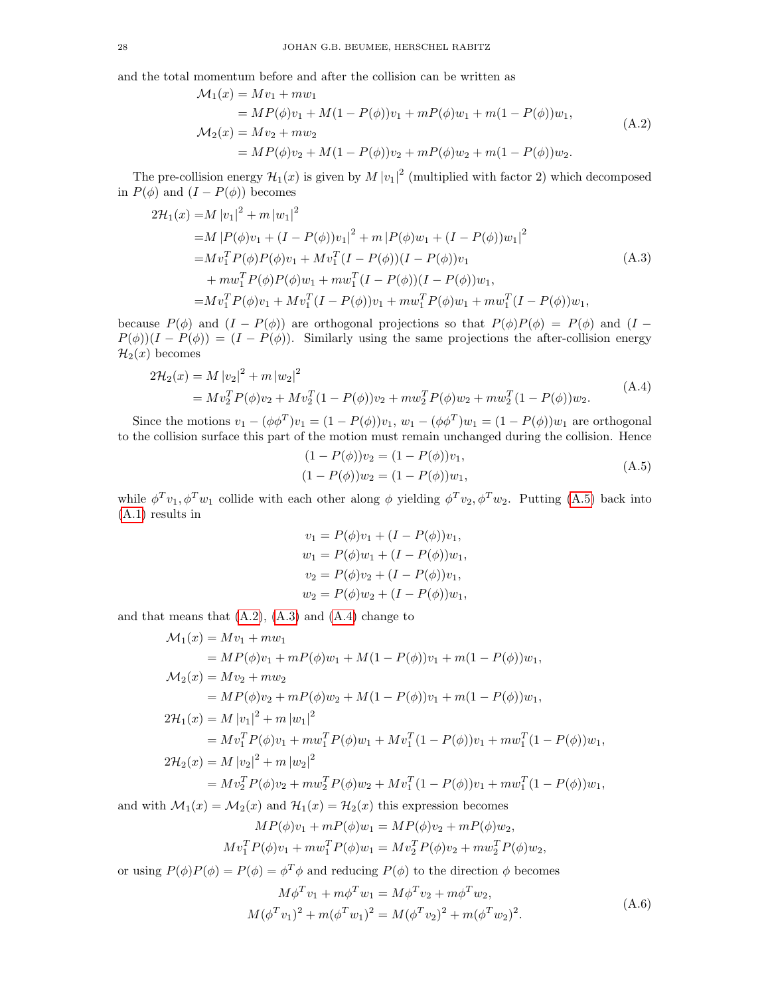and the total momentum before and after the collision can be written as

<span id="page-27-1"></span>
$$
\mathcal{M}_1(x) = Mv_1 + mw_1
$$
  
=  $MP(\phi)v_1 + M(1 - P(\phi))v_1 + mP(\phi)w_1 + m(1 - P(\phi))w_1,$   

$$
\mathcal{M}_2(x) = Mv_2 + mw_2
$$
  
=  $MP(\phi)v_2 + M(1 - P(\phi))v_2 + mP(\phi)w_2 + m(1 - P(\phi))w_2.$  (A.2)

The pre-collision energy  $\mathcal{H}_1(x)$  is given by  $M |v_1|^2$  (multiplied with factor 2) which decomposed in  $P(\phi)$  and  $(I - P(\phi))$  becomes

$$
2\mathcal{H}_1(x) = M |v_1|^2 + m |w_1|^2
$$
  
=  $M |P(\phi)v_1 + (I - P(\phi))v_1|^2 + m |P(\phi)w_1 + (I - P(\phi))w_1|^2$   
=  $Mv_1^T P(\phi)P(\phi)v_1 + Mv_1^T (I - P(\phi))(I - P(\phi))v_1$   
+  $mw_1^T P(\phi)P(\phi)w_1 + mw_1^T (I - P(\phi))(I - P(\phi))w_1,$   
=  $Mv_1^T P(\phi)v_1 + Mv_1^T (I - P(\phi))v_1 + mw_1^T P(\phi)w_1 + mw_1^T (I - P(\phi))w_1,$  (A.3)

because  $P(\phi)$  and  $(I - P(\phi))$  are orthogonal projections so that  $P(\phi)P(\phi) = P(\phi)$  and  $(I - P(\phi))$  $P(\phi)(I - P(\phi)) = (I - P(\phi))$ . Similarly using the same projections the after-collision energy  $\mathcal{H}_2(x)$  becomes

$$
2\mathcal{H}_2(x) = M |v_2|^2 + m |w_2|^2
$$
  
=  $Mv_2^T P(\phi)v_2 + Mv_2^T (1 - P(\phi))v_2 + m w_2^T P(\phi)w_2 + m w_2^T (1 - P(\phi))w_2.$  (A.4)

Since the motions  $v_1 - (\phi \phi^T)v_1 = (1 - P(\phi))v_1$ ,  $w_1 - (\phi \phi^T)w_1 = (1 - P(\phi))w_1$  are orthogonal to the collision surface this part of the motion must remain unchanged during the collision. Hence

<span id="page-27-3"></span><span id="page-27-2"></span><span id="page-27-0"></span>
$$
(1 - P(\phi))v_2 = (1 - P(\phi))v_1,
$$
  
\n
$$
(1 - P(\phi))w_2 = (1 - P(\phi))w_1,
$$
\n(A.5)

while  $\phi^T v_1, \phi^T w_1$  collide with each other along  $\phi$  yielding  $\phi^T v_2, \phi^T w_2$ . Putting [\(A.5\)](#page-27-0) back into [\(A.1\)](#page-26-24) results in

$$
v_1 = P(\phi)v_1 + (I - P(\phi))v_1,
$$
  
\n
$$
w_1 = P(\phi)w_1 + (I - P(\phi))w_1,
$$
  
\n
$$
v_2 = P(\phi)v_2 + (I - P(\phi))v_1,
$$
  
\n
$$
w_2 = P(\phi)w_2 + (I - P(\phi))w_1,
$$

and that means that  $(A.2)$ ,  $(A.3)$  and  $(A.4)$  change to

$$
\mathcal{M}_1(x) = Mv_1 + mw_1
$$
  
\n
$$
= MP(\phi)v_1 + mP(\phi)w_1 + M(1 - P(\phi))v_1 + m(1 - P(\phi))w_1,
$$
  
\n
$$
\mathcal{M}_2(x) = Mv_2 + mw_2
$$
  
\n
$$
= MP(\phi)v_2 + mP(\phi)w_2 + M(1 - P(\phi))v_1 + m(1 - P(\phi))w_1,
$$
  
\n
$$
2\mathcal{H}_1(x) = M |v_1|^2 + m |w_1|^2
$$
  
\n
$$
= Mv_1^T P(\phi)v_1 + mw_1^T P(\phi)w_1 + Mv_1^T (1 - P(\phi))v_1 + mw_1^T (1 - P(\phi))w_1,
$$
  
\n
$$
2\mathcal{H}_2(x) = M |v_2|^2 + m |w_2|^2
$$
  
\n
$$
= Mv_2^T P(\phi)v_2 + mw_2^T P(\phi)w_2 + Mv_1^T (1 - P(\phi))v_1 + mw_1^T (1 - P(\phi))w_1,
$$
  
\nand with  $\mathcal{M}_1(x) = \mathcal{M}_2(x)$  and  $\mathcal{H}_1(x) = \mathcal{H}_2(x)$  this expression becomes

$$
MP(\phi)v_1 + mP(\phi)w_1 = MP(\phi)v_2 + mP(\phi)w_2,
$$

$$
Mv_1^T P(\phi)v_1 + m w_1^T P(\phi)w_1 = Mv_2^T P(\phi)v_2 + m w_2^T P(\phi)w_2,
$$

or using  $P(\phi)P(\phi) = P(\phi) = \phi^T \phi$  and reducing  $P(\phi)$  to the direction  $\phi$  becomes

<span id="page-27-4"></span>
$$
M\phi^T v_1 + m\phi^T w_1 = M\phi^T v_2 + m\phi^T w_2,
$$
  

$$
M(\phi^T v_1)^2 + m(\phi^T w_1)^2 = M(\phi^T v_2)^2 + m(\phi^T w_2)^2.
$$
 (A.6)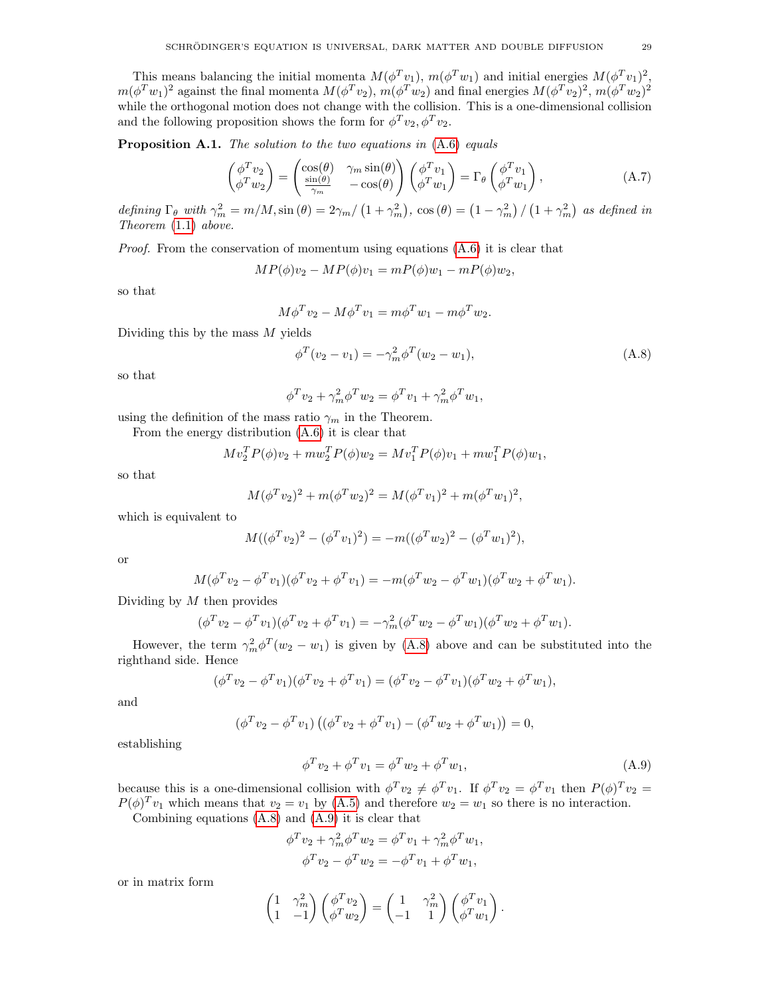This means balancing the initial momenta  $M(\phi^T v_1)$ ,  $m(\phi^T w_1)$  and initial energies  $M(\phi^T v_1)^2$ ,  $m(\phi^T w_1)^2$  against the final momenta  $M(\phi^T v_2)$ ,  $m(\phi^T w_2)$  and final energies  $M(\phi^T v_2)^2$ ,  $m(\phi^T w_2)^2$ while the orthogonal motion does not change with the collision. This is a one-dimensional collision and the following proposition shows the form for  $\phi^T v_2$ ,  $\phi^T v_2$ .

<span id="page-28-1"></span>**Proposition A.1.** The solution to the two equations in  $(A.6)$  equals

$$
\begin{pmatrix}\n\phi^T v_2 \\
\phi^T w_2\n\end{pmatrix} = \begin{pmatrix}\n\cos(\theta) & \gamma_m \sin(\theta) \\
\frac{\sin(\theta)}{\gamma_m} & -\cos(\theta)\n\end{pmatrix}\n\begin{pmatrix}\n\phi^T v_1 \\
\phi^T w_1\n\end{pmatrix} = \Gamma_\theta \begin{pmatrix}\n\phi^T v_1 \\
\phi^T w_1\n\end{pmatrix},
$$
\n(A.7)

defining  $\Gamma_{\theta}$  with  $\gamma_m^2 = m/M$ ,  $\sin(\theta) = 2\gamma_m/(1 + \gamma_m^2)$ ,  $\cos(\theta) = (1 - \gamma_m^2)/(1 + \gamma_m^2)$  as defined in Theorem [\(1.1\)](#page-6-2) above.

*Proof.* From the conservation of momentum using equations  $(A.6)$  it is clear that

 $MP(\phi)v_2 - MP(\phi)v_1 = mP(\phi)w_1 - mP(\phi)w_2,$ 

so that

<span id="page-28-0"></span>
$$
M\phi^T v_2 - M\phi^T v_1 = m\phi^T w_1 - m\phi^T w_2.
$$

Dividing this by the mass  $M$  yields

<span id="page-28-2"></span>
$$
\phi^T(v_2 - v_1) = -\gamma_m^2 \phi^T(w_2 - w_1),\tag{A.8}
$$

so that

$$
\phi^T v_2 + \gamma_m^2 \phi^T w_2 = \phi^T v_1 + \gamma_m^2 \phi^T w_1,
$$

using the definition of the mass ratio  $\gamma_m$  in the Theorem.

From the energy distribution [\(A.6\)](#page-27-4) it is clear that

$$
Mv_2^T P(\phi)v_2 + m w_2^T P(\phi)w_2 = Mv_1^T P(\phi)v_1 + m w_1^T P(\phi)w_1,
$$

so that

$$
M(\phi^T v_2)^2 + m(\phi^T w_2)^2 = M(\phi^T v_1)^2 + m(\phi^T w_1)^2,
$$

which is equivalent to

$$
M((\phi^T v_2)^2 - (\phi^T v_1)^2) = -m((\phi^T w_2)^2 - (\phi^T w_1)^2),
$$

or

$$
M(\phi^T v_2 - \phi^T v_1)(\phi^T v_2 + \phi^T v_1) = -m(\phi^T w_2 - \phi^T w_1)(\phi^T w_2 + \phi^T w_1).
$$

Dividing by  $M$  then provides

$$
(\phi^T v_2 - \phi^T v_1)(\phi^T v_2 + \phi^T v_1) = -\gamma_m^2 (\phi^T w_2 - \phi^T w_1)(\phi^T w_2 + \phi^T w_1).
$$

However, the term  $\gamma_m^2 \phi^T(w_2 - w_1)$  is given by [\(A.8\)](#page-28-2) above and can be substituted into the righthand side. Hence

$$
(\phi^T v_2 - \phi^T v_1)(\phi^T v_2 + \phi^T v_1) = (\phi^T v_2 - \phi^T v_1)(\phi^T w_2 + \phi^T w_1),
$$

and

$$
(\phi^T v_2 - \phi^T v_1) ((\phi^T v_2 + \phi^T v_1) - (\phi^T w_2 + \phi^T w_1)) = 0,
$$

establishing

<span id="page-28-3"></span>
$$
\phi^T v_2 + \phi^T v_1 = \phi^T w_2 + \phi^T w_1,
$$
\n(A.9)

because this is a one-dimensional collision with  $\phi^T v_2 \neq \phi^T v_1$ . If  $\phi^T v_2 = \phi^T v_1$  then  $P(\phi)^T v_2 =$  $P(\phi)^T v_1$  which means that  $v_2 = v_1$  by [\(A.5\)](#page-27-0) and therefore  $w_2 = w_1$  so there is no interaction.

Combining equations [\(A.8\)](#page-28-2) and [\(A.9\)](#page-28-3) it is clear that

$$
\phi^T v_2 + \gamma_m^2 \phi^T w_2 = \phi^T v_1 + \gamma_m^2 \phi^T w_1,
$$
  

$$
\phi^T v_2 - \phi^T w_2 = -\phi^T v_1 + \phi^T w_1,
$$

or in matrix form

$$
\begin{pmatrix} 1 & \gamma_m^2 \\ 1 & -1 \end{pmatrix} \begin{pmatrix} \phi^T v_2 \\ \phi^T w_2 \end{pmatrix} = \begin{pmatrix} 1 & \gamma_m^2 \\ -1 & 1 \end{pmatrix} \begin{pmatrix} \phi^T v_1 \\ \phi^T w_1 \end{pmatrix}.
$$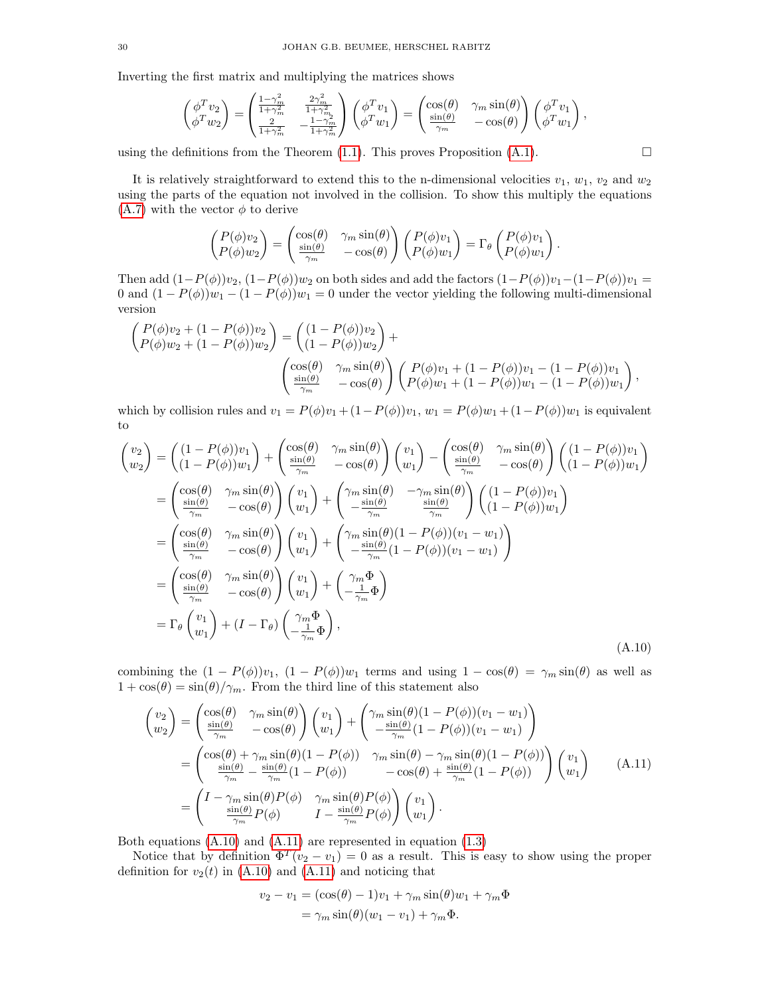Inverting the first matrix and multiplying the matrices shows

$$
\begin{pmatrix} \phi^T v_2 \\ \phi^T w_2 \end{pmatrix} = \begin{pmatrix} \frac{1-\gamma_m^2}{1+\gamma_m^2} & \frac{2\gamma_m^2}{1+\gamma_m^2} \\ \frac{2}{1+\gamma_m^2} & -\frac{1-\gamma_m}{1+\gamma_m^2} \end{pmatrix} \begin{pmatrix} \phi^T v_1 \\ \phi^T w_1 \end{pmatrix} = \begin{pmatrix} \cos(\theta) & \gamma_m \sin(\theta) \\ \frac{\sin(\theta)}{\gamma_m} & -\cos(\theta) \end{pmatrix} \begin{pmatrix} \phi^T v_1 \\ \phi^T w_1 \end{pmatrix},
$$

using the definitions from the Theorem [\(1.1\)](#page-6-2). This proves Proposition [\(A.1\)](#page-28-1).

It is relatively straightforward to extend this to the n-dimensional velocities  $v_1, w_1, v_2$  and  $w_2$ using the parts of the equation not involved in the collision. To show this multiply the equations [\(A.7\)](#page-28-0) with the vector  $\phi$  to derive

$$
\begin{pmatrix}\nP(\phi)v_2 \\
P(\phi)w_2\n\end{pmatrix} = \begin{pmatrix}\n\cos(\theta) & \gamma_m \sin(\theta) \\
\frac{\sin(\theta)}{\gamma_m} & -\cos(\theta)\n\end{pmatrix} \begin{pmatrix}\nP(\phi)v_1 \\
P(\phi)w_1\n\end{pmatrix} = \Gamma_\theta \begin{pmatrix}\nP(\phi)v_1 \\
P(\phi)w_1\n\end{pmatrix}.
$$

Then add  $(1-P(\phi))v_2$ ,  $(1-P(\phi))w_2$  on both sides and add the factors  $(1-P(\phi))v_1-(1-P(\phi))v_1$  = 0 and  $(1 - P(\phi))w_1 - (1 - P(\phi))w_1 = 0$  under the vector yielding the following multi-dimensional version

$$
\begin{pmatrix}\nP(\phi)v_2 + (1 - P(\phi))v_2 \\
P(\phi)w_2 + (1 - P(\phi))w_2\n\end{pmatrix} = \begin{pmatrix}\n(1 - P(\phi))v_2 \\
(1 - P(\phi))w_2\n\end{pmatrix} + \begin{pmatrix}\n\cos(\theta) & \gamma_m \sin(\theta) \\
-\cos(\theta) & -\cos(\theta)\n\end{pmatrix} \begin{pmatrix}\nP(\phi)v_1 + (1 - P(\phi))v_1 - (1 - P(\phi))v_1 \\
P(\phi)w_1 + (1 - P(\phi))w_1 - (1 - P(\phi))w_1\n\end{pmatrix},
$$

which by collision rules and  $v_1 = P(\phi)v_1 + (1 - P(\phi))v_1$ ,  $w_1 = P(\phi)w_1 + (1 - P(\phi))w_1$  is equivalent to

$$
\begin{aligned}\n\begin{pmatrix}\nv_2 \\
w_2\n\end{pmatrix} &= \begin{pmatrix}\n(1 - P(\phi))v_1 \\
(1 - P(\phi))w_1\n\end{pmatrix} + \begin{pmatrix}\n\cos(\theta) & \gamma_m \sin(\theta) \\
\frac{\sin(\theta)}{\gamma_m} & -\cos(\theta)\n\end{pmatrix} \begin{pmatrix}\nv_1 \\
w_1\n\end{pmatrix} - \begin{pmatrix}\n\cos(\theta) & \gamma_m \sin(\theta) \\
\frac{\sin(\theta)}{\gamma_m} & -\cos(\theta)\n\end{pmatrix} \begin{pmatrix}\n(1 - P(\phi))v_1 \\
(1 - P(\phi))w_1\n\end{pmatrix} \\
&= \begin{pmatrix}\n\cos(\theta) & \gamma_m \sin(\theta) \\
\frac{\sin(\theta)}{\gamma_m} & -\cos(\theta)\n\end{pmatrix} \begin{pmatrix}\nv_1 \\
w_1\n\end{pmatrix} + \begin{pmatrix}\n\gamma_m \sin(\theta) & -\gamma_m \sin(\theta) \\
-\frac{\sin(\theta)}{\gamma_m} & \frac{\sin(\theta)}{\gamma_m}\n\end{pmatrix} \begin{pmatrix}\n(1 - P(\phi))v_1 \\
(1 - P(\phi))w_1\n\end{pmatrix} \\
&= \begin{pmatrix}\n\cos(\theta) & \gamma_m \sin(\theta) \\
\frac{\sin(\theta)}{\gamma_m} & -\cos(\theta)\n\end{pmatrix} \begin{pmatrix}\nv_1 \\
w_1\n\end{pmatrix} + \begin{pmatrix}\n\gamma_m \sin(\theta)(1 - P(\phi))(v_1 - w_1) \\
-\frac{\sin(\theta)}{\gamma_m}(1 - P(\phi))(v_1 - w_1)\n\end{pmatrix} \\
&= \begin{pmatrix}\n\cos(\theta) & \gamma_m \sin(\theta) \\
\frac{\sin(\theta)}{\gamma_m} & -\cos(\theta)\n\end{pmatrix} \begin{pmatrix}\nv_1 \\
w_1\n\end{pmatrix} + \begin{pmatrix}\n\gamma_m \Phi \\
-\frac{1}{\gamma_m} \Phi\n\end{pmatrix} \\
&= \Gamma_\theta \begin{pmatrix}\nv_1 \\
w_1\n\end{pmatrix} + (I - \Gamma_\theta) \begin{pmatrix}\n\gamma_m \Phi \\
-\frac{1}{\gamma_m} \Phi\n\end{pmatrix},\n\end{aligned}
$$
\n(A.10)

combining the  $(1 - P(\phi))v_1$ ,  $(1 - P(\phi))w_1$  terms and using  $1 - \cos(\theta) = \gamma_m \sin(\theta)$  as well as  $1 + \cos(\theta) = \sin(\theta)/\gamma_m$ . From the third line of this statement also

$$
\begin{pmatrix} v_2 \\ w_2 \end{pmatrix} = \begin{pmatrix} \cos(\theta) & \gamma_m \sin(\theta) \\ \frac{\sin(\theta)}{\gamma_m} & -\cos(\theta) \end{pmatrix} \begin{pmatrix} v_1 \\ w_1 \end{pmatrix} + \begin{pmatrix} \gamma_m \sin(\theta)(1 - P(\phi))(v_1 - w_1) \\ -\frac{\sin(\theta)}{\gamma_m}(1 - P(\phi))(v_1 - w_1) \end{pmatrix}
$$
  
= 
$$
\begin{pmatrix} \cos(\theta) + \gamma_m \sin(\theta)(1 - P(\phi)) & \gamma_m \sin(\theta) - \gamma_m \sin(\theta)(1 - P(\phi)) \\ \frac{\sin(\theta)}{\gamma_m} - \frac{\sin(\theta)}{\gamma_m}(1 - P(\phi)) & -\cos(\theta) + \frac{\sin(\theta)}{\gamma_m}(1 - P(\phi)) \end{pmatrix} \begin{pmatrix} v_1 \\ w_1 \end{pmatrix}
$$
(A.11)  
= 
$$
\begin{pmatrix} I - \gamma_m \sin(\theta)P(\phi) & \gamma_m \sin(\theta)P(\phi) \\ \frac{\sin(\theta)}{\gamma_m}P(\phi) & I - \frac{\sin(\theta)}{\gamma_m}P(\phi) \end{pmatrix} \begin{pmatrix} v_1 \\ w_1 \end{pmatrix}.
$$

Both equations [\(A.10\)](#page-29-0) and [\(A.11\)](#page-29-1) are represented in equation [\(1.3\)](#page-6-1)

Notice that by definition  $\Phi^T(v_2 - v_1) = 0$  as a result. This is easy to show using the proper definition for  $v_2(t)$  in [\(A.10\)](#page-29-0) and [\(A.11\)](#page-29-1) and noticing that

<span id="page-29-1"></span><span id="page-29-0"></span>
$$
v_2 - v_1 = (\cos(\theta) - 1)v_1 + \gamma_m \sin(\theta)w_1 + \gamma_m \Phi
$$
  
=  $\gamma_m \sin(\theta)(w_1 - v_1) + \gamma_m \Phi$ .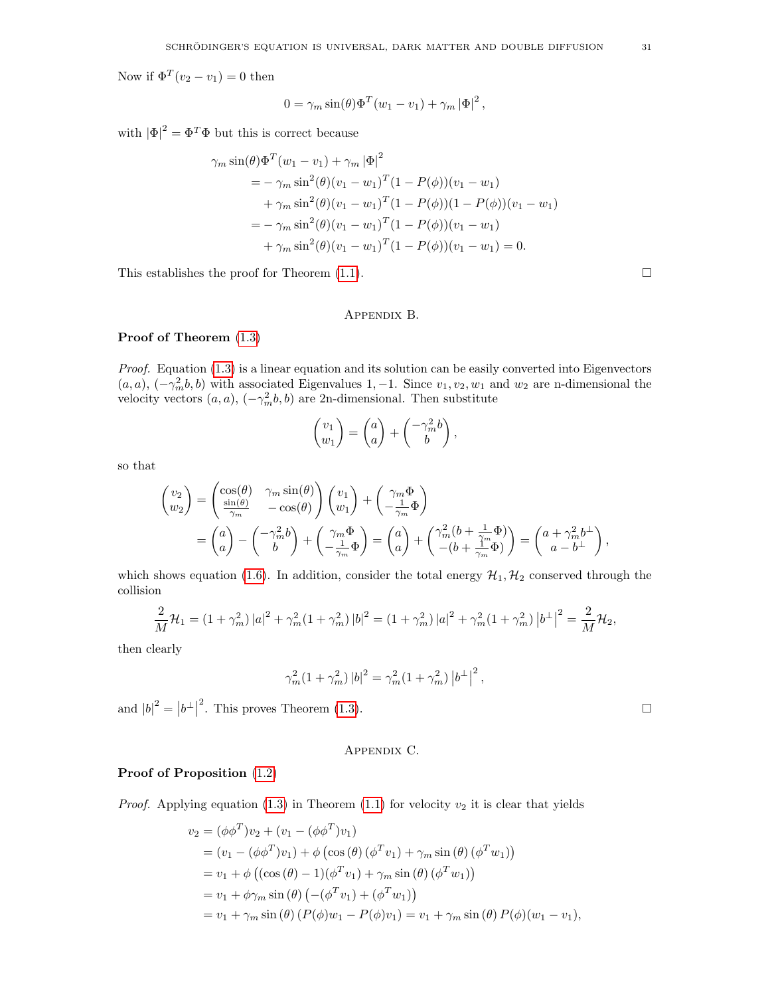Now if  $\Phi^T(v_2 - v_1) = 0$  then

$$
0 = \gamma_m \sin(\theta) \Phi^T (w_1 - v_1) + \gamma_m |\Phi|^2,
$$

with  $|\Phi|^2 = \Phi^T \Phi$  but this is correct because

$$
\gamma_m \sin(\theta) \Phi^T (w_1 - v_1) + \gamma_m |\Phi|^2
$$
  
=  $-\gamma_m \sin^2(\theta) (v_1 - w_1)^T (1 - P(\phi)) (v_1 - w_1)$   
+  $\gamma_m \sin^2(\theta) (v_1 - w_1)^T (1 - P(\phi)) (1 - P(\phi)) (v_1 - w_1)$   
=  $-\gamma_m \sin^2(\theta) (v_1 - w_1)^T (1 - P(\phi)) (v_1 - w_1)$   
+  $\gamma_m \sin^2(\theta) (v_1 - w_1)^T (1 - P(\phi)) (v_1 - w_1) = 0.$ 

This establishes the proof for Theorem [\(1.1\)](#page-6-2).  $\Box$ 

### Appendix B.

## <span id="page-30-1"></span>Proof of Theorem [\(1.3\)](#page-7-3)

Proof. Equation [\(1.3\)](#page-6-1) is a linear equation and its solution can be easily converted into Eigenvectors  $(a, a), (-\gamma_m^2 b, b)$  with associated Eigenvalues 1, -1. Since  $v_1, v_2, w_1$  and  $w_2$  are n-dimensional the velocity vectors  $(a, a)$ ,  $(-\gamma_m^2 b, b)$  are 2n-dimensional. Then substitute

$$
\begin{pmatrix} v_1 \\ w_1 \end{pmatrix} = \begin{pmatrix} a \\ a \end{pmatrix} + \begin{pmatrix} -\gamma_m^2 b \\ b \end{pmatrix},
$$

so that

$$
\begin{aligned}\n\begin{pmatrix}\nv_2 \\
w_2\n\end{pmatrix} &= \begin{pmatrix}\n\cos(\theta) & \gamma_m \sin(\theta) \\
\frac{\sin(\theta)}{\gamma_m} & -\cos(\theta)\n\end{pmatrix}\n\begin{pmatrix}\nv_1 \\
w_1\n\end{pmatrix} + \begin{pmatrix}\n\gamma_m \Phi \\
-\frac{1}{\gamma_m} \Phi\n\end{pmatrix} \\
&= \begin{pmatrix}\na \\
a\n\end{pmatrix} - \begin{pmatrix}\n\gamma_m^2 b \\
b\n\end{pmatrix} + \begin{pmatrix}\n\gamma_m \Phi \\
-\frac{1}{\gamma_m} \Phi\n\end{pmatrix} = \begin{pmatrix}\na \\
a\n\end{pmatrix} + \begin{pmatrix}\n\gamma_m^2 (b + \frac{1}{\gamma_m} \Phi) \\
-(b + \frac{1}{\gamma_m} \Phi)\n\end{pmatrix} = \begin{pmatrix}\na + \gamma_m^2 b^\perp \\
a - b^\perp\n\end{pmatrix},\n\end{aligned}
$$

which shows equation [\(1.6\)](#page-7-2). In addition, consider the total energy  $\mathcal{H}_1, \mathcal{H}_2$  conserved through the collision

$$
\frac{2}{M}\mathcal{H}_1 = (1+\gamma_m^2)|a|^2 + \gamma_m^2(1+\gamma_m^2)|b|^2 = (1+\gamma_m^2)|a|^2 + \gamma_m^2(1+\gamma_m^2)|b^{\perp}|^2 = \frac{2}{M}\mathcal{H}_2,
$$

then clearly

$$
\gamma_m^2 (1 + \gamma_m^2) |b|^2 = \gamma_m^2 (1 + \gamma_m^2) |b^\perp|^2,
$$

and  $|b|^2 = |b^{\perp}|$ <sup>2</sup>. This proves Theorem [\(1.3\)](#page-7-3).

# Appendix C.

## <span id="page-30-0"></span>Proof of Proposition [\(1.2\)](#page-7-4)

*Proof.* Applying equation [\(1.3\)](#page-6-1) in Theorem [\(1.1\)](#page-6-2) for velocity  $v_2$  it is clear that yields

$$
v_2 = (\phi \phi^T) v_2 + (v_1 - (\phi \phi^T) v_1)
$$
  
=  $(v_1 - (\phi \phi^T) v_1) + \phi (\cos (\theta) (\phi^T v_1) + \gamma_m \sin (\theta) (\phi^T w_1))$   
=  $v_1 + \phi ((\cos (\theta) - 1)(\phi^T v_1) + \gamma_m \sin (\theta) (\phi^T w_1))$   
=  $v_1 + \phi \gamma_m \sin (\theta) (-(\phi^T v_1) + (\phi^T w_1))$   
=  $v_1 + \gamma_m \sin (\theta) (P(\phi) w_1 - P(\phi) v_1) = v_1 + \gamma_m \sin (\theta) P(\phi) (w_1 - v_1),$ 

| ×             |  |
|---------------|--|
|               |  |
| I<br>M.<br>۰, |  |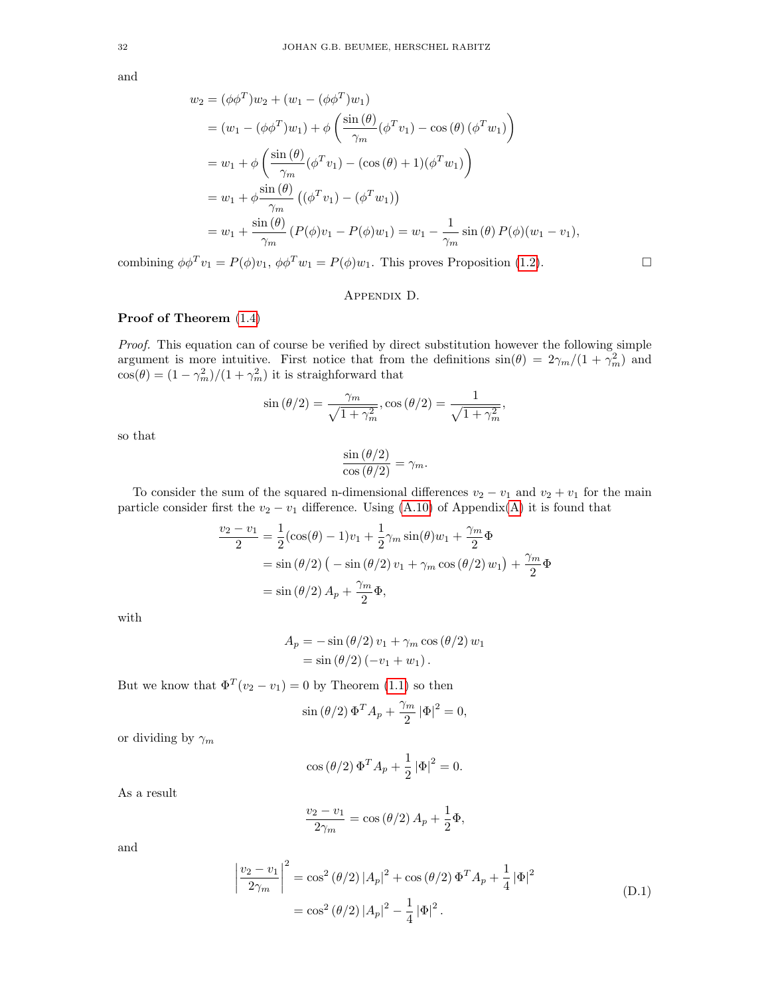and

$$
w_2 = (\phi \phi^T) w_2 + (w_1 - (\phi \phi^T) w_1)
$$
  
=  $(w_1 - (\phi \phi^T) w_1) + \phi \left( \frac{\sin (\theta)}{\gamma_m} (\phi^T v_1) - \cos (\theta) (\phi^T w_1) \right)$   
=  $w_1 + \phi \left( \frac{\sin (\theta)}{\gamma_m} (\phi^T v_1) - (\cos (\theta) + 1) (\phi^T w_1) \right)$   
=  $w_1 + \phi \frac{\sin (\theta)}{\gamma_m} ((\phi^T v_1) - (\phi^T w_1))$   
=  $w_1 + \frac{\sin (\theta)}{\gamma_m} (P(\phi) v_1 - P(\phi) w_1) = w_1 - \frac{1}{\gamma_m} \sin (\theta) P(\phi) (w_1 - v_1),$ 

combining  $\phi \phi^T v_1 = P(\phi) v_1, \, \phi \phi^T w_1 = P(\phi) w_1$ . This proves Proposition [\(1.2\)](#page-7-4).

### Appendix D.

# <span id="page-31-0"></span>Proof of Theorem [\(1.4\)](#page-8-1)

Proof. This equation can of course be verified by direct substitution however the following simple argument is more intuitive. First notice that from the definitions  $sin(\theta) = 2\gamma_m/(1 + \gamma_m^2)$  and  $cos(\theta) = (1 - \gamma_m^2)/(1 + \gamma_m^2)$  it is straighforward that

$$
\sin(\theta/2) = \frac{\gamma_m}{\sqrt{1 + \gamma_m^2}}, \cos(\theta/2) = \frac{1}{\sqrt{1 + \gamma_m^2}},
$$

so that

$$
\frac{\sin(\theta/2)}{\cos(\theta/2)} = \gamma_m.
$$

To consider the sum of the squared n-dimensional differences  $v_2 - v_1$  and  $v_2 + v_1$  for the main particle consider first the  $v_2 - v_1$  difference. Using [\(A.10\)](#page-29-0) of Appendix[\(A\)](#page-26-18) it is found that

$$
\frac{v_2 - v_1}{2} = \frac{1}{2} (\cos(\theta) - 1)v_1 + \frac{1}{2} \gamma_m \sin(\theta) w_1 + \frac{\gamma_m}{2} \Phi
$$
  
=  $\sin(\theta/2) (-\sin(\theta/2) v_1 + \gamma_m \cos(\theta/2) w_1) + \frac{\gamma_m}{2} \Phi$   
=  $\sin(\theta/2) A_p + \frac{\gamma_m}{2} \Phi$ ,

with

$$
A_p = -\sin(\theta/2) v_1 + \gamma_m \cos(\theta/2) w_1
$$
  
=  $\sin(\theta/2) (-v_1 + w_1)$ .

But we know that  $\Phi^T(v_2 - v_1) = 0$  by Theorem [\(1.1\)](#page-6-2) so then

$$
\sin\left(\theta/2\right)\Phi^T A_p + \frac{\gamma_m}{2} |\Phi|^2 = 0,
$$

or dividing by  $\gamma_m$ 

$$
\cos\left(\theta/2\right)\Phi^T A_p + \frac{1}{2} |\Phi|^2 = 0.
$$

As a result

<span id="page-31-1"></span>
$$
\frac{v_2 - v_1}{2\gamma_m} = \cos\left(\frac{\theta}{2}\right) A_p + \frac{1}{2} \Phi,
$$

and

$$
\left| \frac{v_2 - v_1}{2\gamma_m} \right|^2 = \cos^2(\theta/2) |A_p|^2 + \cos(\theta/2) \Phi^T A_p + \frac{1}{4} |\Phi|^2
$$
  
=  $\cos^2(\theta/2) |A_p|^2 - \frac{1}{4} |\Phi|^2$ . (D.1)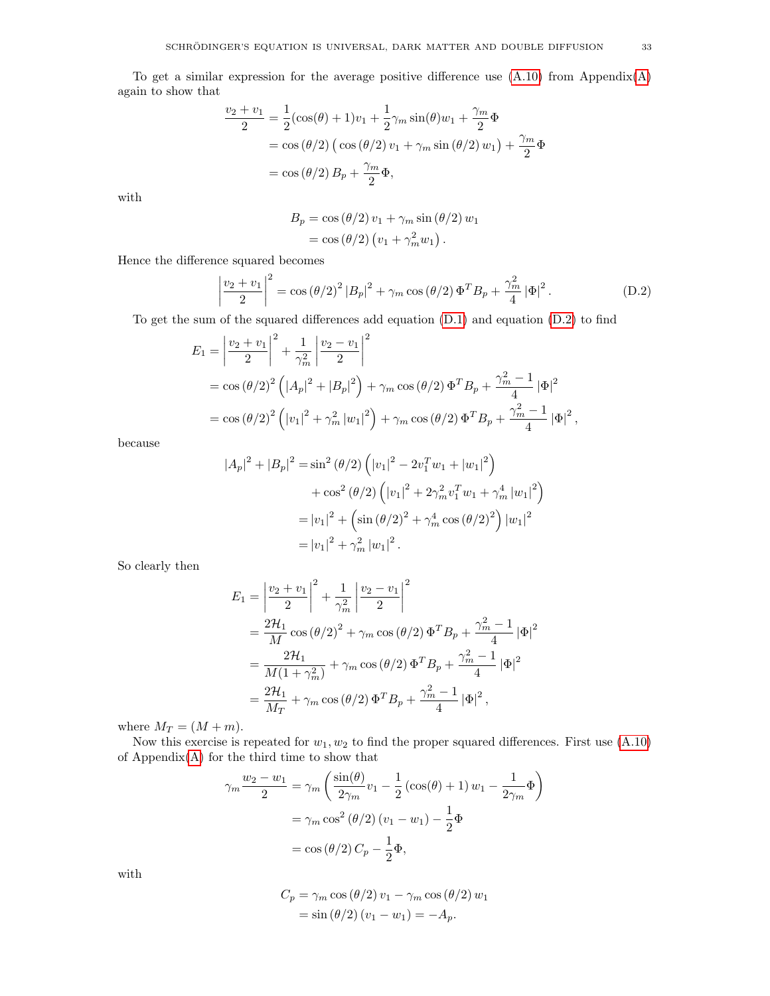$$
\frac{v_2 + v_1}{2} = \frac{1}{2} (\cos(\theta) + 1)v_1 + \frac{1}{2}\gamma_m \sin(\theta)w_1 + \frac{\gamma_m}{2}\Phi
$$
  
=  $\cos(\theta/2) (\cos(\theta/2)v_1 + \gamma_m \sin(\theta/2)w_1) + \frac{\gamma_m}{2}\Phi$   
=  $\cos(\theta/2) B_p + \frac{\gamma_m}{2}\Phi$ ,

with

<span id="page-32-0"></span>
$$
B_p = \cos(\theta/2) v_1 + \gamma_m \sin(\theta/2) w_1
$$
  
=  $\cos(\theta/2) (v_1 + \gamma_m^2 w_1).$ 

Hence the difference squared becomes

$$
\left|\frac{v_2 + v_1}{2}\right|^2 = \cos(\theta/2)^2 |B_p|^2 + \gamma_m \cos(\theta/2) \Phi^T B_p + \frac{\gamma_m^2}{4} |\Phi|^2.
$$
 (D.2)

To get the sum of the squared differences add equation  $(D.1)$  and equation  $(D.2)$  to find

$$
E_1 = \left| \frac{v_2 + v_1}{2} \right|^2 + \frac{1}{\gamma_m^2} \left| \frac{v_2 - v_1}{2} \right|^2
$$
  
= cos  $(\theta/2)^2$   $\left( |A_p|^2 + |B_p|^2 \right) + \gamma_m \cos (\theta/2) \Phi^T B_p + \frac{\gamma_m^2 - 1}{4} |\Phi|^2$   
= cos  $(\theta/2)^2$   $\left( |v_1|^2 + \gamma_m^2 |w_1|^2 \right) + \gamma_m \cos (\theta/2) \Phi^T B_p + \frac{\gamma_m^2 - 1}{4} |\Phi|^2$ ,

because

$$
|A_p|^2 + |B_p|^2 = \sin^2(\theta/2) \left( |v_1|^2 - 2v_1^T w_1 + |w_1|^2 \right)
$$
  
+  $\cos^2(\theta/2) \left( |v_1|^2 + 2\gamma_m^2 v_1^T w_1 + \gamma_m^4 |w_1|^2 \right)$   
=  $|v_1|^2 + \left( \sin(\theta/2)^2 + \gamma_m^4 \cos(\theta/2)^2 \right) |w_1|^2$   
=  $|v_1|^2 + \gamma_m^2 |w_1|^2$ .

So clearly then

$$
E_1 = \left| \frac{v_2 + v_1}{2} \right|^2 + \frac{1}{\gamma_m^2} \left| \frac{v_2 - v_1}{2} \right|^2
$$
  
=  $\frac{2\mathcal{H}_1}{M} \cos (\theta/2)^2 + \gamma_m \cos (\theta/2) \Phi^T B_p + \frac{\gamma_m^2 - 1}{4} |\Phi|^2$   
=  $\frac{2\mathcal{H}_1}{M(1 + \gamma_m^2)} + \gamma_m \cos (\theta/2) \Phi^T B_p + \frac{\gamma_m^2 - 1}{4} |\Phi|^2$   
=  $\frac{2\mathcal{H}_1}{M_T} + \gamma_m \cos (\theta/2) \Phi^T B_p + \frac{\gamma_m^2 - 1}{4} |\Phi|^2$ ,

where  $M_T = (M + m)$ .

Now this exercise is repeated for  $w_1, w_2$  to find the proper squared differences. First use  $(A.10)$ of  $Appendix(A)$  $Appendix(A)$  for the third time to show that

$$
\gamma_m \frac{w_2 - w_1}{2} = \gamma_m \left( \frac{\sin(\theta)}{2\gamma_m} v_1 - \frac{1}{2} \left( \cos(\theta) + 1 \right) w_1 - \frac{1}{2\gamma_m} \Phi \right)
$$

$$
= \gamma_m \cos^2(\theta/2) (v_1 - w_1) - \frac{1}{2} \Phi
$$

$$
= \cos(\theta/2) C_p - \frac{1}{2} \Phi,
$$

with

$$
C_p = \gamma_m \cos(\theta/2) v_1 - \gamma_m \cos(\theta/2) w_1
$$
  
= sin(\theta/2) (v\_1 - w\_1) = -A\_p.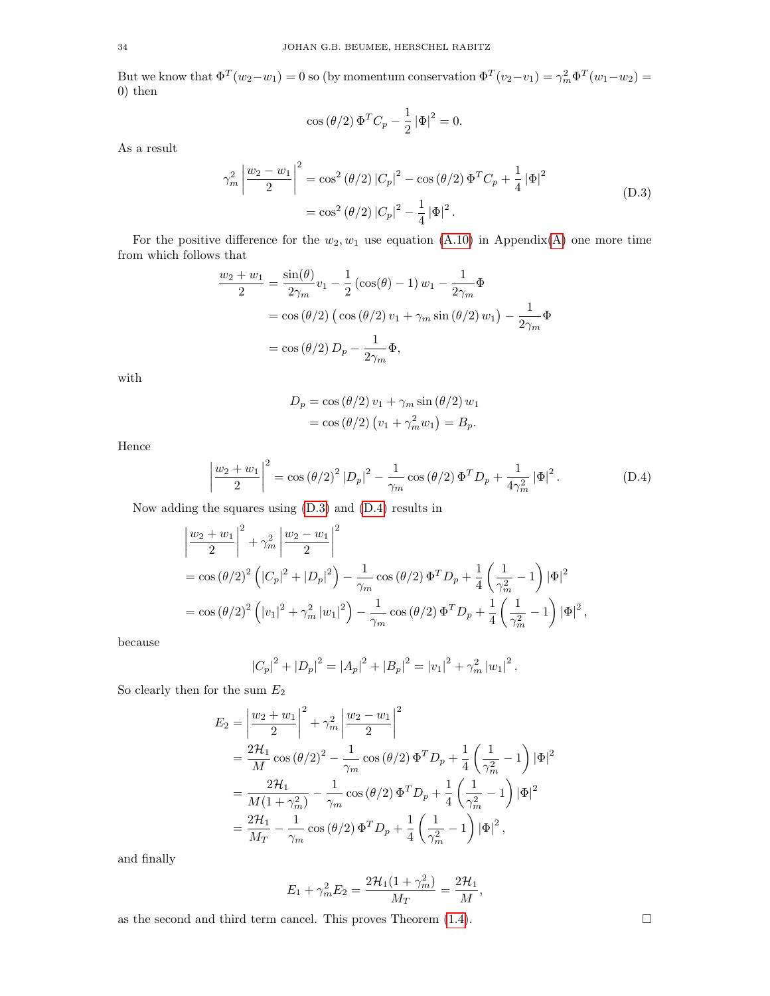But we know that  $\Phi^T(w_2-w_1)=0$  so (by momentum conservation  $\Phi^T(v_2-v_1)=\gamma_m^2\Phi^T(w_1-w_2)=$ 0) then

<span id="page-33-0"></span>
$$
\cos\left(\theta/2\right)\Phi^T C_p - \frac{1}{2} |\Phi|^2 = 0.
$$

As a result

$$
\gamma_m^2 \left| \frac{w_2 - w_1}{2} \right|^2 = \cos^2(\theta/2) |C_p|^2 - \cos(\theta/2) \Phi^T C_p + \frac{1}{4} |\Phi|^2
$$
  
=  $\cos^2(\theta/2) |C_p|^2 - \frac{1}{4} |\Phi|^2$ . (D.3)

For the positive difference for the  $w_2, w_1$  use equation [\(A.10\)](#page-29-0) in Appendix[\(A\)](#page-26-18) one more time from which follows that

$$
\frac{w_2 + w_1}{2} = \frac{\sin(\theta)}{2\gamma_m} v_1 - \frac{1}{2} \left(\cos(\theta) - 1\right) w_1 - \frac{1}{2\gamma_m} \Phi
$$

$$
= \cos(\theta/2) \left(\cos(\theta/2) v_1 + \gamma_m \sin(\theta/2) w_1\right) - \frac{1}{2\gamma_m} \Phi
$$

$$
= \cos(\theta/2) D_p - \frac{1}{2\gamma_m} \Phi,
$$

with

<span id="page-33-1"></span>
$$
D_p = \cos(\theta/2) v_1 + \gamma_m \sin(\theta/2) w_1
$$
  
=  $\cos(\theta/2) (v_1 + \gamma_m^2 w_1) = B_p$ .

Hence

$$
\left|\frac{w_2 + w_1}{2}\right|^2 = \cos(\theta/2)^2 |D_p|^2 - \frac{1}{\gamma_m} \cos(\theta/2) \Phi^T D_p + \frac{1}{4\gamma_m^2} |\Phi|^2.
$$
 (D.4)

Now adding the squares using [\(D.3\)](#page-33-0) and [\(D.4\)](#page-33-1) results in

$$
\left| \frac{w_2 + w_1}{2} \right|^2 + \gamma_m^2 \left| \frac{w_2 - w_1}{2} \right|^2
$$
  
=  $\cos (\theta/2)^2 \left( |C_p|^2 + |D_p|^2 \right) - \frac{1}{\gamma_m} \cos (\theta/2) \Phi^T D_p + \frac{1}{4} \left( \frac{1}{\gamma_m^2} - 1 \right) |\Phi|^2$   
=  $\cos (\theta/2)^2 \left( |v_1|^2 + \gamma_m^2 |w_1|^2 \right) - \frac{1}{\gamma_m} \cos (\theta/2) \Phi^T D_p + \frac{1}{4} \left( \frac{1}{\gamma_m^2} - 1 \right) |\Phi|^2$ ,

because

$$
|C_p|^2 + |D_p|^2 = |A_p|^2 + |B_p|^2 = |v_1|^2 + \gamma_m^2 |w_1|^2.
$$

So clearly then for the sum  $E_2$ 

$$
E_2 = \left| \frac{w_2 + w_1}{2} \right|^2 + \gamma_m^2 \left| \frac{w_2 - w_1}{2} \right|^2
$$
  
=  $\frac{2\mathcal{H}_1}{M} \cos (\theta/2)^2 - \frac{1}{\gamma_m} \cos (\theta/2) \Phi^T D_p + \frac{1}{4} \left( \frac{1}{\gamma_m^2} - 1 \right) |\Phi|^2$   
=  $\frac{2\mathcal{H}_1}{M(1 + \gamma_m^2)} - \frac{1}{\gamma_m} \cos (\theta/2) \Phi^T D_p + \frac{1}{4} \left( \frac{1}{\gamma_m^2} - 1 \right) |\Phi|^2$   
=  $\frac{2\mathcal{H}_1}{M_T} - \frac{1}{\gamma_m} \cos (\theta/2) \Phi^T D_p + \frac{1}{4} \left( \frac{1}{\gamma_m^2} - 1 \right) |\Phi|^2$ ,

and finally

$$
E_1 + \gamma_m^2 E_2 = \frac{2\mathcal{H}_1(1 + \gamma_m^2)}{M_T} = \frac{2\mathcal{H}_1}{M},
$$

as the second and third term cancel. This proves Theorem  $(1.4)$ .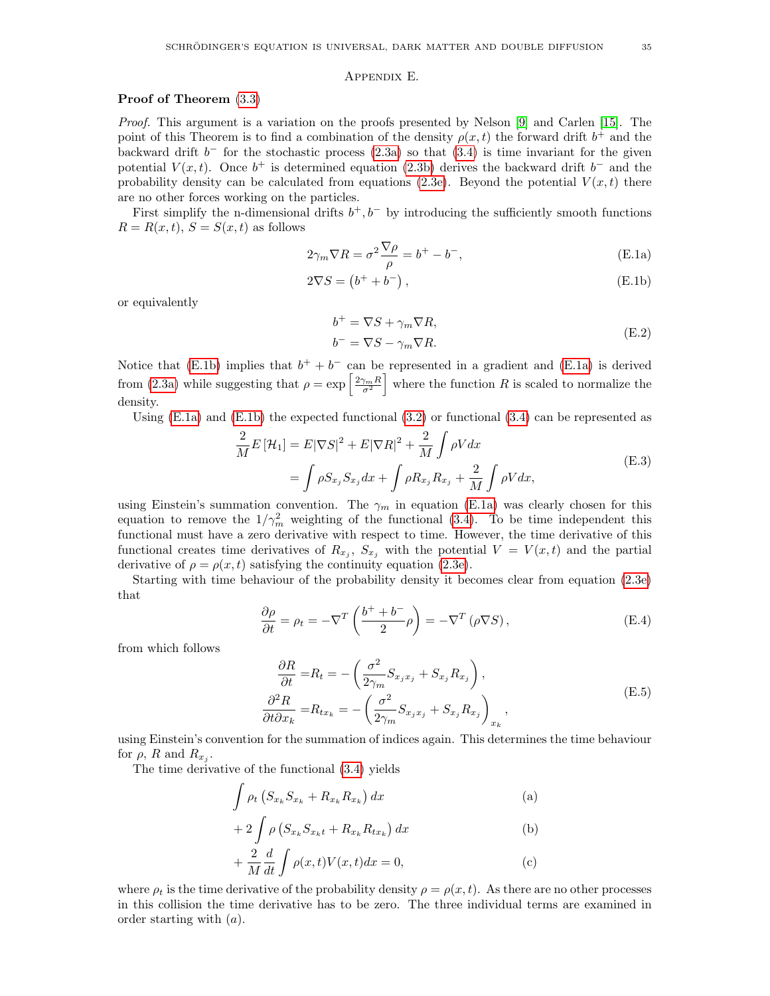#### Appendix E.

## <span id="page-34-0"></span>Proof of Theorem [\(3.3\)](#page-13-1)

Proof. This argument is a variation on the proofs presented by Nelson [\[9\]](#page-26-8) and Carlen [\[15\]](#page-26-14). The point of this Theorem is to find a combination of the density  $\rho(x,t)$  the forward drift  $b^+$  and the backward drift  $b^-$  for the stochastic process  $(2.3a)$  so that  $(3.4)$  is time invariant for the given potential  $V(x,t)$ . Once  $b^+$  is determined equation [\(2.3b\)](#page-10-0) derives the backward drift  $b^-$  and the probability density can be calculated from equations [\(2.3e\)](#page-10-6). Beyond the potential  $V(x, t)$  there are no other forces working on the particles.

First simplify the n-dimensional drifts  $b^+, b^-$  by introducing the sufficiently smooth functions  $R = R(x, t), S = S(x, t)$  as follows

$$
2\gamma_m \nabla R = \sigma^2 \frac{\nabla \rho}{\rho} = b^+ - b^-, \tag{E.1a}
$$

$$
2\nabla S = (b^+ + b^-), \tag{E.1b}
$$

or equivalently

<span id="page-34-4"></span><span id="page-34-2"></span><span id="page-34-1"></span>
$$
b^{+} = \nabla S + \gamma_{m} \nabla R,
$$
  
\n
$$
b^{-} = \nabla S - \gamma_{m} \nabla R.
$$
\n(E.2)

Notice that [\(E.1b\)](#page-34-1) implies that  $b^+ + b^-$  can be represented in a gradient and [\(E.1a\)](#page-34-2) is derived from [\(2.3a\)](#page-10-4) while suggesting that  $\rho = \exp\left[\frac{2\gamma_m R}{\sigma^2}\right]$  where the function R is scaled to normalize the density.

Using  $(E.1a)$  and  $(E.1b)$  the expected functional  $(3.2)$  or functional  $(3.4)$  can be represented as

$$
\frac{2}{M}E\left[\mathcal{H}_1\right] = E|\nabla S|^2 + E|\nabla R|^2 + \frac{2}{M}\int \rho V dx
$$
\n
$$
= \int \rho S_{x_j} S_{x_j} dx + \int \rho R_{x_j} R_{x_j} + \frac{2}{M}\int \rho V dx,
$$
\n(E.3)

using Einstein's summation convention. The  $\gamma_m$  in equation [\(E.1a\)](#page-34-2) was clearly chosen for this equation to remove the  $1/\gamma_m^2$  weighting of the functional [\(3.4\)](#page-12-0). To be time independent this functional must have a zero derivative with respect to time. However, the time derivative of this functional creates time derivatives of  $R_{x_j}$ ,  $S_{x_j}$  with the potential  $V = V(x,t)$  and the partial derivative of  $\rho = \rho(x, t)$  satisfying the continuity equation [\(2.3e\)](#page-10-6).

Starting with time behaviour of the probability density it becomes clear from equation [\(2.3e\)](#page-10-6) that

$$
\frac{\partial \rho}{\partial t} = \rho_t = -\nabla^T \left( \frac{b^+ + b^-}{2} \rho \right) = -\nabla^T \left( \rho \nabla S \right),\tag{E.4}
$$

from which follows

<span id="page-34-3"></span>
$$
\frac{\partial R}{\partial t} = R_t = -\left(\frac{\sigma^2}{2\gamma_m} S_{x_j x_j} + S_{x_j} R_{x_j}\right),
$$
\n
$$
\frac{\partial^2 R}{\partial t \partial x_k} = R_{tx_k} = -\left(\frac{\sigma^2}{2\gamma_m} S_{x_j x_j} + S_{x_j} R_{x_j}\right)_{x_k},
$$
\n(E.5)

using Einstein's convention for the summation of indices again. This determines the time behaviour for  $\rho$ , R and  $R_{x_j}$ .

The time derivative of the functional [\(3.4\)](#page-12-0) yields

$$
\int \rho_t \left( S_{x_k} S_{x_k} + R_{x_k} R_{x_k} \right) dx \tag{a}
$$

$$
+ 2 \int \rho \left( S_{x_k} S_{x_k t} + R_{x_k} R_{t x_k} \right) dx \tag{b}
$$

$$
+\frac{2}{M}\frac{d}{dt}\int \rho(x,t)V(x,t)dx = 0,
$$
\n(c)

where  $\rho_t$  is the time derivative of the probability density  $\rho = \rho(x, t)$ . As there are no other processes in this collision the time derivative has to be zero. The three individual terms are examined in order starting with  $(a)$ .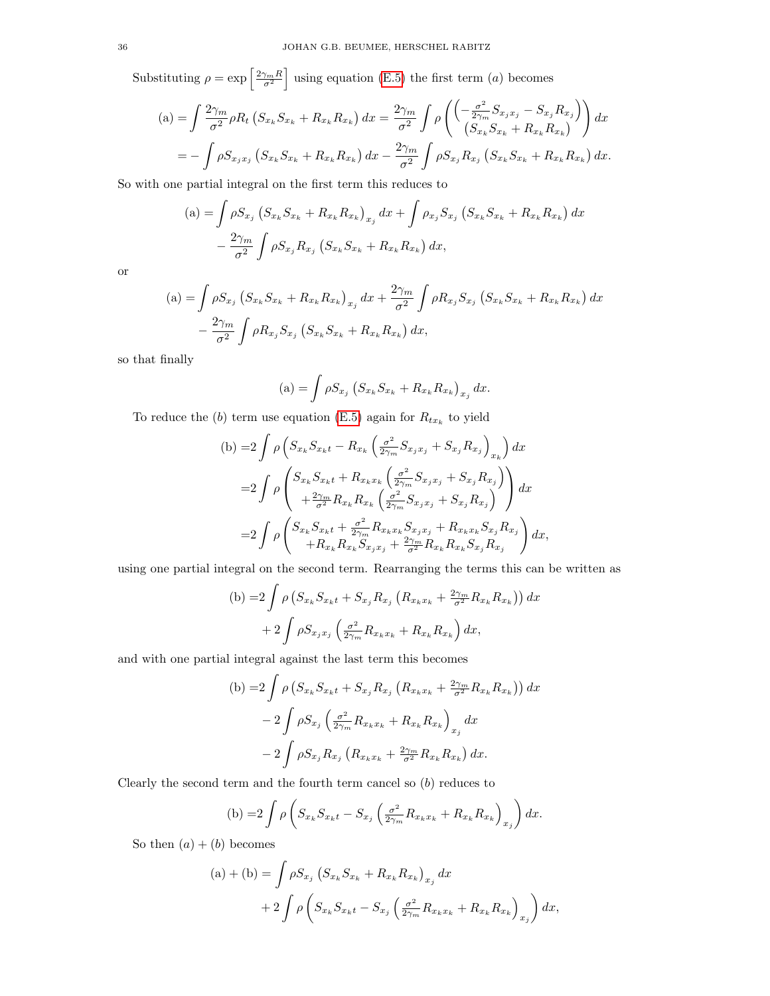Substituting  $\rho = \exp \left[\frac{2\gamma_m R}{\sigma^2}\right]$  using equation [\(E.5\)](#page-34-3) the first term (*a*) becomes

$$
(a) = \int \frac{2\gamma_m}{\sigma^2} \rho R_t \left( S_{x_k} S_{x_k} + R_{x_k} R_{x_k} \right) dx = \frac{2\gamma_m}{\sigma^2} \int \rho \left( \frac{-\frac{\sigma^2}{2\gamma_m} S_{x_j x_j} - S_{x_j} R_{x_j}}{(S_{x_k} S_{x_k} + R_{x_k} R_{x_k})} \right) dx
$$
  
=  $-\int \rho S_{x_j x_j} \left( S_{x_k} S_{x_k} + R_{x_k} R_{x_k} \right) dx - \frac{2\gamma_m}{\sigma^2} \int \rho S_{x_j} R_{x_j} \left( S_{x_k} S_{x_k} + R_{x_k} R_{x_k} \right) dx.$ 

So with one partial integral on the first term this reduces to

$$
(a) = \int \rho S_{x_j} (S_{x_k} S_{x_k} + R_{x_k} R_{x_k})_{x_j} dx + \int \rho_{x_j} S_{x_j} (S_{x_k} S_{x_k} + R_{x_k} R_{x_k}) dx - \frac{2\gamma_m}{\sigma^2} \int \rho S_{x_j} R_{x_j} (S_{x_k} S_{x_k} + R_{x_k} R_{x_k}) dx,
$$

or

$$
(a) = \int \rho S_{x_j} (S_{x_k} S_{x_k} + R_{x_k} R_{x_k})_{x_j} dx + \frac{2\gamma_m}{\sigma^2} \int \rho R_{x_j} S_{x_j} (S_{x_k} S_{x_k} + R_{x_k} R_{x_k}) dx - \frac{2\gamma_m}{\sigma^2} \int \rho R_{x_j} S_{x_j} (S_{x_k} S_{x_k} + R_{x_k} R_{x_k}) dx,
$$

so that finally

(a) = 
$$
\int \rho S_{x_j} (S_{x_k} S_{x_k} + R_{x_k} R_{x_k})_{x_j} dx
$$
.

To reduce the  $(b)$  term use equation [\(E.5\)](#page-34-3) again for  $R_{tx_k}$  to yield

(b) =2
$$
\int \rho \left( S_{x_k} S_{x_k t} - R_{x_k} \left( \frac{\sigma^2}{2\gamma_m} S_{x_j x_j} + S_{x_j} R_{x_j} \right)_{x_k} \right) dx
$$
  
=2
$$
\int \rho \left( \frac{S_{x_k} S_{x_k t} + R_{x_k x_k} \left( \frac{\sigma^2}{2\gamma_m} S_{x_j x_j} + S_{x_j} R_{x_j} \right)}{+ \frac{2\gamma_m}{\sigma^2} R_{x_k} R_{x_k} \left( \frac{\sigma^2}{2\gamma_m} S_{x_j x_j} + S_{x_j} R_{x_j} \right)} \right) dx
$$
  
=2
$$
\int \rho \left( \frac{S_{x_k} S_{x_k t} + \frac{\sigma^2}{2\gamma_m} R_{x_k x_k} S_{x_j x_j} + R_{x_k x_k} S_{x_j} R_{x_j}}{+ R_{x_k} R_{x_k} S_{x_j x_j} + \frac{2\gamma_m}{\sigma^2} R_{x_k} R_{x_k} S_{x_j} R_{x_j}} \right) dx,
$$

using one partial integral on the second term. Rearranging the terms this can be written as

$$
\begin{aligned} \text{(b)} = &2 \int \rho \left( S_{x_k} S_{x_k t} + S_{x_j} R_{x_j} \left( R_{x_k x_k} + \frac{2\gamma_m}{\sigma^2} R_{x_k} R_{x_k} \right) \right) dx \\ &+ 2 \int \rho S_{x_j x_j} \left( \frac{\sigma^2}{2\gamma_m} R_{x_k x_k} + R_{x_k} R_{x_k} \right) dx, \end{aligned}
$$

and with one partial integral against the last term this becomes

(b) =2
$$
\int \rho (S_{x_k} S_{x_k t} + S_{x_j} R_{x_j} (R_{x_k x_k} + \frac{2\gamma_m}{\sigma^2} R_{x_k} R_{x_k})) dx
$$
  
\n-2 $\int \rho S_{x_j} (\frac{\sigma^2}{2\gamma_m} R_{x_k x_k} + R_{x_k} R_{x_k})_{x_j} dx$   
\n-2 $\int \rho S_{x_j} R_{x_j} (R_{x_k x_k} + \frac{2\gamma_m}{\sigma^2} R_{x_k} R_{x_k}) dx.$ 

Clearly the second term and the fourth term cancel so  $(b)$  reduces to

(b) =2
$$
\int \rho \left( S_{x_k} S_{x_k t} - S_{x_j} \left( \frac{\sigma^2}{2\gamma_m} R_{x_k x_k} + R_{x_k} R_{x_k} \right)_{x_j} \right) dx.
$$

So then  $(a) + (b)$  becomes

(a) + (b) = 
$$
\int \rho S_{x_j} (S_{x_k} S_{x_k} + R_{x_k} R_{x_k})_{x_j} dx
$$
  
+  $2 \int \rho (S_{x_k} S_{x_k t} - S_{x_j} (\frac{\sigma^2}{2\gamma_m} R_{x_k x_k} + R_{x_k} R_{x_k})_{x_j}) dx,$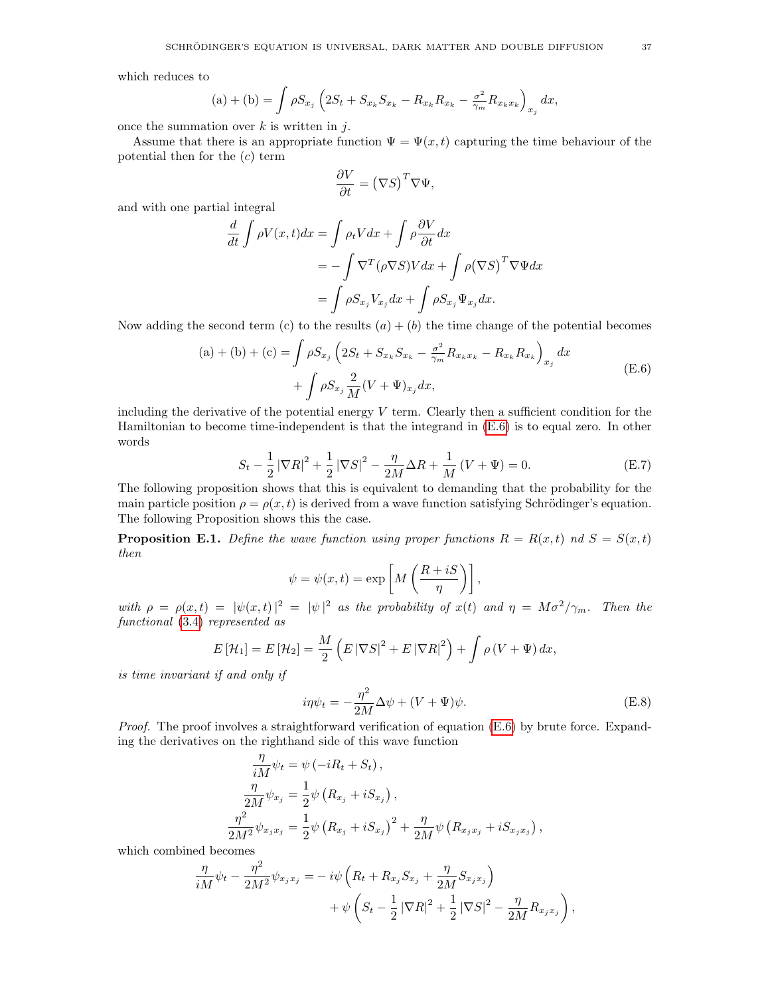which reduces to

(a) + (b) = 
$$
\int \rho S_{x_j} \left( 2S_t + S_{x_k} S_{x_k} - R_{x_k} R_{x_k} - \frac{\sigma^2}{\gamma_m} R_{x_k x_k} \right)_{x_j} dx
$$
,

once the summation over  $k$  is written in  $j$ .

Assume that there is an appropriate function  $\Psi = \Psi(x, t)$  capturing the time behaviour of the potential then for the  $(c)$  term

<span id="page-36-0"></span>
$$
\frac{\partial V}{\partial t} = (\nabla S)^T \nabla \Psi,
$$

and with one partial integral

$$
\frac{d}{dt} \int \rho V(x, t) dx = \int \rho_t V dx + \int \rho \frac{\partial V}{\partial t} dx
$$
  
=  $-\int \nabla^T (\rho \nabla S) V dx + \int \rho (\nabla S)^T \nabla \Psi dx$   
=  $\int \rho S_{x_j} V_{x_j} dx + \int \rho S_{x_j} \Psi_{x_j} dx.$ 

Now adding the second term (c) to the results  $(a) + (b)$  the time change of the potential becomes

(a) + (b) + (c) = 
$$
\int \rho S_{x_j} \left( 2S_t + S_{x_k} S_{x_k} - \frac{\sigma^2}{\gamma_m} R_{x_k x_k} - R_{x_k} R_{x_k} \right)_{x_j} dx
$$
  
+  $\int \rho S_{x_j} \frac{2}{M} (V + \Psi)_{x_j} dx,$  (E.6)

including the derivative of the potential energy  $V$  term. Clearly then a sufficient condition for the Hamiltonian to become time-independent is that the integrand in [\(E.6\)](#page-36-0) is to equal zero. In other words

$$
S_t - \frac{1}{2} |\nabla R|^2 + \frac{1}{2} |\nabla S|^2 - \frac{\eta}{2M} \Delta R + \frac{1}{M} (V + \Psi) = 0.
$$
 (E.7)

The following proposition shows that this is equivalent to demanding that the probability for the main particle position  $\rho = \rho(x, t)$  is derived from a wave function satisfying Schrödinger's equation. The following Proposition shows this the case.

**Proposition E.1.** Define the wave function using proper functions  $R = R(x,t)$  nd  $S = S(x,t)$ then

<span id="page-36-1"></span>
$$
\psi = \psi(x, t) = \exp\left[M\left(\frac{R + iS}{\eta}\right)\right],
$$

with  $\rho = \rho(x,t) = |\psi(x,t)|^2 = |\psi|^2$  as the probability of  $x(t)$  and  $\eta = M\sigma^2/\gamma_m$ . Then the functional [\(3.4\)](#page-12-0) represented as

$$
E\left[\mathcal{H}_1\right] = E\left[\mathcal{H}_2\right] = \frac{M}{2}\left(E\left|\nabla S\right|^2 + E\left|\nabla R\right|^2\right) + \int \rho \left(V + \Psi\right) dx,
$$

is time invariant if and only if

<span id="page-36-2"></span>
$$
i\eta\psi_t = -\frac{\eta^2}{2M}\Delta\psi + (V + \Psi)\psi.
$$
 (E.8)

Proof. The proof involves a straightforward verification of equation [\(E.6\)](#page-36-0) by brute force. Expanding the derivatives on the righthand side of this wave function

$$
\frac{\eta}{iM}\psi_t = \psi(-iR_t + S_t), \n\frac{\eta}{2M}\psi_{x_j} = \frac{1}{2}\psi(R_{x_j} + iS_{x_j}), \n\frac{\eta^2}{2M^2}\psi_{x_jx_j} = \frac{1}{2}\psi(R_{x_j} + iS_{x_j})^2 + \frac{\eta}{2M}\psi(R_{x_jx_j} + iS_{x_jx_j}),
$$

which combined becomes

$$
\frac{\eta}{iM}\psi_t - \frac{\eta^2}{2M^2}\psi_{x_jx_j} = -i\psi\left(R_t + R_{x_j}S_{x_j} + \frac{\eta}{2M}S_{x_jx_j}\right) \n+ \psi\left(S_t - \frac{1}{2}|\nabla R|^2 + \frac{1}{2}|\nabla S|^2 - \frac{\eta}{2M}R_{x_jx_j}\right),
$$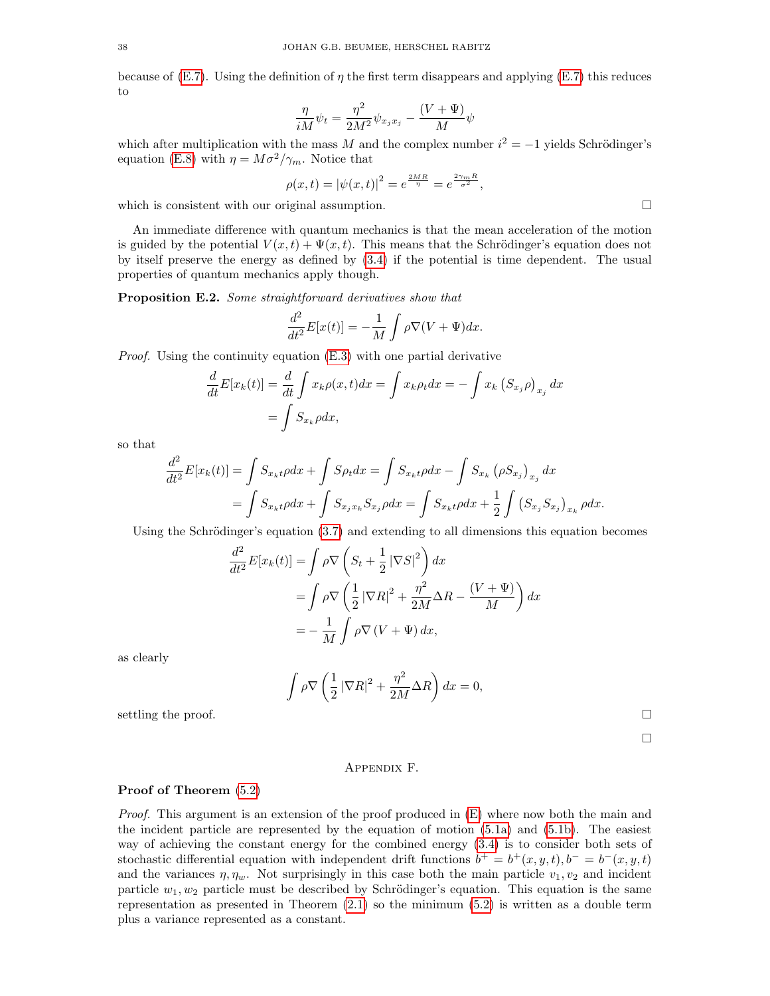because of [\(E.7\)](#page-36-1). Using the definition of  $\eta$  the first term disappears and applying (E.7) this reduces to

$$
\frac{\eta}{iM}\psi_t = \frac{\eta^2}{2M^2}\psi_{x_jx_j} - \frac{(V+\Psi)}{M}\psi
$$

which after multiplication with the mass M and the complex number  $i^2 = -1$  yields Schrödinger's equation [\(E.8\)](#page-36-2) with  $\eta = M\sigma^2/\gamma_m$ . Notice that

$$
\rho(x,t) = |\psi(x,t)|^2 = e^{\frac{2MR}{\eta}} = e^{\frac{2\gamma_m R}{\sigma^2}},
$$

which is consistent with our original assumption.  $\Box$ 

An immediate difference with quantum mechanics is that the mean acceleration of the motion is guided by the potential  $V(x,t) + \Psi(x,t)$ . This means that the Schrödinger's equation does not by itself preserve the energy as defined by [\(3.4\)](#page-12-0) if the potential is time dependent. The usual properties of quantum mechanics apply though.

Proposition E.2. Some straightforward derivatives show that

$$
\frac{d^2}{dt^2}E[x(t)] = -\frac{1}{M} \int \rho \nabla (V + \Psi) dx.
$$

Proof. Using the continuity equation [\(E.3\)](#page-34-4) with one partial derivative

$$
\frac{d}{dt}E[x_k(t)] = \frac{d}{dt}\int x_k \rho(x,t)dx = \int x_k \rho_t dx = -\int x_k (S_{x_j}\rho)_{x_j} dx
$$

$$
= \int S_{x_k}\rho dx,
$$

so that

$$
\frac{d^2}{dt^2} E[x_k(t)] = \int S_{x_k t} \rho dx + \int S \rho_t dx = \int S_{x_k t} \rho dx - \int S_{x_k} (\rho S_{x_j})_{x_j} dx \n= \int S_{x_k t} \rho dx + \int S_{x_j x_k} S_{x_j} \rho dx = \int S_{x_k t} \rho dx + \frac{1}{2} \int (S_{x_j} S_{x_j})_{x_k} \rho dx.
$$

Using the Schrödinger's equation  $(3.7)$  and extending to all dimensions this equation becomes

$$
\frac{d^2}{dt^2}E[x_k(t)] = \int \rho \nabla \left( S_t + \frac{1}{2} |\nabla S|^2 \right) dx
$$
  
= 
$$
\int \rho \nabla \left( \frac{1}{2} |\nabla R|^2 + \frac{\eta^2}{2M} \Delta R - \frac{(V + \Psi)}{M} \right) dx
$$
  
= 
$$
- \frac{1}{M} \int \rho \nabla (V + \Psi) dx,
$$

as clearly

$$
\int \rho \nabla \left(\frac{1}{2} |\nabla R|^2 + \frac{\eta^2}{2M} \Delta R\right) dx = 0,
$$

settling the proof.  $\Box$ 

 $\Box$ 

# Appendix F.

### <span id="page-37-0"></span>Proof of Theorem [\(5.2\)](#page-23-0)

Proof. This argument is an extension of the proof produced in  $(E)$  where now both the main and the incident particle are represented by the equation of motion [\(5.1a\)](#page-21-5) and [\(5.1b\)](#page-21-6). The easiest way of achieving the constant energy for the combined energy [\(3.4\)](#page-12-0) is to consider both sets of stochastic differential equation with independent drift functions  $b^+ = b^+(x, y, t)$ ,  $b^- = b^-(x, y, t)$ and the variances  $\eta$ ,  $\eta_w$ . Not surprisingly in this case both the main particle  $v_1$ ,  $v_2$  and incident particle  $w_1, w_2$  particle must be described by Schrödinger's equation. This equation is the same representation as presented in Theorem  $(2.1)$  so the minimum  $(5.2)$  is written as a double term plus a variance represented as a constant.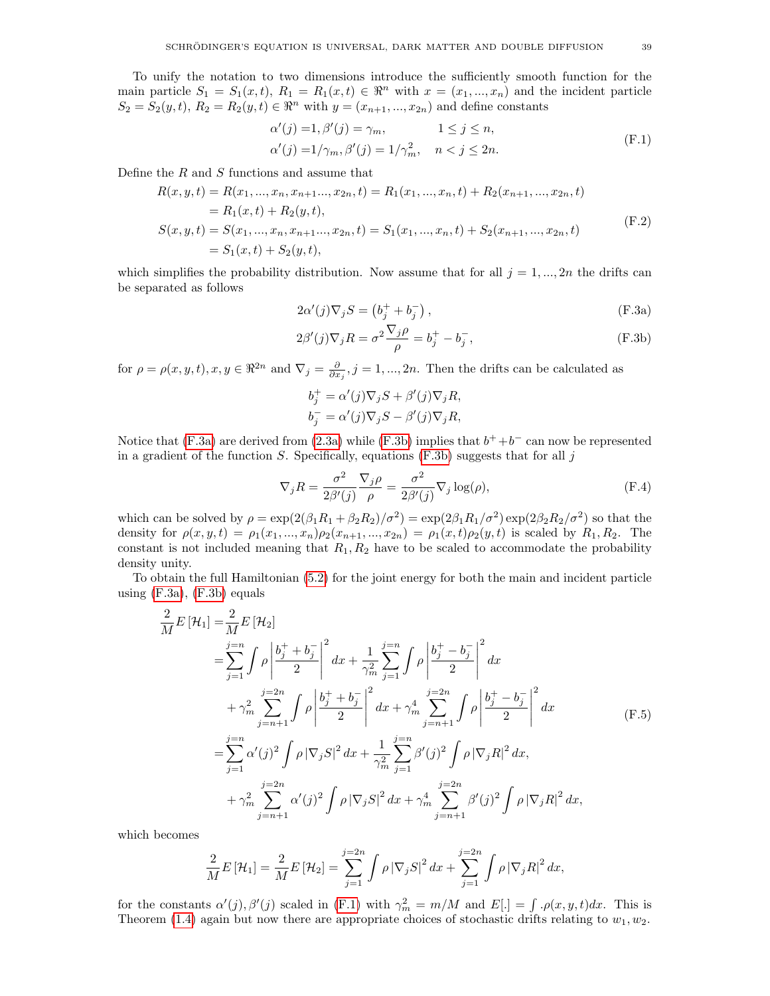<span id="page-38-2"></span>
$$
\alpha'(j) = 1, \beta'(j) = \gamma_m, \qquad 1 \le j \le n,
$$
  
\n
$$
\alpha'(j) = 1/\gamma_m, \beta'(j) = 1/\gamma_m^2, \quad n < j \le 2n.
$$
\n(F.1)

Define the  $R$  and  $S$  functions and assume that

$$
R(x, y, t) = R(x_1, ..., x_n, x_{n+1}, ..., x_{2n}, t) = R_1(x_1, ..., x_n, t) + R_2(x_{n+1}, ..., x_{2n}, t)
$$
  
\n
$$
= R_1(x, t) + R_2(y, t),
$$
  
\n
$$
S(x, y, t) = S(x_1, ..., x_n, x_{n+1}, ..., x_{2n}, t) = S_1(x_1, ..., x_n, t) + S_2(x_{n+1}, ..., x_{2n}, t)
$$
  
\n
$$
= S_1(x, t) + S_2(y, t),
$$
\n(F.2)

which simplifies the probability distribution. Now assume that for all  $j = 1, ..., 2n$  the drifts can be separated as follows

<span id="page-38-5"></span><span id="page-38-0"></span>
$$
2\alpha'(j)\nabla_j S = \left(b_j^+ + b_j^-\right),\tag{F.3a}
$$

$$
2\beta'(j)\nabla_j R = \sigma^2 \frac{\nabla_j \rho}{\rho} = b_j^+ - b_j^-, \qquad (F.3b)
$$

for  $\rho = \rho(x, y, t), x, y \in \mathbb{R}^{2n}$  and  $\nabla_j = \frac{\partial}{\partial x_j}, j = 1, ..., 2n$ . Then the drifts can be calculated as

<span id="page-38-4"></span><span id="page-38-1"></span>
$$
b_j^+ = \alpha'(j)\nabla_j S + \beta'(j)\nabla_j R,
$$
  
\n
$$
b_j^- = \alpha'(j)\nabla_j S - \beta'(j)\nabla_j R,
$$

Notice that  $(F.3a)$  are derived from  $(2.3a)$  while  $(F.3b)$  implies that  $b^+ + b^-$  can now be represented in a gradient of the function  $S$ . Specifically, equations  $(F.3b)$  suggests that for all j

<span id="page-38-3"></span>
$$
\nabla_j R = \frac{\sigma^2}{2\beta'(j)} \frac{\nabla_j \rho}{\rho} = \frac{\sigma^2}{2\beta'(j)} \nabla_j \log(\rho), \tag{F.4}
$$

which can be solved by  $\rho = \exp(2(\beta_1 R_1 + \beta_2 R_2)/\sigma^2) = \exp(2\beta_1 R_1/\sigma^2) \exp(2\beta_2 R_2/\sigma^2)$  so that the density for  $\rho(x, y, t) = \rho_1(x_1, ..., x_n)\rho_2(x_{n+1}, ..., x_{2n}) = \rho_1(x, t)\rho_2(y, t)$  is scaled by  $R_1, R_2$ . The constant is not included meaning that  $R_1, R_2$  have to be scaled to accommodate the probability density unity.

To obtain the full Hamiltonian [\(5.2\)](#page-21-3) for the joint energy for both the main and incident particle using  $(F.3a)$ ,  $(F.3b)$  equals

$$
\frac{2}{M}E\left[\mathcal{H}_{1}\right] = \frac{2}{M}E\left[\mathcal{H}_{2}\right]
$$
\n
$$
= \sum_{j=1}^{j=n} \int \rho \left| \frac{b_{j}^{+} + b_{j}^{-}}{2} \right|^{2} dx + \frac{1}{\gamma_{m}^{2}} \sum_{j=1}^{j=n} \int \rho \left| \frac{b_{j}^{+} - b_{j}^{-}}{2} \right|^{2} dx
$$
\n
$$
+ \gamma_{m}^{2} \sum_{j=n+1}^{j=2n} \int \rho \left| \frac{b_{j}^{+} + b_{j}^{-}}{2} \right|^{2} dx + \gamma_{m}^{4} \sum_{j=n+1}^{j=2n} \int \rho \left| \frac{b_{j}^{+} - b_{j}^{-}}{2} \right|^{2} dx
$$
\n
$$
= \sum_{j=1}^{j=n} \alpha'(j)^{2} \int \rho \left| \nabla_{j}S \right|^{2} dx + \frac{1}{\gamma_{m}^{2}} \sum_{j=1}^{j=n} \beta'(j)^{2} \int \rho \left| \nabla_{j}R \right|^{2} dx,
$$
\n
$$
+ \gamma_{m}^{2} \sum_{j=n+1}^{j=2n} \alpha'(j)^{2} \int \rho \left| \nabla_{j}S \right|^{2} dx + \gamma_{m}^{4} \sum_{j=n+1}^{j=2n} \beta'(j)^{2} \int \rho \left| \nabla_{j}R \right|^{2} dx,
$$
\n(F.5)

which becomes

$$
\frac{2}{M}E[\mathcal{H}_1] = \frac{2}{M}E[\mathcal{H}_2] = \sum_{j=1}^{j=2n} \int \rho |\nabla_j S|^2 dx + \sum_{j=1}^{j=2n} \int \rho |\nabla_j R|^2 dx,
$$

for the constants  $\alpha'(j)$ ,  $\beta'(j)$  scaled in [\(F.1\)](#page-38-2) with  $\gamma_m^2 = m/M$  and  $E[.] = \int \rho(x, y, t) dx$ . This is Theorem [\(1.4\)](#page-8-1) again but now there are appropriate choices of stochastic drifts relating to  $w_1, w_2$ .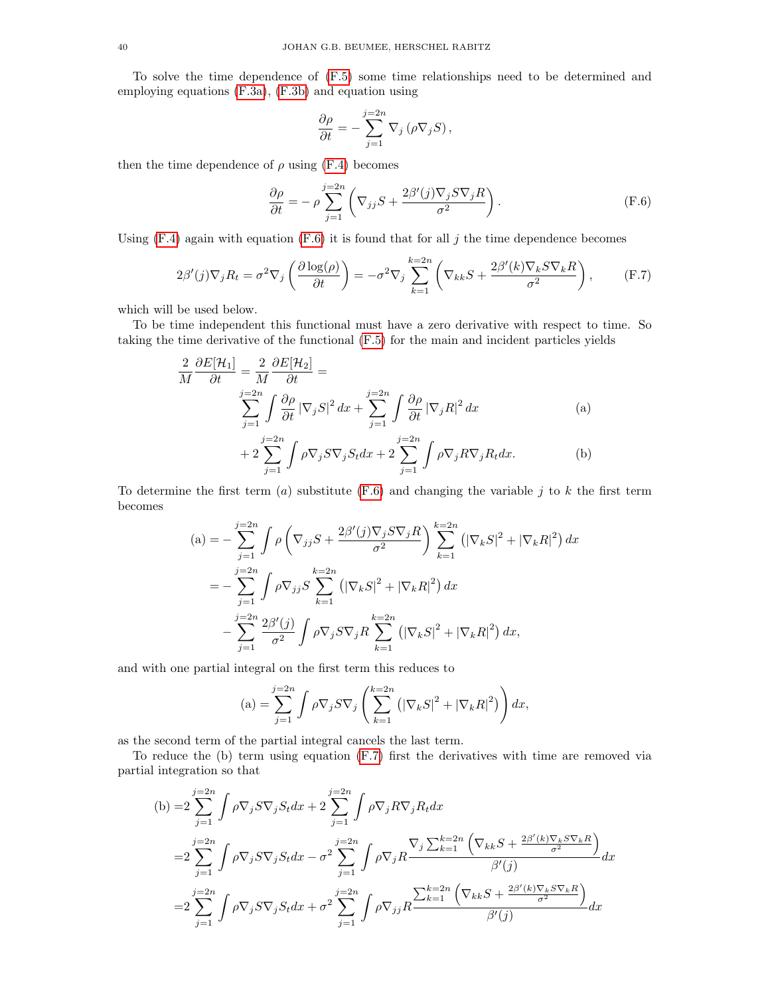To solve the time dependence of [\(F.5\)](#page-38-3) some time relationships need to be determined and employing equations [\(F.3a\)](#page-38-0), [\(F.3b\)](#page-38-1) and equation using

<span id="page-39-1"></span><span id="page-39-0"></span>
$$
\frac{\partial \rho}{\partial t} = -\sum_{j=1}^{j=2n} \nabla_j \left( \rho \nabla_j S \right),
$$

then the time dependence of  $\rho$  using [\(F.4\)](#page-38-4) becomes

$$
\frac{\partial \rho}{\partial t} = -\rho \sum_{j=1}^{j=2n} \left( \nabla_{jj} S + \frac{2\beta'(j)\nabla_j S \nabla_j R}{\sigma^2} \right).
$$
 (F.6)

Using  $(F.4)$  again with equation  $(F.6)$  it is found that for all j the time dependence becomes

$$
2\beta'(j)\nabla_j R_t = \sigma^2 \nabla_j \left(\frac{\partial \log(\rho)}{\partial t}\right) = -\sigma^2 \nabla_j \sum_{k=1}^{k=2n} \left(\nabla_{kk} S + \frac{2\beta'(k)\nabla_k S \nabla_k R}{\sigma^2}\right),\tag{F.7}
$$

which will be used below.

To be time independent this functional must have a zero derivative with respect to time. So taking the time derivative of the functional [\(F.5\)](#page-38-3) for the main and incident particles yields

$$
\frac{2}{M} \frac{\partial E[\mathcal{H}_1]}{\partial t} = \frac{2}{M} \frac{\partial E[\mathcal{H}_2]}{\partial t} =
$$
\n
$$
\sum_{j=1}^{j=2n} \int \frac{\partial \rho}{\partial t} |\nabla_j S|^2 dx + \sum_{j=1}^{j=2n} \int \frac{\partial \rho}{\partial t} |\nabla_j R|^2 dx \qquad (a)
$$
\n
$$
+ 2 \sum_{j=1}^{j=2n} \int \rho \nabla_j S \nabla_j S_t dx + 2 \sum_{j=1}^{j=2n} \int \rho \nabla_j R \nabla_j R_t dx. \qquad (b)
$$

To determine the first term (a) substitute  $(F.6)$  and changing the variable j to k the first term becomes

$$
\begin{split} \text{(a)} &= -\sum_{j=1}^{j=2n} \int \rho \left( \nabla_{jj} S + \frac{2\beta'(j)\nabla_j S \nabla_j R}{\sigma^2} \right) \sum_{k=1}^{k=2n} \left( |\nabla_k S|^2 + |\nabla_k R|^2 \right) dx \\ &= -\sum_{j=1}^{j=2n} \int \rho \nabla_{jj} S \sum_{k=1}^{k=2n} \left( |\nabla_k S|^2 + |\nabla_k R|^2 \right) dx \\ &- \sum_{j=1}^{j=2n} \frac{2\beta'(j)}{\sigma^2} \int \rho \nabla_j S \nabla_j R \sum_{k=1}^{k=2n} \left( |\nabla_k S|^2 + |\nabla_k R|^2 \right) dx, \end{split}
$$

and with one partial integral on the first term this reduces to

$$
\text{(a)} = \sum_{j=1}^{j=2n} \int \rho \nabla_j S \nabla_j \left( \sum_{k=1}^{k=2n} \left( \left| \nabla_k S \right|^2 + \left| \nabla_k R \right|^2 \right) \right) dx,
$$

as the second term of the partial integral cancels the last term.

To reduce the (b) term using equation [\(F.7\)](#page-39-0) first the derivatives with time are removed via partial integration so that

(b) =
$$
2\sum_{j=1}^{j=2n} \int \rho \nabla_j S \nabla_j S_t dx + 2\sum_{j=1}^{j=2n} \int \rho \nabla_j R \nabla_j R_t dx
$$
  
\n=
$$
2\sum_{j=1}^{j=2n} \int \rho \nabla_j S \nabla_j S_t dx - \sigma^2 \sum_{j=1}^{j=2n} \int \rho \nabla_j R \frac{\nabla_j \sum_{k=1}^{k=2n} \left( \nabla_{kk} S + \frac{2\beta'(k) \nabla_k S \nabla_k R}{\sigma^2} \right)}{\beta'(j)} dx
$$
  
\n=
$$
2\sum_{j=1}^{j=2n} \int \rho \nabla_j S \nabla_j S_t dx + \sigma^2 \sum_{j=1}^{j=2n} \int \rho \nabla_{jj} R \frac{\sum_{k=1}^{k=2n} \left( \nabla_{kk} S + \frac{2\beta'(k) \nabla_k S \nabla_k R}{\sigma^2} \right)}{\beta'(j)} dx
$$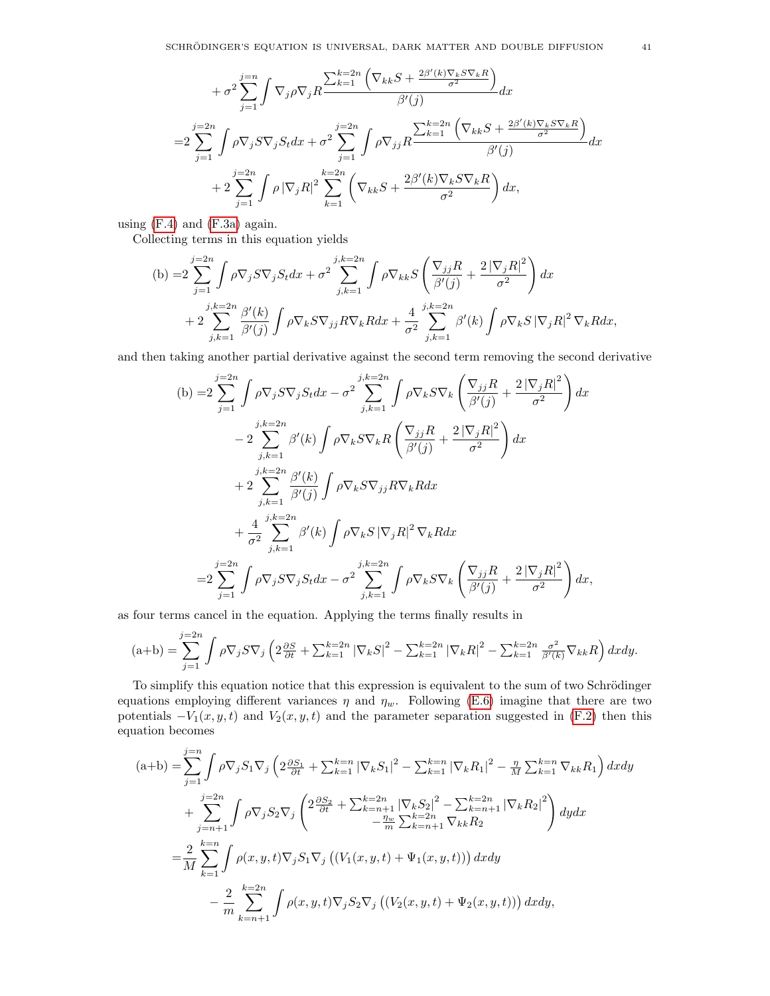$$
+ \sigma^2 \sum_{j=1}^{j=n} \int \nabla_j \rho \nabla_j R \frac{\sum_{k=1}^{k=2n} \left( \nabla_{kk} S + \frac{2\beta'(k) \nabla_k S \nabla_k R}{\sigma^2} \right)}{\beta'(j)} dx
$$
  
\n
$$
= 2 \sum_{j=1}^{j=2n} \int \rho \nabla_j S \nabla_j S_t dx + \sigma^2 \sum_{j=1}^{j=2n} \int \rho \nabla_{jj} R \frac{\sum_{k=1}^{k=2n} \left( \nabla_{kk} S + \frac{2\beta'(k) \nabla_k S \nabla_k R}{\sigma^2} \right)}{\beta'(j)} dx
$$
  
\n
$$
+ 2 \sum_{j=1}^{j=2n} \int \rho |\nabla_j R|^2 \sum_{k=1}^{k=2n} \left( \nabla_{kk} S + \frac{2\beta'(k) \nabla_k S \nabla_k R}{\sigma^2} \right) dx,
$$

using  $(F.4)$  and  $(F.3a)$  again.

Collecting terms in this equation yields

(b) =
$$
2\sum_{j=1}^{j=2n} \int \rho \nabla_j S \nabla_j S_t dx + \sigma^2 \sum_{j,k=1}^{j,k=2n} \int \rho \nabla_{kk} S \left( \frac{\nabla_{jj} R}{\beta'(j)} + \frac{2 |\nabla_j R|^2}{\sigma^2} \right) dx
$$
  
+
$$
2\sum_{j,k=1}^{j,k=2n} \frac{\beta'(k)}{\beta'(j)} \int \rho \nabla_k S \nabla_{jj} R \nabla_k R dx + \frac{4}{\sigma^2} \sum_{j,k=1}^{j,k=2n} \beta'(k) \int \rho \nabla_k S |\nabla_j R|^2 \nabla_k R dx,
$$

and then taking another partial derivative against the second term removing the second derivative

(b) =
$$
2\sum_{j=1}^{j=2n} \int \rho \nabla_j S \nabla_j S_t dx - \sigma^2 \sum_{j,k=1}^{j,k=2n} \int \rho \nabla_k S \nabla_k \left( \frac{\nabla_{jj} R}{\beta'(j)} + \frac{2 |\nabla_j R|^2}{\sigma^2} \right) dx
$$
  
\n
$$
-2\sum_{j,k=1}^{j,k=2n} \beta'(k) \int \rho \nabla_k S \nabla_k R \left( \frac{\nabla_{jj} R}{\beta'(j)} + \frac{2 |\nabla_j R|^2}{\sigma^2} \right) dx
$$
  
\n
$$
+ 2\sum_{j,k=1}^{j,k=2n} \frac{\beta'(k)}{\beta'(j)} \int \rho \nabla_k S \nabla_{jj} R \nabla_k R dx
$$
  
\n
$$
+ \frac{4}{\sigma^2} \sum_{j,k=1}^{j,k=2n} \beta'(k) \int \rho \nabla_k S |\nabla_j R|^2 \nabla_k R dx
$$
  
\n
$$
=2\sum_{j=1}^{j=2n} \int \rho \nabla_j S \nabla_j S_t dx - \sigma^2 \sum_{j,k=1}^{j,k=2n} \int \rho \nabla_k S \nabla_k \left( \frac{\nabla_{jj} R}{\beta'(j)} + \frac{2 |\nabla_j R|^2}{\sigma^2} \right) dx,
$$

as four terms cancel in the equation. Applying the terms finally results in

$$
(\mathbf{a}+\mathbf{b}) = \sum_{j=1}^{j=2n} \int \rho \nabla_j S \nabla_j \left( 2 \frac{\partial S}{\partial t} + \sum_{k=1}^{k=2n} |\nabla_k S|^2 - \sum_{k=1}^{k=2n} |\nabla_k R|^2 - \sum_{k=1}^{k=2n} \frac{\sigma^2}{\beta'(k)} \nabla_{kk} R \right) dx dy.
$$

To simplify this equation notice that this expression is equivalent to the sum of two Schrödinger equations employing different variances  $\eta$  and  $\eta_w$ . Following [\(E.6\)](#page-36-0) imagine that there are two potentials  $-V_1(x, y, t)$  and  $V_2(x, y, t)$  and the parameter separation suggested in [\(F.2\)](#page-38-5) then this equation becomes

$$
(a+b) = \sum_{j=1}^{j=n} \int \rho \nabla_j S_1 \nabla_j \left( 2 \frac{\partial S_1}{\partial t} + \sum_{k=1}^{k=n} |\nabla_k S_1|^2 - \sum_{k=1}^{k=n} |\nabla_k R_1|^2 - \frac{\eta}{M} \sum_{k=1}^{k=n} \nabla_{kk} R_1 \right) dxdy
$$
  
+ 
$$
\sum_{j=n+1}^{j=2n} \int \rho \nabla_j S_2 \nabla_j \left( 2 \frac{\partial S_2}{\partial t} + \sum_{k=n+1}^{k=2n} |\nabla_k S_2|^2 - \sum_{k=n+1}^{k=2n} |\nabla_k R_2|^2 \right) dy dx
$$
  
= 
$$
\frac{2}{M} \sum_{k=1}^{k=n} \int \rho(x, y, t) \nabla_j S_1 \nabla_j \left( (V_1(x, y, t) + \Psi_1(x, y, t)) \right) dxdy
$$
  
- 
$$
\frac{2}{m} \sum_{k=n+1}^{k=2n} \int \rho(x, y, t) \nabla_j S_2 \nabla_j \left( (V_2(x, y, t) + \Psi_2(x, y, t)) \right) dxdy,
$$